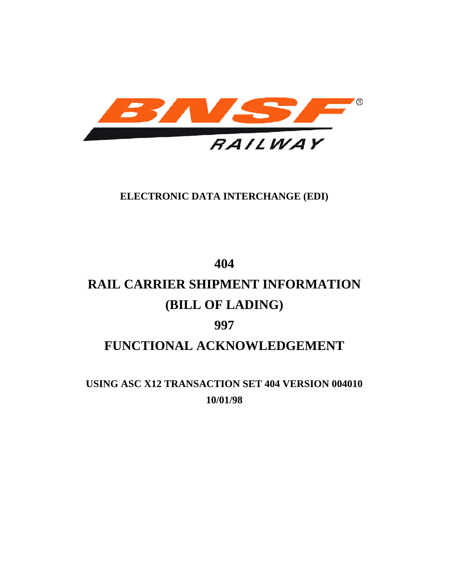

### **ELECTRONIC DATA INTERCHANGE (EDI)**

# **404 RAIL CARRIER SHIPMENT INFORMATION (BILL OF LADING) 997 FUNCTIONAL ACKNOWLEDGEMENT**

**USING ASC X12 TRANSACTION SET 404 VERSION 004010 10/01/98**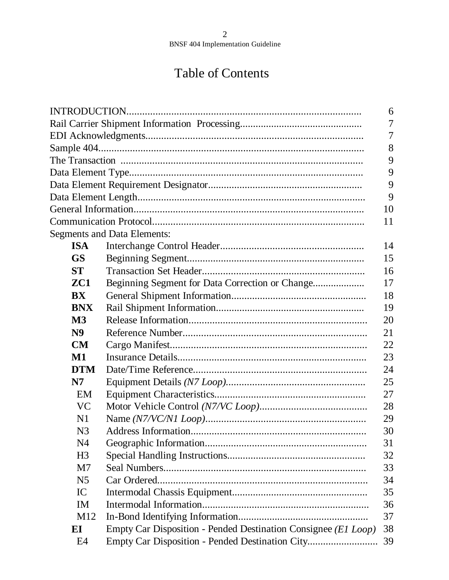# Table of Contents

|                |                                                                | 6              |
|----------------|----------------------------------------------------------------|----------------|
|                |                                                                | $\overline{7}$ |
|                |                                                                | 7              |
|                |                                                                | 8              |
|                |                                                                | 9              |
|                |                                                                | 9              |
|                |                                                                | 9              |
|                |                                                                | 9              |
|                |                                                                | 10             |
|                |                                                                | 11             |
|                | <b>Segments and Data Elements:</b>                             |                |
| <b>ISA</b>     |                                                                | 14             |
| <b>GS</b>      |                                                                | 15             |
| <b>ST</b>      |                                                                | 16             |
| ZC1            | Beginning Segment for Data Correction or Change                | 17             |
| <b>BX</b>      |                                                                | 18             |
| <b>BNX</b>     |                                                                | 19             |
| M3             |                                                                | 20             |
| N <sub>9</sub> |                                                                | 21             |
| CM             |                                                                | 22             |
| $\mathbf{M1}$  |                                                                | 23             |
| <b>DTM</b>     |                                                                | 24             |
| N7             |                                                                | 25             |
| EM             |                                                                | 27             |
| <b>VC</b>      |                                                                | 28             |
| N1             |                                                                | 29             |
| N <sub>3</sub> |                                                                | 30             |
| N4             |                                                                | 31             |
| H <sub>3</sub> |                                                                | 32             |
| M <sub>7</sub> |                                                                | 33             |
| N <sub>5</sub> |                                                                | 34             |
| IC             |                                                                | 35             |
| <b>IM</b>      |                                                                | 36             |
| M12            |                                                                | 37             |
| EI             | Empty Car Disposition - Pended Destination Consignee (El Loop) | 38             |
| E4             | Empty Car Disposition - Pended Destination City                | 39             |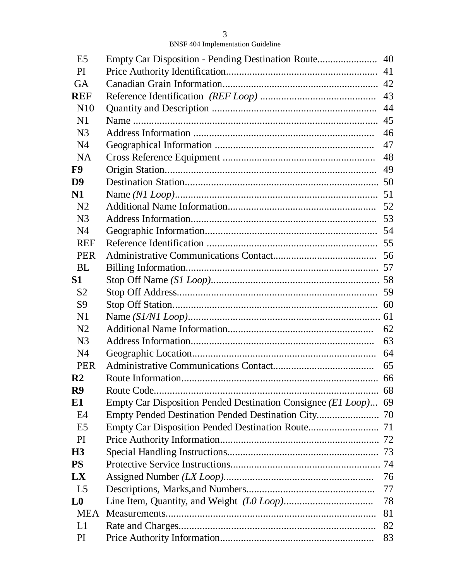| E <sub>5</sub>  |                                                                 | 40 |
|-----------------|-----------------------------------------------------------------|----|
| PI              |                                                                 | 41 |
| <b>GA</b>       |                                                                 | 42 |
| <b>REF</b>      |                                                                 | 43 |
| N <sub>10</sub> |                                                                 | 44 |
| N1              |                                                                 | 45 |
| N <sub>3</sub>  |                                                                 | 46 |
| N <sub>4</sub>  |                                                                 | 47 |
| <b>NA</b>       |                                                                 | 48 |
| F9              |                                                                 | 49 |
| D <sub>9</sub>  |                                                                 |    |
| N1              |                                                                 | 51 |
| N <sub>2</sub>  |                                                                 | 52 |
| N <sub>3</sub>  |                                                                 | 53 |
| N <sub>4</sub>  |                                                                 |    |
| <b>REF</b>      |                                                                 |    |
| <b>PER</b>      |                                                                 |    |
| <b>BL</b>       |                                                                 |    |
| S1              |                                                                 |    |
| S <sub>2</sub>  |                                                                 |    |
| S9              |                                                                 |    |
| N <sub>1</sub>  |                                                                 |    |
| N <sub>2</sub>  |                                                                 | 62 |
| N <sub>3</sub>  |                                                                 | 63 |
| N <sub>4</sub>  |                                                                 | 64 |
| <b>PER</b>      |                                                                 | 65 |
| $\mathbf{R}2$   |                                                                 |    |
| R <sub>9</sub>  |                                                                 | 68 |
| E1              | Empty Car Disposition Pended Destination Consignee (El Loop) 69 |    |
| E4              |                                                                 | 70 |
| E <sub>5</sub>  |                                                                 |    |
| <b>PI</b>       |                                                                 |    |
| H <sub>3</sub>  |                                                                 |    |
| <b>PS</b>       |                                                                 |    |
| <b>LX</b>       |                                                                 | 76 |
| L <sub>5</sub>  |                                                                 | 77 |
| L <sub>0</sub>  |                                                                 | 78 |
| <b>MEA</b>      |                                                                 | 81 |
| L1              |                                                                 | 82 |
| PI              |                                                                 | 83 |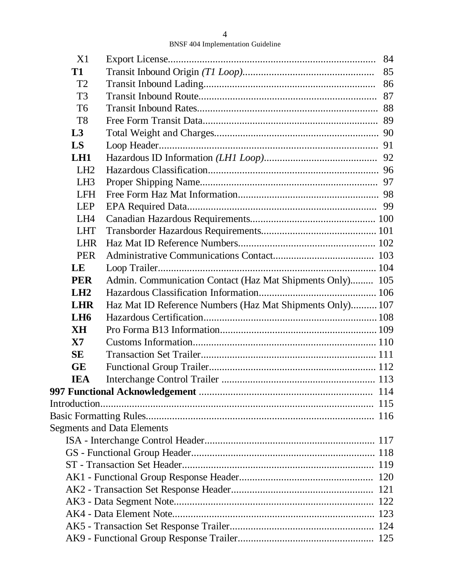| X1              |                                                           | 84 |
|-----------------|-----------------------------------------------------------|----|
| <b>T1</b>       |                                                           | 85 |
| T <sub>2</sub>  |                                                           | 86 |
| T <sub>3</sub>  |                                                           |    |
| T <sub>6</sub>  |                                                           |    |
| T <sub>8</sub>  |                                                           |    |
| L3              |                                                           |    |
| LS              |                                                           |    |
| L <sub>H1</sub> |                                                           |    |
| LH2             |                                                           |    |
| LH <sub>3</sub> |                                                           |    |
| <b>LFH</b>      |                                                           |    |
| <b>LEP</b>      |                                                           |    |
| LH4             |                                                           |    |
| <b>LHT</b>      |                                                           |    |
| <b>LHR</b>      |                                                           |    |
| <b>PER</b>      |                                                           |    |
| LE              |                                                           |    |
| <b>PER</b>      | Admin. Communication Contact (Haz Mat Shipments Only) 105 |    |
| LH2             |                                                           |    |
| <b>LHR</b>      | Haz Mat ID Reference Numbers (Haz Mat Shipments Only) 107 |    |
| L <sub>H6</sub> |                                                           |    |
| <b>XH</b>       |                                                           |    |
| <b>X7</b>       |                                                           |    |
| <b>SE</b>       |                                                           |    |
| <b>GE</b>       |                                                           |    |
| <b>IEA</b>      |                                                           |    |
|                 |                                                           |    |
|                 |                                                           |    |
|                 |                                                           |    |
|                 | <b>Segments and Data Elements</b>                         |    |
|                 |                                                           |    |
|                 |                                                           |    |
|                 |                                                           |    |
|                 |                                                           |    |
|                 |                                                           |    |
|                 |                                                           |    |
|                 |                                                           |    |
|                 |                                                           |    |
|                 |                                                           |    |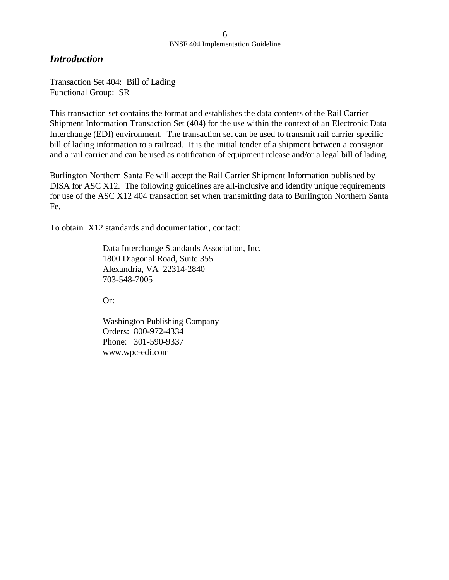### *Introduction*

Transaction Set 404: Bill of Lading Functional Group: SR

This transaction set contains the format and establishes the data contents of the Rail Carrier Shipment Information Transaction Set (404) for the use within the context of an Electronic Data Interchange (EDI) environment. The transaction set can be used to transmit rail carrier specific bill of lading information to a railroad. It is the initial tender of a shipment between a consignor and a rail carrier and can be used as notification of equipment release and/or a legal bill of lading.

Burlington Northern Santa Fe will accept the Rail Carrier Shipment Information published by DISA for ASC X12. The following guidelines are all-inclusive and identify unique requirements for use of the ASC X12 404 transaction set when transmitting data to Burlington Northern Santa Fe.

To obtain X12 standards and documentation, contact:

Data Interchange Standards Association, Inc. 1800 Diagonal Road, Suite 355 Alexandria, VA 22314-2840 703-548-7005

Or:

Washington Publishing Company Orders: 800-972-4334 Phone: 301-590-9337 www.wpc-edi.com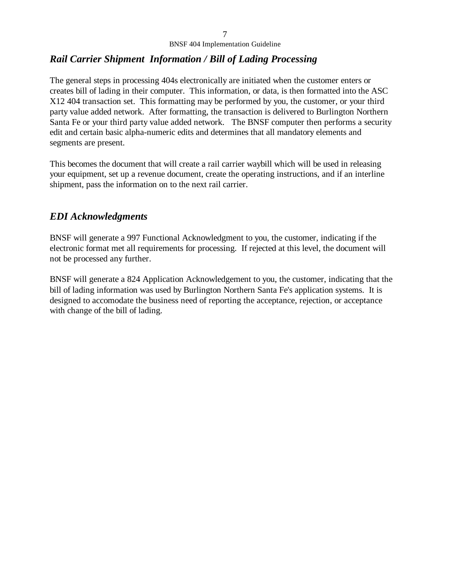### *Rail Carrier Shipment Information / Bill of Lading Processing*

The general steps in processing 404s electronically are initiated when the customer enters or creates bill of lading in their computer. This information, or data, is then formatted into the ASC X12 404 transaction set. This formatting may be performed by you, the customer, or your third party value added network. After formatting, the transaction is delivered to Burlington Northern Santa Fe or your third party value added network. The BNSF computer then performs a security edit and certain basic alpha-numeric edits and determines that all mandatory elements and segments are present.

This becomes the document that will create a rail carrier waybill which will be used in releasing your equipment, set up a revenue document, create the operating instructions, and if an interline shipment, pass the information on to the next rail carrier.

### *EDI Acknowledgments*

BNSF will generate a 997 Functional Acknowledgment to you, the customer, indicating if the electronic format met all requirements for processing. If rejected at this level, the document will not be processed any further.

BNSF will generate a 824 Application Acknowledgement to you, the customer, indicating that the bill of lading information was used by Burlington Northern Santa Fe's application systems. It is designed to accomodate the business need of reporting the acceptance, rejection, or acceptance with change of the bill of lading.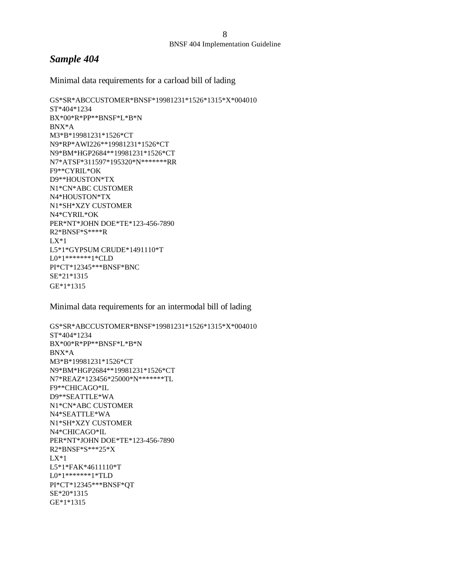#### *Sample 404*

Minimal data requirements for a carload bill of lading

GS\*SR\*ABCCUSTOMER\*BNSF\*19981231\*1526\*1315\*X\*004010 ST\*404\*1234 BX\*00\*R\*PP\*\*BNSF\*L\*B\*N BNX\*A M3\*B\*19981231\*1526\*CT N9\*RP\*AWI226\*\*19981231\*1526\*CT N9\*BM\*HGP2684\*\*19981231\*1526\*CT N7\*ATSF\*311597\*195320\*N\*\*\*\*\*\*\*RR F9\*\*CYRIL\*OK D9\*\*HOUSTON\*TX N1\*CN\*ABC CUSTOMER N4\*HOUSTON\*TX N1\*SH\*XZY CUSTOMER N4\*CYRIL\*OK PER\*NT\*JOHN DOE\*TE\*123-456-7890 R2\*BNSF\*S\*\*\*\*R  $LX*1$ L5\*1\*GYPSUM CRUDE\*1491110\*T L0\*1\*\*\*\*\*\*\*1\*CLD PI\*CT\*12345\*\*\*BNSF\*BNC SE\*21\*1315 GE\*1\*1315

Minimal data requirements for an intermodal bill of lading

GS\*SR\*ABCCUSTOMER\*BNSF\*19981231\*1526\*1315\*X\*004010 ST\*404\*1234 BX\*00\*R\*PP\*\*BNSF\*L\*B\*N BNX\*A M3\*B\*19981231\*1526\*CT N9\*BM\*HGP2684\*\*19981231\*1526\*CT N7\*REAZ\*123456\*25000\*N\*\*\*\*\*\*\*TL F9\*\*CHICAGO\*IL D9\*\*SEATTLE\*WA N1\*CN\*ABC CUSTOMER N4\*SEATTLE\*WA N1\*SH\*XZY CUSTOMER N4\*CHICAGO\*IL PER\*NT\*JOHN DOE\*TE\*123-456-7890 R2\*BNSF\*S\*\*\*25\*X  $LX*1$ L5\*1\*FAK\*4611110\*T L0\*1\*\*\*\*\*\*\*1\*TLD PI\*CT\*12345\*\*\*BNSF\*QT SE\*20\*1315 GE\*1\*1315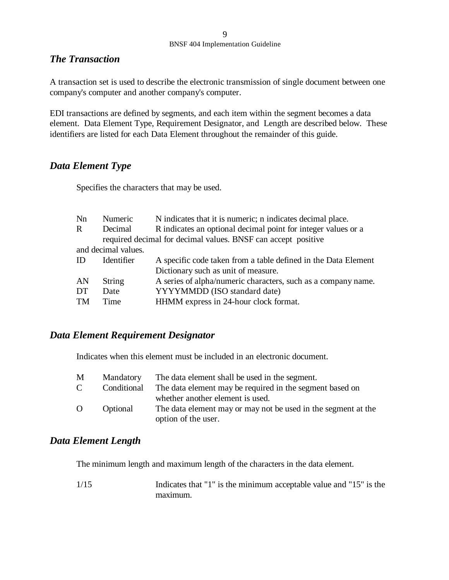### *The Transaction*

A transaction set is used to describe the electronic transmission of single document between one company's computer and another company's computer.

EDI transactions are defined by segments, and each item within the segment becomes a data element. Data Element Type, Requirement Designator, and Length are described below. These identifiers are listed for each Data Element throughout the remainder of this guide.

### *Data Element Type*

Specifies the characters that may be used.

| Nn          | Numeric             | N indicates that it is numeric; n indicates decimal place.     |  |  |  |
|-------------|---------------------|----------------------------------------------------------------|--|--|--|
| $\mathbf R$ | Decimal             | R indicates an optional decimal point for integer values or a  |  |  |  |
|             |                     | required decimal for decimal values. BNSF can accept positive  |  |  |  |
|             | and decimal values. |                                                                |  |  |  |
| <b>ID</b>   | Identifier          | A specific code taken from a table defined in the Data Element |  |  |  |
|             |                     | Dictionary such as unit of measure.                            |  |  |  |
| AN          | <b>String</b>       | A series of alpha/numeric characters, such as a company name.  |  |  |  |
| DT.         | Date                | YYYYMMDD (ISO standard date)                                   |  |  |  |
| <b>TM</b>   | Time                | HHMM express in 24-hour clock format.                          |  |  |  |

### *Data Element Requirement Designator*

Indicates when this element must be included in an electronic document.

| M             | Mandatory   | The data element shall be used in the segment.                |
|---------------|-------------|---------------------------------------------------------------|
| $\mathcal{C}$ | Conditional | The data element may be required in the segment based on      |
|               |             | whether another element is used.                              |
| $\Omega$      | Optional    | The data element may or may not be used in the segment at the |
|               |             | option of the user.                                           |

### *Data Element Length*

The minimum length and maximum length of the characters in the data element.

1/15 Indicates that "1" is the minimum acceptable value and "15" is the maximum.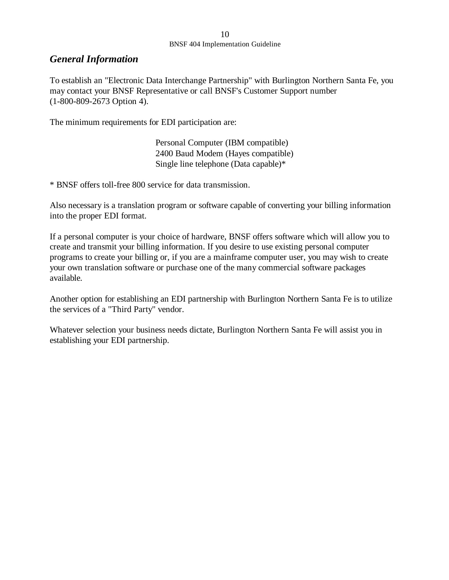### *General Information*

To establish an "Electronic Data Interchange Partnership" with Burlington Northern Santa Fe, you may contact your BNSF Representative or call BNSF's Customer Support number (1-800-809-2673 Option 4).

The minimum requirements for EDI participation are:

Personal Computer (IBM compatible) 2400 Baud Modem (Hayes compatible) Single line telephone (Data capable)\*

\* BNSF offers toll-free 800 service for data transmission.

Also necessary is a translation program or software capable of converting your billing information into the proper EDI format.

If a personal computer is your choice of hardware, BNSF offers software which will allow you to create and transmit your billing information. If you desire to use existing personal computer programs to create your billing or, if you are a mainframe computer user, you may wish to create your own translation software or purchase one of the many commercial software packages available.

Another option for establishing an EDI partnership with Burlington Northern Santa Fe is to utilize the services of a "Third Party" vendor.

Whatever selection your business needs dictate, Burlington Northern Santa Fe will assist you in establishing your EDI partnership.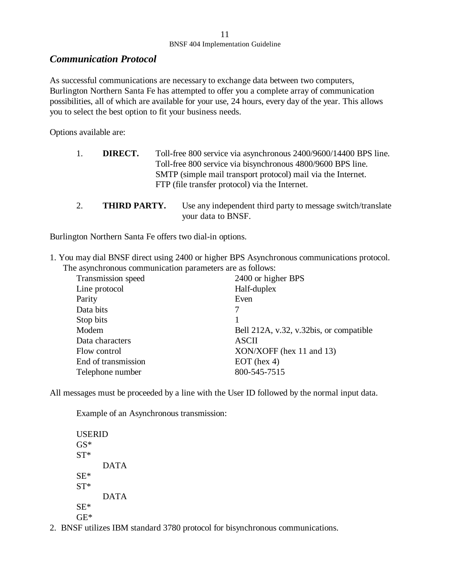### *Communication Protocol*

As successful communications are necessary to exchange data between two computers, Burlington Northern Santa Fe has attempted to offer you a complete array of communication possibilities, all of which are available for your use, 24 hours, every day of the year. This allows you to select the best option to fit your business needs.

Options available are:

- 1. **DIRECT.** Toll-free 800 service via asynchronous 2400/9600/14400 BPS line. Toll-free 800 service via bisynchronous 4800/9600 BPS line. SMTP (simple mail transport protocol) mail via the Internet. FTP (file transfer protocol) via the Internet.
- 2. **THIRD PARTY.** Use any independent third party to message switch/translate your data to BNSF.

Burlington Northern Santa Fe offers two dial-in options.

1. You may dial BNSF direct using 2400 or higher BPS Asynchronous communications protocol. The asynchronous communication parameters are as follows:

| Transmission speed  | 2400 or higher BPS                      |
|---------------------|-----------------------------------------|
| Line protocol       | Half-duplex                             |
| Parity              | Even                                    |
| Data bits           |                                         |
| Stop bits           |                                         |
| Modem               | Bell 212A, v.32, v.32bis, or compatible |
| Data characters     | <b>ASCII</b>                            |
| Flow control        | $XON/XOFF$ (hex 11 and 13)              |
| End of transmission | $EOT$ (hex 4)                           |
| Telephone number    | 800-545-7515                            |

All messages must be proceeded by a line with the User ID followed by the normal input data.

Example of an Asynchronous transmission:

USERID GS\* ST\* DATA SE\* ST\* DATA SE\* GE\*

2. BNSF utilizes IBM standard 3780 protocol for bisynchronous communications.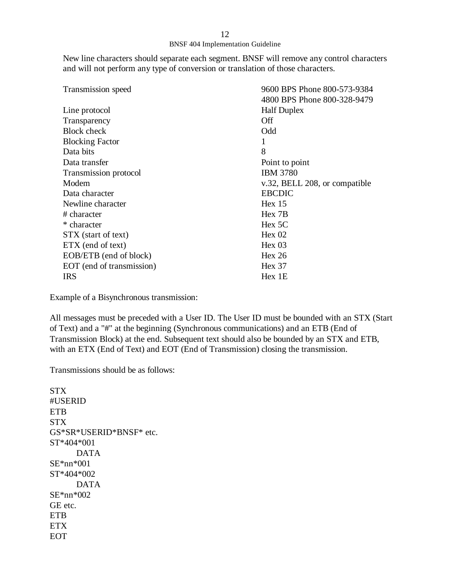New line characters should separate each segment. BNSF will remove any control characters and will not perform any type of conversion or translation of those characters.

| Transmission speed        | 9600 BPS Phone 800-573-9384   |
|---------------------------|-------------------------------|
|                           | 4800 BPS Phone 800-328-9479   |
| Line protocol             | <b>Half Duplex</b>            |
| Transparency              | Off                           |
| <b>Block</b> check        | Odd                           |
| <b>Blocking Factor</b>    |                               |
| Data bits                 | 8                             |
| Data transfer             | Point to point                |
| Transmission protocol     | <b>IBM 3780</b>               |
| Modem                     | v.32, BELL 208, or compatible |
| Data character            | <b>EBCDIC</b>                 |
| Newline character         | Hex 15                        |
| # character               | Hex 7B                        |
| * character               | Hex 5C                        |
| STX (start of text)       | Hex 02                        |
| ETX (end of text)         | Hex 03                        |
| EOB/ETB (end of block)    | Hex 26                        |
| EOT (end of transmission) | Hex 37                        |
| <b>IRS</b>                | Hex 1 <sub>E</sub>            |

Example of a Bisynchronous transmission:

All messages must be preceded with a User ID. The User ID must be bounded with an STX (Start of Text) and a "#" at the beginning (Synchronous communications) and an ETB (End of Transmission Block) at the end. Subsequent text should also be bounded by an STX and ETB, with an ETX (End of Text) and EOT (End of Transmission) closing the transmission.

Transmissions should be as follows:

**STX** #USERID ETB STX GS\*SR\*USERID\*BNSF\* etc. ST\*404\*001 DATA SE\*nn\*001 ST\*404\*002 DATA SE\*nn\*002 GE etc. **ETB** ETX EOT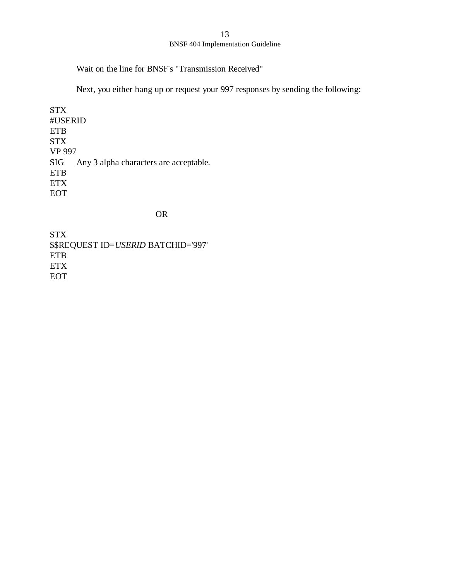#### BNSF 404 Implementation Guideline

Wait on the line for BNSF's "Transmission Received"

Next, you either hang up or request your 997 responses by sending the following:

STX #USERID ETB STX VP 997 SIG Any 3 alpha characters are acceptable. ETB ETX EOT

#### OR

STX \$\$REQUEST ID=*USERID* BATCHID='997' ETB ETX EOT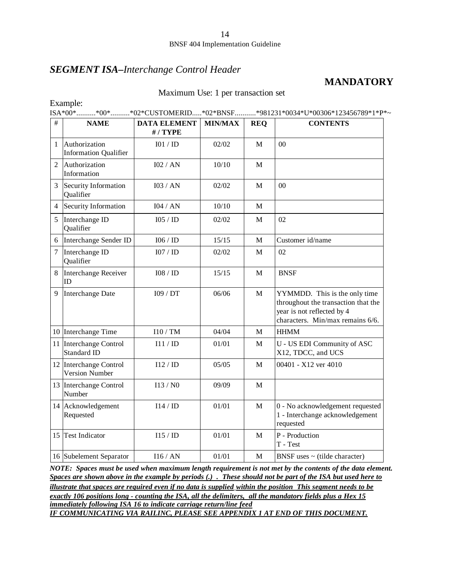### *SEGMENT ISA–Interchange Control Header*

### **MANDATORY**

Maximum Use: 1 per transaction set

| Example: |  |  |                                                                            |
|----------|--|--|----------------------------------------------------------------------------|
|          |  |  | =*82%LISA*00**00**02*CUSTOMERID*02*BNSF*981231*0034*U*00306*123456789*1*P* |

| $\#$             | <b>NAME</b>                                     | <b>DATA ELEMENT</b><br>#/TYPE | <b>MIN/MAX</b> | <b>REQ</b>   | <b>CONTENTS</b>                                                                                                                        |
|------------------|-------------------------------------------------|-------------------------------|----------------|--------------|----------------------------------------------------------------------------------------------------------------------------------------|
| 1                | Authorization<br><b>Information Qualifier</b>   | IO1 / ID                      | 02/02          | M            | $00\,$                                                                                                                                 |
| $\mathfrak{D}$   | Authorization<br>Information                    | 102 / AN                      | 10/10          | M            |                                                                                                                                        |
| 3                | Security Information<br>Qualifier               | I03 / AN                      | 02/02          | M            | $00\,$                                                                                                                                 |
| 4                | Security Information                            | I04 / AN                      | 10/10          | M            |                                                                                                                                        |
| 5                | Interchange ID<br>Qualifier                     | I05 / ID                      | 02/02          | M            | 02                                                                                                                                     |
| 6                | Interchange Sender ID                           | 106 / 1D                      | 15/15          | $\mathbf{M}$ | Customer id/name                                                                                                                       |
| $\boldsymbol{7}$ | Interchange ID<br>Qualifier                     | IO7 / ID                      | 02/02          | M            | 02                                                                                                                                     |
| 8                | Interchange Receiver<br>ID                      | 108 / ID                      | 15/15          | M            | <b>BNSF</b>                                                                                                                            |
| 9                | Interchange Date                                | I09 / DT                      | 06/06          | M            | YYMMDD. This is the only time<br>throughout the transaction that the<br>year is not reflected by 4<br>characters. Min/max remains 6/6. |
|                  | 10 Interchange Time                             | I10 / TM                      | 04/04          | M            | <b>HHMM</b>                                                                                                                            |
| 11               | Interchange Control<br>Standard ID              | I11 / ID                      | 01/01          | M            | U - US EDI Community of ASC<br>X12, TDCC, and UCS                                                                                      |
|                  | 12 Interchange Control<br><b>Version Number</b> | I12/ID                        | 05/05          | M            | 00401 - X12 ver 4010                                                                                                                   |
|                  | 13 Interchange Control<br>Number                | I13/N0                        | 09/09          | M            |                                                                                                                                        |
|                  | 14 Acknowledgement<br>Requested                 | I14/ID                        | 01/01          | $\mathbf{M}$ | 0 - No acknowledgement requested<br>1 - Interchange acknowledgement<br>requested                                                       |
|                  | 15 Test Indicator                               | I15/ID                        | 01/01          | M            | P - Production<br>T - Test                                                                                                             |
|                  | 16 Subelement Separator                         | I16/AN                        | 01/01          | M            | BNSF uses $\sim$ (tilde character)                                                                                                     |

*NOTE: Spaces must be used when maximum length requirement is not met by the contents of the data element. Spaces are shown above in the example by periods (.) . These should not be part of the ISA but used here to illustrate that spaces are required even if no data is supplied within the position This segment needs to be exactly 106 positions long - counting the ISA, all the delimiters, all the mandatory fields plus a Hex 15 immediately following ISA 16 to indicate carriage return/line feed*

*IF COMMUNICATING VIA RAILINC, PLEASE SEE APPENDIX 1 AT END OF THIS DOCUMENT.*

#### 14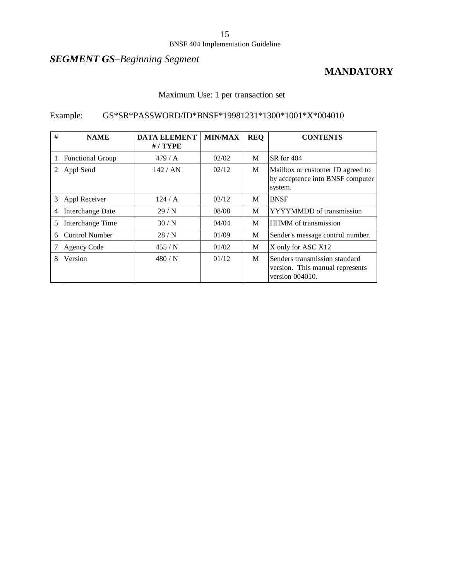#### BNSF 404 Implementation Guideline

## *SEGMENT GS–Beginning Segment*

### **MANDATORY**

### Maximum Use: 1 per transaction set

### Example: GS\*SR\*PASSWORD/ID\*BNSF\*19981231\*1300\*1001\*X\*004010

| # | <b>NAME</b>             | <b>DATA ELEMENT</b><br>$# /$ TYPE | <b>MIN/MAX</b> | <b>REQ</b> | <b>CONTENTS</b>                                                                     |  |
|---|-------------------------|-----------------------------------|----------------|------------|-------------------------------------------------------------------------------------|--|
|   | <b>Functional Group</b> | 479/A                             | 02/02          | M          | SR for 404                                                                          |  |
| 2 | Appl Send               | 142 / AN                          | 02/12          | M          | Mailbox or customer ID agreed to<br>by acceptence into BNSF computer<br>system.     |  |
| 3 | Appl Receiver           | 124/A                             | 02/12          | M          | <b>BNSF</b>                                                                         |  |
| 4 | Interchange Date        | 29/N                              | 08/08          | M          | YYYYMMDD of transmission                                                            |  |
| 5 | Interchange Time        | 30/N                              | 04/04          | M          | <b>HHMM</b> of transmission                                                         |  |
| 6 | Control Number          | 28/N                              | 01/09          | M          | Sender's message control number.                                                    |  |
|   | <b>Agency Code</b>      | 455/N                             | 01/02          | M          | X only for ASC X12                                                                  |  |
| 8 | Version                 | 480/N                             | 01/12          | M          | Senders transmission standard<br>version. This manual represents<br>version 004010. |  |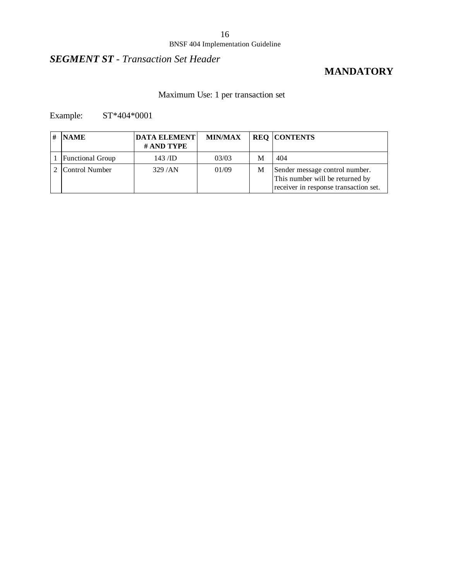#### BNSF 404 Implementation Guideline

## *SEGMENT ST - Transaction Set Header*

### **MANDATORY**

### Maximum Use: 1 per transaction set

Example: ST\*404\*0001

| <b>NAME</b>             | <b>DATA ELEMENT</b><br># AND TYPE | <b>MIN/MAX</b> |   | <b>REQ CONTENTS</b>                                                                                        |
|-------------------------|-----------------------------------|----------------|---|------------------------------------------------------------------------------------------------------------|
| <b>Functional Group</b> | $143$ /ID                         | 03/03          | M | 404                                                                                                        |
| Control Number          | 329/AN                            | 01/09          | М | Sender message control number.<br>This number will be returned by<br>receiver in response transaction set. |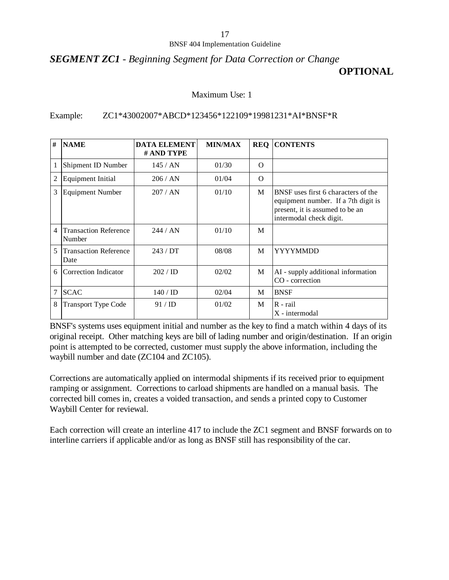### *SEGMENT ZC1 - Beginning Segment for Data Correction or Change* **OPTIONAL**

#### Maximum Use: 1

#### Example: ZC1\*43002007\*ABCD\*123456\*122109\*19981231\*AI\*BNSF\*R

| #                       | <b>NAME</b>                            | <b>DATA ELEMENT</b><br># AND TYPE | <b>MIN/MAX</b> | <b>REQ</b> | <b>CONTENTS</b>                                                                                                                          |
|-------------------------|----------------------------------------|-----------------------------------|----------------|------------|------------------------------------------------------------------------------------------------------------------------------------------|
| 1                       | Shipment ID Number                     | 145/AN                            | 01/30          | $\Omega$   |                                                                                                                                          |
| 2                       | Equipment Initial                      | 206 / AN                          | 01/04          | $\Omega$   |                                                                                                                                          |
| 3                       | <b>Equipment Number</b>                | 207/AN                            | 01/10          | M          | BNSF uses first 6 characters of the<br>equipment number. If a 7th digit is<br>present, it is assumed to be an<br>intermodal check digit. |
| $\overline{4}$          | <b>Transaction Reference</b><br>Number | 244/AN                            | 01/10          | M          |                                                                                                                                          |
| $\overline{\mathbf{z}}$ | <b>Transaction Reference</b><br>Date   | 243 / DT                          | 08/08          | M          | <b>YYYYMMDD</b>                                                                                                                          |
| 6                       | Correction Indicator                   | 202 / ID                          | 02/02          | M          | AI - supply additional information<br>CO - correction                                                                                    |
| 7                       | <b>SCAC</b>                            | $140 /$ ID                        | 02/04          | M          | <b>BNSF</b>                                                                                                                              |
| 8                       | <b>Transport Type Code</b>             | 91 / ID                           | 01/02          | M          | R - rail<br>X - intermodal                                                                                                               |

BNSF's systems uses equipment initial and number as the key to find a match within 4 days of its original receipt. Other matching keys are bill of lading number and origin/destination. If an origin point is attempted to be corrected, customer must supply the above information, including the waybill number and date (ZC104 and ZC105).

Corrections are automatically applied on intermodal shipments if its received prior to equipment ramping or assignment. Corrections to carload shipments are handled on a manual basis. The corrected bill comes in, creates a voided transaction, and sends a printed copy to Customer Waybill Center for reviewal.

Each correction will create an interline 417 to include the ZC1 segment and BNSF forwards on to interline carriers if applicable and/or as long as BNSF still has responsibility of the car.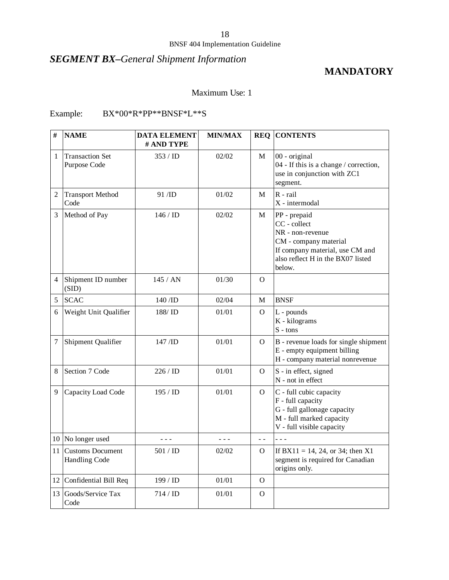# *SEGMENT BX–General Shipment Information*

### **MANDATORY**

#### Maximum Use: 1

### Example: BX\*00\*R\*PP\*\*BNSF\*L\*\*S

| #              | <b>NAME</b>                                 | <b>DATA ELEMENT</b><br># AND TYPE | <b>MIN/MAX</b> |                | <b>REQ CONTENTS</b>                                                                                                                                         |
|----------------|---------------------------------------------|-----------------------------------|----------------|----------------|-------------------------------------------------------------------------------------------------------------------------------------------------------------|
| $\mathbf{1}$   | <b>Transaction Set</b><br>Purpose Code      | 353/ID                            | 02/02          | M              | 00 - original<br>04 - If this is a change / correction,<br>use in conjunction with ZC1<br>segment.                                                          |
| 2              | <b>Transport Method</b><br>Code             | $91$ /ID                          | 01/02          | M              | $R$ - rail<br>X - intermodal                                                                                                                                |
| 3              | Method of Pay                               | 146/ID                            | 02/02          | М              | PP - prepaid<br>CC - collect<br>NR - non-revenue<br>CM - company material<br>If company material, use CM and<br>also reflect H in the BX07 listed<br>below. |
| $\overline{4}$ | Shipment ID number<br>(SID)                 | 145 / AN                          | 01/30          | $\Omega$       |                                                                                                                                                             |
| 5              | <b>SCAC</b>                                 | 140 /ID                           | 02/04          | М              | <b>BNSF</b>                                                                                                                                                 |
| 6              | Weight Unit Qualifier                       | 188/ID                            | 01/01          | $\Omega$       | L - pounds<br>K - kilograms<br>$S - tons$                                                                                                                   |
| 7              | Shipment Qualifier                          | $147$ /ID                         | 01/01          | $\Omega$       | B - revenue loads for single shipment<br>E - empty equipment billing<br>H - company material nonrevenue                                                     |
| 8              | Section 7 Code                              | 226/ID                            | 01/01          | $\Omega$       | S - in effect, signed<br>N - not in effect                                                                                                                  |
| 9              | Capacity Load Code                          | 195 / ID                          | 01/01          | $\Omega$       | C - full cubic capacity<br>F - full capacity<br>G - full gallonage capacity<br>M - full marked capacity<br>V - full visible capacity                        |
|                | 10 No longer used                           | - - -                             | - - -          | $ -$           |                                                                                                                                                             |
|                | 11 Customs Document<br><b>Handling Code</b> | 501 / ID                          | 02/02          | $\Omega$       | If BX11 = 14, 24, or 34; then X1<br>segment is required for Canadian<br>origins only.                                                                       |
|                | 12 Confidential Bill Req                    | 199 / ID                          | 01/01          | $\Omega$       |                                                                                                                                                             |
| 13             | Goods/Service Tax<br>Code                   | 714 / ID                          | 01/01          | $\overline{O}$ |                                                                                                                                                             |

18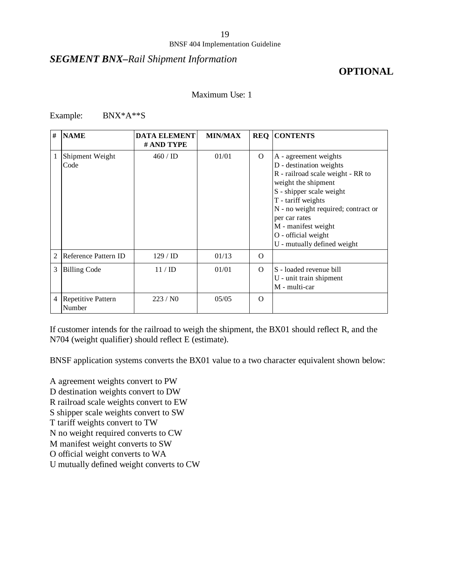#### *SEGMENT BNX–Rail Shipment Information*

### **OPTIONAL**

#### Maximum Use: 1

Example: BNX\*A\*\*S

| #              | <b>NAME</b>                  | <b>DATA ELEMENT</b><br># AND TYPE | <b>MIN/MAX</b> |          | <b>REQ CONTENTS</b>                                                                                                                                                                                                                                                                                 |
|----------------|------------------------------|-----------------------------------|----------------|----------|-----------------------------------------------------------------------------------------------------------------------------------------------------------------------------------------------------------------------------------------------------------------------------------------------------|
| 1              | Shipment Weight<br>Code      | $460 / \text{ID}$                 | 01/01          | $\Omega$ | A - agreement weights<br>D - destination weights<br>R - railroad scale weight - RR to<br>weight the shipment<br>S - shipper scale weight<br>T - tariff weights<br>N - no weight required; contract or<br>per car rates<br>M - manifest weight<br>O - official weight<br>U - mutually defined weight |
| $\overline{2}$ | Reference Pattern ID         | 129 / ID                          | 01/13          | $\Omega$ |                                                                                                                                                                                                                                                                                                     |
| 3              | <b>Billing Code</b>          | 11 / ID                           | 01/01          | $\Omega$ | S - loaded revenue bill<br>U - unit train shipment<br>M - multi-car                                                                                                                                                                                                                                 |
| $\overline{4}$ | Repetitive Pattern<br>Number | 223/N0                            | 05/05          | $\Omega$ |                                                                                                                                                                                                                                                                                                     |

If customer intends for the railroad to weigh the shipment, the BX01 should reflect R, and the N704 (weight qualifier) should reflect E (estimate).

BNSF application systems converts the BX01 value to a two character equivalent shown below:

A agreement weights convert to PW

D destination weights convert to DW

R railroad scale weights convert to EW

S shipper scale weights convert to SW

T tariff weights convert to TW

N no weight required converts to CW

M manifest weight converts to SW

O official weight converts to WA

U mutually defined weight converts to CW

19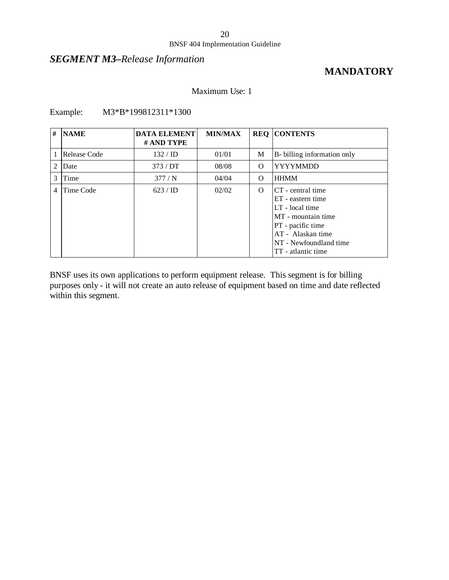### *SEGMENT M3–Release Information*

### **MANDATORY**

#### Maximum Use: 1

Example: M3\*B\*199812311\*1300

| # | <b>NAME</b>  | <b>DATA ELEMENT</b><br># AND TYPE | <b>MIN/MAX</b> |          | <b>REQ CONTENTS</b>                                                                                                                                                       |
|---|--------------|-----------------------------------|----------------|----------|---------------------------------------------------------------------------------------------------------------------------------------------------------------------------|
|   | Release Code | $132 / \text{ID}$                 | 01/01          | M        | B- billing information only                                                                                                                                               |
| 2 | Date         | 373/DT                            | 08/08          | $\Omega$ | <b>YYYYMMDD</b>                                                                                                                                                           |
| 3 | Time         | 377/N                             | 04/04          | $\Omega$ | <b>HHMM</b>                                                                                                                                                               |
| 4 | Time Code    | 623 / ID                          | 02/02          | $\Omega$ | CT - central time<br>ET - eastern time<br>LT - local time<br>MT - mountain time<br>PT - pacific time<br>AT - Alaskan time<br>NT - Newfoundland time<br>TT - atlantic time |

BNSF uses its own applications to perform equipment release. This segment is for billing purposes only - it will not create an auto release of equipment based on time and date reflected within this segment.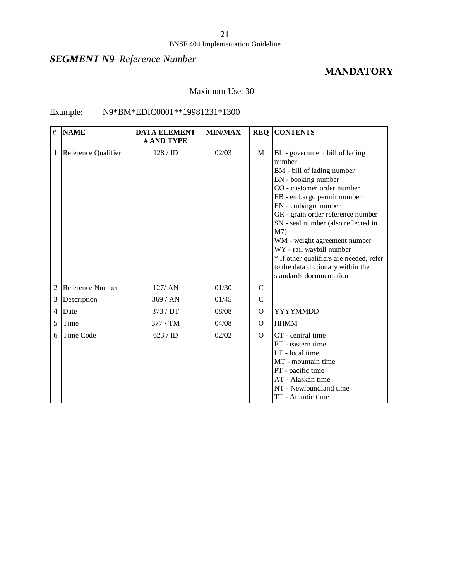## *SEGMENT N9–Reference Number*

### **MANDATORY**

#### Maximum Use: 30

#### Example: N9\*BM\*EDIC0001\*\*19981231\*1300

| #              | <b>NAME</b>         | <b>DATA ELEMENT</b><br># AND TYPE | <b>MIN/MAX</b> |               | <b>REQ CONTENTS</b>                                                                                                                                                                                                                                                                                                                                                                                                                                   |
|----------------|---------------------|-----------------------------------|----------------|---------------|-------------------------------------------------------------------------------------------------------------------------------------------------------------------------------------------------------------------------------------------------------------------------------------------------------------------------------------------------------------------------------------------------------------------------------------------------------|
| 1              | Reference Qualifier | 128 / ID                          | 02/03          | M             | BL - government bill of lading<br>number<br>BM - bill of lading number<br>BN - booking number<br>CO - customer order number<br>EB - embargo permit number<br>EN - embargo number<br>GR - grain order reference number<br>SN - seal number (also reflected in<br>M <sub>7</sub><br>WM - weight agreement number<br>WY - rail waybill number<br>* If other qualifiers are needed, refer<br>to the data dictionary within the<br>standards documentation |
| $\overline{2}$ | Reference Number    | 127/ AN                           | 01/30          | $\mathcal{C}$ |                                                                                                                                                                                                                                                                                                                                                                                                                                                       |
| 3              | Description         | 369/AN                            | 01/45          | $\mathcal{C}$ |                                                                                                                                                                                                                                                                                                                                                                                                                                                       |
| 4              | Date                | 373 / DT                          | 08/08          | $\Omega$      | YYYYMMDD                                                                                                                                                                                                                                                                                                                                                                                                                                              |
| 5              | Time                | 377 / TM                          | 04/08          | $\Omega$      | <b>HHMM</b>                                                                                                                                                                                                                                                                                                                                                                                                                                           |
| 6              | Time Code           | 623 / ID                          | 02/02          | $\Omega$      | CT - central time<br>ET - eastern time<br>LT - local time<br>MT - mountain time<br>PT - pacific time<br>AT - Alaskan time<br>NT - Newfoundland time<br>TT - Atlantic time                                                                                                                                                                                                                                                                             |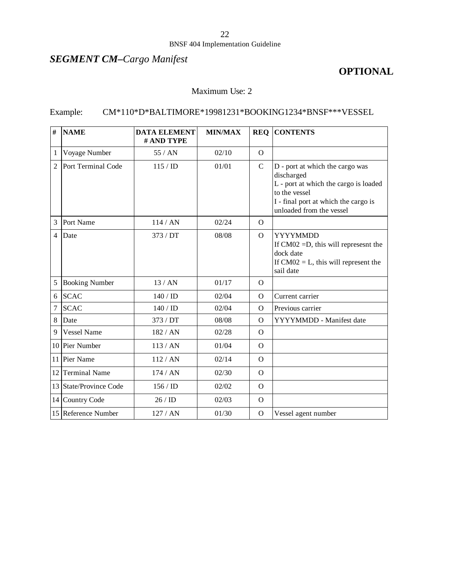## *SEGMENT CM–Cargo Manifest*

### **OPTIONAL**

### Maximum Use: 2

### Example: CM\*110\*D\*BALTIMORE\*19981231\*BOOKING1234\*BNSF\*\*\*VESSEL

| #              | <b>NAME</b>           | <b>DATA ELEMENT</b><br># AND TYPE | <b>MIN/MAX</b> | <b>REQ</b>     | <b>CONTENTS</b>                                                                                                                                                             |
|----------------|-----------------------|-----------------------------------|----------------|----------------|-----------------------------------------------------------------------------------------------------------------------------------------------------------------------------|
| 1              | Voyage Number         | 55/AN                             | 02/10          | $\Omega$       |                                                                                                                                                                             |
| $\overline{2}$ | Port Terminal Code    | 115 / ID                          | 01/01          | $\mathbf C$    | D - port at which the cargo was<br>discharged<br>L - port at which the cargo is loaded<br>to the vessel<br>I - final port at which the cargo is<br>unloaded from the vessel |
| 3              | Port Name             | 114/AN                            | 02/24          | $\Omega$       |                                                                                                                                                                             |
| 4              | Date                  | 373/DT                            | 08/08          | $\overline{O}$ | <b>YYYYMMDD</b><br>If $CM02 = D$ , this will represes t the<br>dock date<br>If $CM02 = L$ , this will represent the<br>sail date                                            |
| 5              | <b>Booking Number</b> | 13/AN                             | 01/17          | $\Omega$       |                                                                                                                                                                             |
| 6              | <b>SCAC</b>           | 140 / ID                          | 02/04          | $\overline{O}$ | Current carrier                                                                                                                                                             |
| 7              | <b>SCAC</b>           | 140 / ID                          | 02/04          | $\mathbf{O}$   | Previous carrier                                                                                                                                                            |
| 8              | Date                  | 373 / DT                          | 08/08          | $\Omega$       | YYYYMMDD - Manifest date                                                                                                                                                    |
| 9              | <b>Vessel Name</b>    | 182/AN                            | 02/28          | $\Omega$       |                                                                                                                                                                             |
|                | 10 Pier Number        | 113/AN                            | 01/04          | $\Omega$       |                                                                                                                                                                             |
| 11             | Pier Name             | 112 / AN                          | 02/14          | $\Omega$       |                                                                                                                                                                             |
| 12             | <b>Terminal Name</b>  | 174/AN                            | 02/30          | $\Omega$       |                                                                                                                                                                             |
| 13             | State/Province Code   | 156 / ID                          | 02/02          | $\Omega$       |                                                                                                                                                                             |
|                | 14 Country Code       | 26/ID                             | 02/03          | $\Omega$       |                                                                                                                                                                             |
|                | 15 Reference Number   | 127 / AN                          | 01/30          | $\mathbf{O}$   | Vessel agent number                                                                                                                                                         |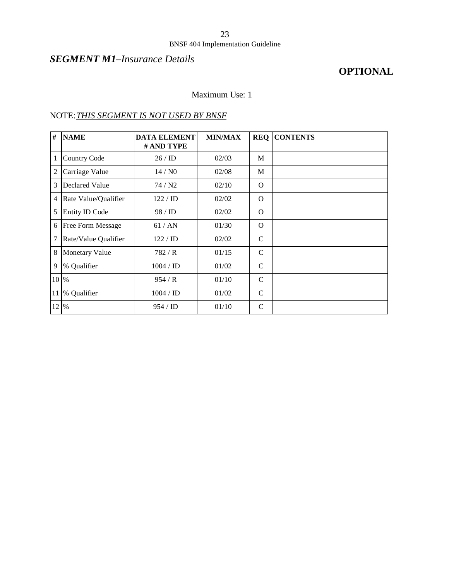#### BNSF 404 Implementation Guideline

### *SEGMENT M1–Insurance Details*

## **OPTIONAL**

### Maximum Use: 1

### NOTE:*THIS SEGMENT IS NOT USED BY BNSF*

| #              | <b>NAME</b>           | <b>DATA ELEMENT</b><br># AND TYPE | <b>MIN/MAX</b> | <b>REQ</b>    | <b>CONTENTS</b> |
|----------------|-----------------------|-----------------------------------|----------------|---------------|-----------------|
| $\mathbf{1}$   | <b>Country Code</b>   | 26/ID                             | 02/03          | M             |                 |
| $\mathfrak{2}$ | Carriage Value        | 14/N0                             | 02/08          | M             |                 |
| 3              | Declared Value        | 74 / N <sub>2</sub>               | 02/10          | O             |                 |
| $\overline{4}$ | Rate Value/Qualifier  | 122 / ID                          | 02/02          | $\Omega$      |                 |
| 5              | <b>Entity ID Code</b> | 98 / ID                           | 02/02          | $\Omega$      |                 |
| 6              | Free Form Message     | 61/AN                             | 01/30          | $\Omega$      |                 |
| $\tau$         | Rate/Value Qualifier  | 122 / ID                          | 02/02          | $\mathsf{C}$  |                 |
| 8              | <b>Monetary Value</b> | 782/R                             | 01/15          | $\mathcal{C}$ |                 |
| 9              | % Qualifier           | 1004 / ID                         | 01/02          | $\mathcal{C}$ |                 |
| 10 %           |                       | 954/R                             | 01/10          | C             |                 |
| 11             | % Qualifier           | 1004 / ID                         | 01/02          | $\mathcal{C}$ |                 |
| 12             | $\%$                  | 954 / ID                          | 01/10          | $\mathcal{C}$ |                 |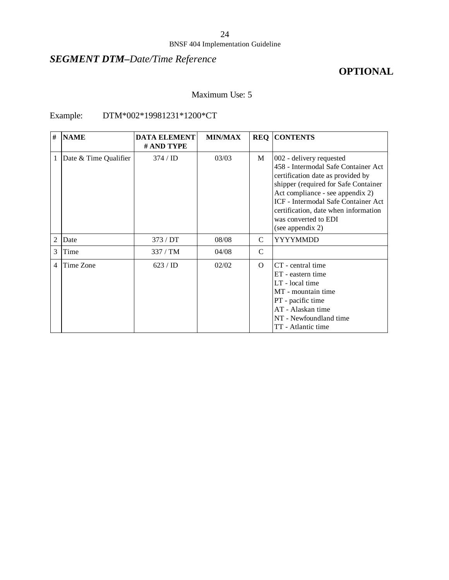## *SEGMENT DTM–Date/Time Reference*

## **OPTIONAL**

### Maximum Use: 5

### Example: DTM\*002\*19981231\*1200\*CT

| #              | <b>NAME</b>           | <b>DATA ELEMENT</b><br># AND TYPE | <b>MIN/MAX</b> |               | <b>REQ CONTENTS</b>                                                                                                                                                                                                                                                                                         |
|----------------|-----------------------|-----------------------------------|----------------|---------------|-------------------------------------------------------------------------------------------------------------------------------------------------------------------------------------------------------------------------------------------------------------------------------------------------------------|
| 1              | Date & Time Qualifier | 374 / ID                          | 03/03          | M             | 002 - delivery requested<br>458 - Intermodal Safe Container Act<br>certification date as provided by<br>shipper (required for Safe Container<br>Act compliance - see appendix 2)<br>ICF - Intermodal Safe Container Act<br>certification, date when information<br>was converted to EDI<br>(see appendix 2) |
| $\overline{c}$ | Date                  | 373/DT                            | 08/08          | C             | <b>YYYYMMDD</b>                                                                                                                                                                                                                                                                                             |
| 3              | Time                  | 337/TM                            | 04/08          | $\mathcal{C}$ |                                                                                                                                                                                                                                                                                                             |
| 4              | Time Zone             | 623 / ID                          | 02/02          | $\Omega$      | CT - central time<br>ET - eastern time<br>LT - local time<br>MT - mountain time<br>PT - pacific time<br>AT - Alaskan time<br>NT - Newfoundland time<br>TT - Atlantic time                                                                                                                                   |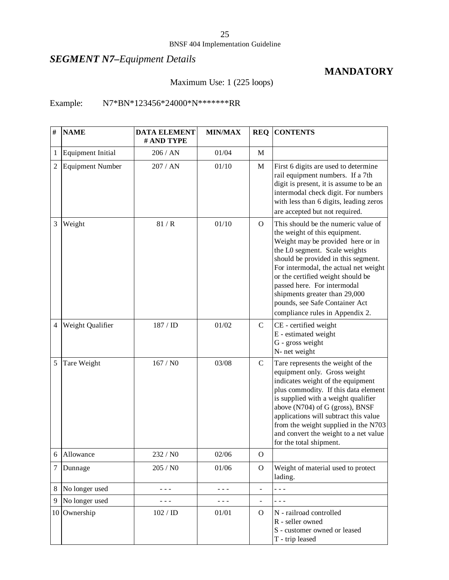#### BNSF 404 Implementation Guideline

## *SEGMENT N7–Equipment Details*

### **MANDATORY**

### Maximum Use: 1 (225 loops)

### Example: N7\*BN\*123456\*24000\*N\*\*\*\*\*\*\*RR

| $\#$           | <b>NAME</b>              | <b>DATA ELEMENT</b><br># AND TYPE | <b>MIN/MAX</b> | <b>REQ</b>     | <b>CONTENTS</b>                                                                                                                                                                                                                                                                                                                                                                                      |
|----------------|--------------------------|-----------------------------------|----------------|----------------|------------------------------------------------------------------------------------------------------------------------------------------------------------------------------------------------------------------------------------------------------------------------------------------------------------------------------------------------------------------------------------------------------|
| 1              | <b>Equipment Initial</b> | 206 / AN                          | 01/04          | M              |                                                                                                                                                                                                                                                                                                                                                                                                      |
| $\overline{2}$ | <b>Equipment Number</b>  | 207 / AN                          | 01/10          | M              | First 6 digits are used to determine<br>rail equipment numbers. If a 7th<br>digit is present, it is assume to be an<br>intermodal check digit. For numbers<br>with less than 6 digits, leading zeros<br>are accepted but not required.                                                                                                                                                               |
| 3              | Weight                   | 81/R                              | 01/10          | $\Omega$       | This should be the numeric value of<br>the weight of this equipment.<br>Weight may be provided here or in<br>the L0 segment. Scale weights<br>should be provided in this segment.<br>For intermodal, the actual net weight<br>or the certified weight should be<br>passed here. For intermodal<br>shipments greater than 29,000<br>pounds, see Safe Container Act<br>compliance rules in Appendix 2. |
| $\overline{4}$ | Weight Qualifier         | 187 / ID                          | 01/02          | $\mathbf C$    | CE - certified weight<br>E - estimated weight<br>G - gross weight<br>N- net weight                                                                                                                                                                                                                                                                                                                   |
| 5              | Tare Weight              | 167/N0                            | 03/08          | $\mathbf C$    | Tare represents the weight of the<br>equipment only. Gross weight<br>indicates weight of the equipment<br>plus commodity. If this data element<br>is supplied with a weight qualifier<br>above (N704) of G (gross), BNSF<br>applications will subtract this value<br>from the weight supplied in the N703<br>and convert the weight to a net value<br>for the total shipment.                        |
| 6              | Allowance                | 232 / NO                          | 02/06          | $\Omega$       |                                                                                                                                                                                                                                                                                                                                                                                                      |
| $\tau$         | Dunnage                  | 205 / NO                          | 01/06          | $\mathbf{O}$   | Weight of material used to protect<br>lading.                                                                                                                                                                                                                                                                                                                                                        |
| 8              | No longer used           |                                   |                | $\blacksquare$ | - - -                                                                                                                                                                                                                                                                                                                                                                                                |
| 9              | No longer used           |                                   |                |                | - - -                                                                                                                                                                                                                                                                                                                                                                                                |
|                | 10 Ownership             | 102 / ID                          | 01/01          | $\overline{O}$ | N - railroad controlled<br>R - seller owned<br>S - customer owned or leased<br>T - trip leased                                                                                                                                                                                                                                                                                                       |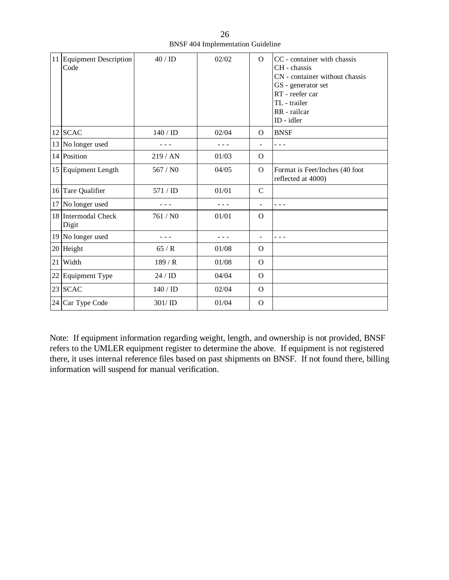|    | 11 Equipment Description<br>Code | 40/ID    | 02/02 | $\Omega$      | CC - container with chassis<br>CH - chassis<br>CN - container without chassis<br>GS - generator set<br>RT - reefer car<br>TL - trailer<br>RR - railcar<br>ID - idler |
|----|----------------------------------|----------|-------|---------------|----------------------------------------------------------------------------------------------------------------------------------------------------------------------|
| 12 | <b>SCAC</b>                      | 140 / ID | 02/04 | $\Omega$      | <b>BNSF</b>                                                                                                                                                          |
| 13 | No longer used                   |          |       |               | - - -                                                                                                                                                                |
| 14 | Position                         | 219 / AN | 01/03 | $\Omega$      |                                                                                                                                                                      |
|    | 15 Equipment Length              | 567 / NO | 04/05 | $\Omega$      | Format is Feet/Inches (40 foot<br>reflected at 4000)                                                                                                                 |
|    | 16 Tare Qualifier                | 571 / ID | 01/01 | $\mathcal{C}$ |                                                                                                                                                                      |
| 17 | No longer used                   |          |       |               | - - -                                                                                                                                                                |
| 18 | Intermodal Check<br>Digit        | 761 / NO | 01/01 | $\Omega$      |                                                                                                                                                                      |
| 19 | No longer used                   | - - -    |       | ÷             | - - -                                                                                                                                                                |
| 20 | Height                           | 65/R     | 01/08 | $\Omega$      |                                                                                                                                                                      |
| 21 | Width                            | 189/R    | 01/08 | $\Omega$      |                                                                                                                                                                      |
| 22 | Equipment Type                   | 24/ID    | 04/04 | $\Omega$      |                                                                                                                                                                      |
|    | 23 SCAC                          | 140 / ID | 02/04 | $\Omega$      |                                                                                                                                                                      |
|    | 24 Car Type Code                 | 301/ID   | 01/04 | $\Omega$      |                                                                                                                                                                      |

26 BNSF 404 Implementation Guideline

Note: If equipment information regarding weight, length, and ownership is not provided, BNSF refers to the UMLER equipment register to determine the above. If equipment is not registered there, it uses internal reference files based on past shipments on BNSF. If not found there, billing information will suspend for manual verification.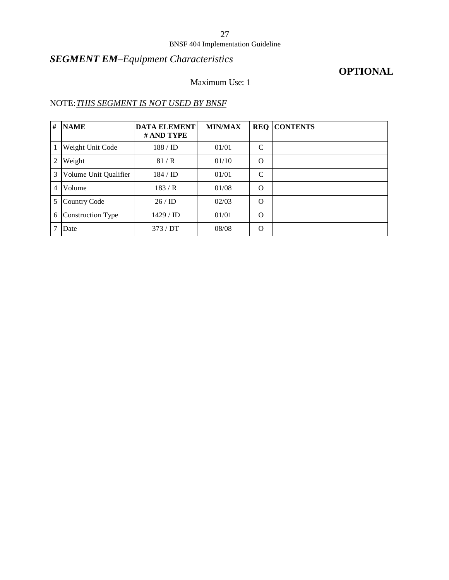#### BNSF 404 Implementation Guideline

## *SEGMENT EM–Equipment Characteristics*

### **OPTIONAL**

### Maximum Use: 1

### NOTE:*THIS SEGMENT IS NOT USED BY BNSF*

| # | <b>NAME</b>           | <b>DATA ELEMENT</b><br># AND TYPE | <b>MIN/MAX</b> |              | <b>REQ CONTENTS</b> |
|---|-----------------------|-----------------------------------|----------------|--------------|---------------------|
|   | Weight Unit Code      | $188 /$ ID                        | 01/01          | C            |                     |
| 2 | Weight                | 81/R                              | 01/10          | $\Omega$     |                     |
| 3 | Volume Unit Qualifier | $184 /$ ID                        | 01/01          | $\mathsf{C}$ |                     |
| 4 | Volume                | 183/R                             | 01/08          | $\Omega$     |                     |
| 5 | Country Code          | 26/ID                             | 02/03          | $\Omega$     |                     |
| 6 | Construction Type     | 1429 / <b>ID</b>                  | 01/01          | $\Omega$     |                     |
|   | Date                  | 373/DT                            | 08/08          | $\Omega$     |                     |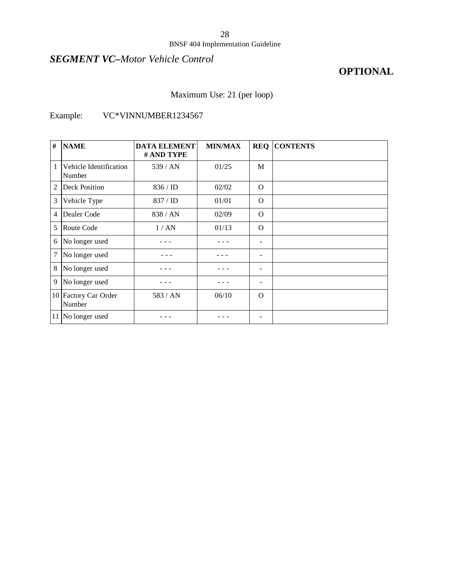#### BNSF 404 Implementation Guideline

### *SEGMENT VC–Motor Vehicle Control*

### **OPTIONAL**

### Maximum Use: 21 (per loop)

### Example: VC\*VINNUMBER1234567

| #              | <b>NAME</b>                      | <b>DATA ELEMENT</b><br># AND TYPE | <b>MIN/MAX</b> | <b>REQ</b>               | <b>CONTENTS</b> |
|----------------|----------------------------------|-----------------------------------|----------------|--------------------------|-----------------|
| 1              | Vehicle Identification<br>Number | 539/AN                            | 01/25          | M                        |                 |
| 2              | <b>Deck Position</b>             | 836 / ID                          | 02/02          | $\Omega$                 |                 |
| 3              | Vehicle Type                     | 837 / ID                          | 01/01          | $\Omega$                 |                 |
| $\overline{4}$ | Dealer Code                      | 838/AN                            | 02/09          | $\Omega$                 |                 |
| 5              | Route Code                       | 1/AN                              | 01/13          | $\Omega$                 |                 |
| 6              | No longer used                   |                                   |                | $\overline{a}$           |                 |
| 7              | No longer used                   |                                   |                |                          |                 |
| 8              | No longer used                   |                                   |                | $\overline{\phantom{a}}$ |                 |
| 9              | No longer used                   |                                   |                | $\overline{\phantom{a}}$ |                 |
|                | 10 Factory Car Order<br>Number   | 583 / AN                          | 06/10          | $\Omega$                 |                 |
|                | 11 No longer used                |                                   |                | $\overline{\phantom{0}}$ |                 |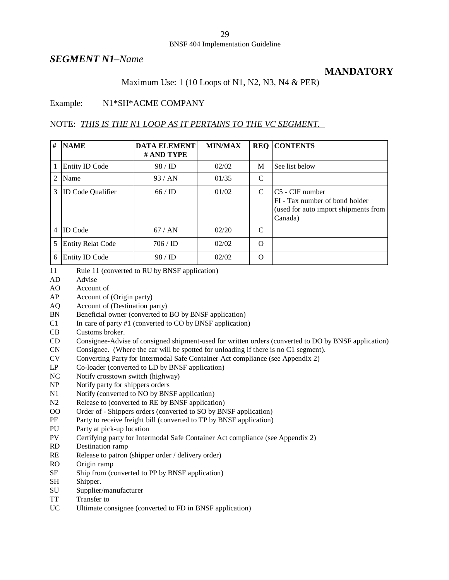#### *SEGMENT N1–Name*

### **MANDATORY**

#### Maximum Use: 1 (10 Loops of N1, N2, N3, N4 & PER)

#### Example: N1\*SH\*ACME COMPANY

#### NOTE: *THIS IS THE N1 LOOP AS IT PERTAINS TO THE VC SEGMENT.*

| # | <b>NAME</b>              | <b>DATA ELEMENT</b><br># AND TYPE | <b>MIN/MAX</b> |          | <b>REQ CONTENTS</b>                                                                                   |
|---|--------------------------|-----------------------------------|----------------|----------|-------------------------------------------------------------------------------------------------------|
| 1 | <b>Entity ID Code</b>    | 98/ID                             | 02/02          | M        | See list below                                                                                        |
| 2 | Name                     | 93/AN                             | 01/35          | C        |                                                                                                       |
| 3 | <b>ID</b> Code Qualifier | 66/ID                             | 01/02          | C        | IC5 - CIF number<br>FI - Tax number of bond holder<br>(used for auto import shipments from<br>Canada) |
| 4 | <b>ID</b> Code           | 67/AN                             | 02/20          | C        |                                                                                                       |
| 5 | <b>Entity Relat Code</b> | 706 / ID                          | 02/02          | $\Omega$ |                                                                                                       |
| 6 | <b>Entity ID Code</b>    | 98/ID                             | 02/02          | $\Omega$ |                                                                                                       |

- 11 Rule 11 (converted to RU by BNSF application)
- AD Advise
- AO Account of
- AP Account of (Origin party)
- AQ Account of (Destination party)
- BN Beneficial owner (converted to BO by BNSF application)
- $C1$  In care of party #1 (converted to  $C0$  by BNSF application)
- CB Customs broker.
- CD Consignee-Advise of consigned shipment-used for written orders (converted to DO by BNSF application)
- CN Consignee. (Where the car will be spotted for unloading if there is no C1 segment).
- CV Converting Party for Intermodal Safe Container Act compliance (see Appendix 2)
- LP Co-loader (converted to LD by BNSF application)
- NC Notify crosstown switch (highway)
- NP Notify party for shippers orders
- N1 Notify (converted to NO by BNSF application)
- N2 Release to (converted to RE by BNSF application)
- OO Order of Shippers orders (converted to SO by BNSF application)
- PF Party to receive freight bill (converted to TP by BNSF application)
- PU Party at pick-up location
- PV Certifying party for Intermodal Safe Container Act compliance (see Appendix 2)
- RD Destination ramp
- RE Release to patron (shipper order / delivery order)
- RO Origin ramp
- SF Ship from (converted to PP by BNSF application)
- SH Shipper.
- SU Supplier/manufacturer
- TT Transfer to
- UC Ultimate consignee (converted to FD in BNSF application)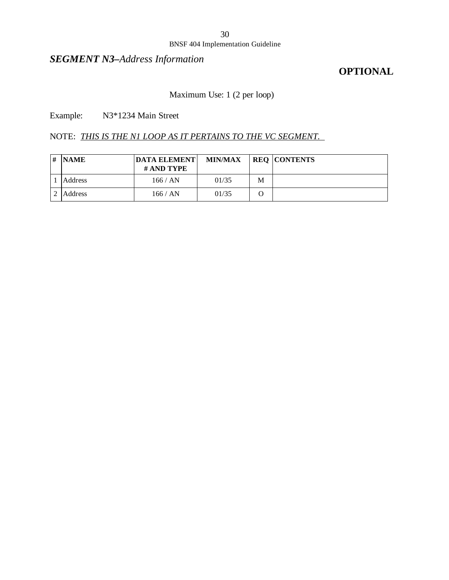#### BNSF 404 Implementation Guideline

### *SEGMENT N3–Address Information*

### **OPTIONAL**

### Maximum Use: 1 (2 per loop)

Example: N3\*1234 Main Street

#### NOTE: *THIS IS THE N1 LOOP AS IT PERTAINS TO THE VC SEGMENT.*

| # | <b>NAME</b> | <b>DATA ELEMENT</b><br># AND TYPE | <b>MIN/MAX</b> |   | <b>REQ CONTENTS</b> |
|---|-------------|-----------------------------------|----------------|---|---------------------|
|   | Address     | 166 / AN                          | 01/35          | M |                     |
|   | Address     | 166 / AN                          | 01/35          |   |                     |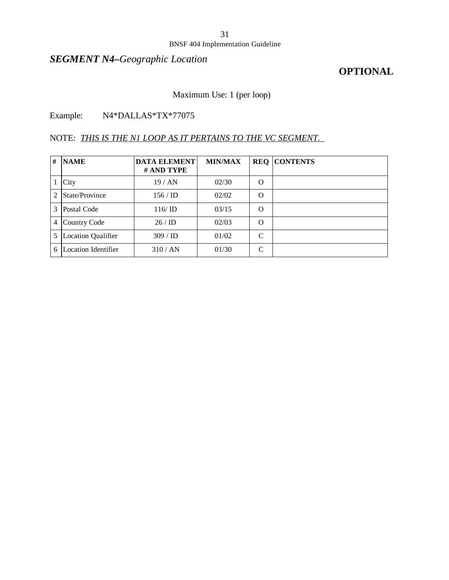#### BNSF 404 Implementation Guideline

## *SEGMENT N4–Geographic Location*

### **OPTIONAL**

### Maximum Use: 1 (per loop)

### Example: N4\*DALLAS\*TX\*77075

### NOTE: *THIS IS THE N1 LOOP AS IT PERTAINS TO THE VC SEGMENT.*

| # | <b>NAME</b>               | <b>DATA ELEMENT</b><br># AND TYPE | <b>MIN/MAX</b> |               | <b>REQ CONTENTS</b> |
|---|---------------------------|-----------------------------------|----------------|---------------|---------------------|
|   | City                      | 19/AN                             | 02/30          | $\Omega$      |                     |
| 2 | State/Province            | $156 /$ ID                        | 02/02          | $\Omega$      |                     |
| 3 | Postal Code               | 116/ID                            | 03/15          | $\Omega$      |                     |
| 4 | <b>Country Code</b>       | 26/ID                             | 02/03          | $\Omega$      |                     |
| 5 | <b>Location Qualifier</b> | 309 / ID                          | 01/02          | $\mathcal{C}$ |                     |
| 6 | Location Identifier       | 310/AN                            | 01/30          | $\mathcal{C}$ |                     |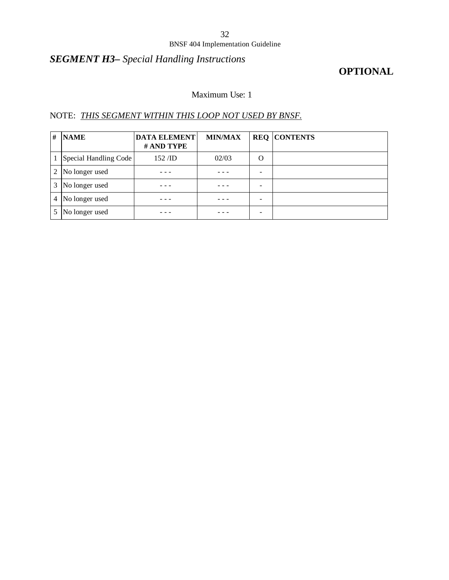#### BNSF 404 Implementation Guideline

## *SEGMENT H3– Special Handling Instructions*

### **OPTIONAL**

### Maximum Use: 1

### NOTE: *THIS SEGMENT WITHIN THIS LOOP NOT USED BY BNSF.*

| # | <b>NAME</b>           | <b>DATA ELEMENT</b><br># AND TYPE | <b>MIN/MAX</b> |   | <b>REQ CONTENTS</b> |
|---|-----------------------|-----------------------------------|----------------|---|---------------------|
|   | Special Handling Code | $152$ /ID                         | 02/03          | O |                     |
| 2 | No longer used        |                                   |                |   |                     |
| 3 | No longer used        |                                   |                |   |                     |
| 4 | No longer used        |                                   |                |   |                     |
|   | No longer used        |                                   |                |   |                     |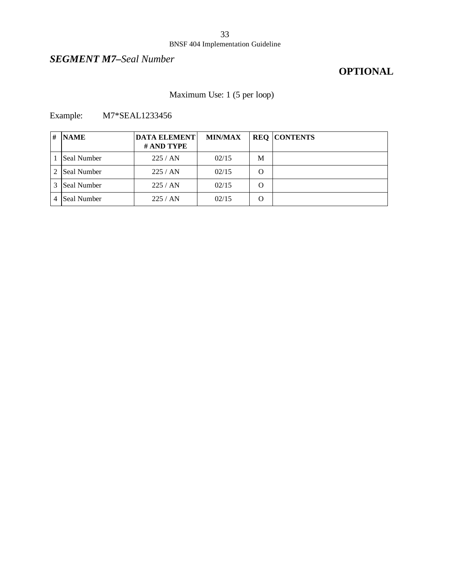#### BNSF 404 Implementation Guideline

### *SEGMENT M7–Seal Number*

## **OPTIONAL**

### Maximum Use: 1 (5 per loop)

Example: M7\*SEAL1233456

| # | <b>NAME</b>        | <b>DATA ELEMENT</b><br># AND TYPE | <b>MIN/MAX</b> |   | <b>REQ CONTENTS</b> |
|---|--------------------|-----------------------------------|----------------|---|---------------------|
|   | Seal Number        | 225/AN                            | 02/15          | M |                     |
|   | <b>Seal Number</b> | 225/AN                            | 02/15          | O |                     |
|   | <b>Seal Number</b> | 225/AN                            | 02/15          | O |                     |
| 4 | Seal Number        | 225 / AN                          | 02/15          | Ω |                     |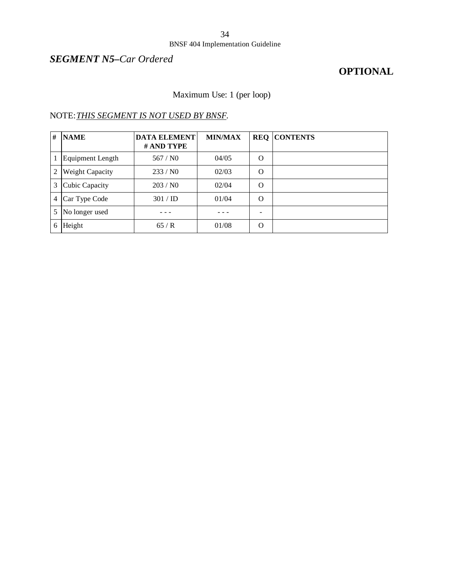#### BNSF 404 Implementation Guideline

### *SEGMENT N5–Car Ordered*

### **OPTIONAL**

### Maximum Use: 1 (per loop)

### NOTE:*THIS SEGMENT IS NOT USED BY BNSF.*

| # | <b>NAME</b>            | <b>DATA ELEMENT</b><br># AND TYPE | <b>MIN/MAX</b> |          | <b>REQ CONTENTS</b> |
|---|------------------------|-----------------------------------|----------------|----------|---------------------|
|   | Equipment Length       | 567/N0                            | 04/05          | $\Omega$ |                     |
| 2 | <b>Weight Capacity</b> | 233/N0                            | 02/03          | O        |                     |
| 3 | Cubic Capacity         | 203/N0                            | 02/04          | $\Omega$ |                     |
| 4 | Car Type Code          | 301 / ID                          | 01/04          | $\Omega$ |                     |
| 5 | No longer used         |                                   |                | -        |                     |
| 6 | Height                 | 65/R                              | 01/08          | $\Omega$ |                     |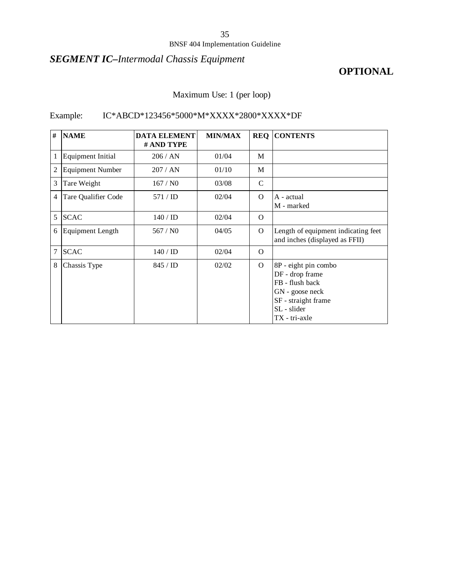#### BNSF 404 Implementation Guideline

## *SEGMENT IC–Intermodal Chassis Equipment*

### **OPTIONAL**

### Maximum Use: 1 (per loop)

### Example: IC\*ABCD\*123456\*5000\*M\*XXXX\*2800\*XXXX\*DF

| #              | <b>NAME</b>              | <b>DATA ELEMENT</b> | <b>MIN/MAX</b> | <b>REQ</b>    | <b>CONTENTS</b>                                                                                                                      |
|----------------|--------------------------|---------------------|----------------|---------------|--------------------------------------------------------------------------------------------------------------------------------------|
|                |                          | # AND TYPE          |                |               |                                                                                                                                      |
| 1              | <b>Equipment Initial</b> | 206 / AN            | 01/04          | M             |                                                                                                                                      |
| 2              | <b>Equipment Number</b>  | 207 / AN            | 01/10          | M             |                                                                                                                                      |
| 3              | Tare Weight              | 167/N0              | 03/08          | $\mathcal{C}$ |                                                                                                                                      |
| $\overline{4}$ | Tare Qualifier Code      | 571 / ID            | 02/04          | $\Omega$      | A - actual<br>M - marked                                                                                                             |
| 5              | <b>SCAC</b>              | $140 /$ ID          | 02/04          | $\Omega$      |                                                                                                                                      |
| 6              | <b>Equipment Length</b>  | 567/N0              | 04/05          | $\Omega$      | Length of equipment indicating feet<br>and inches (displayed as FFII)                                                                |
| 7              | <b>SCAC</b>              | 140 / ID            | 02/04          | $\Omega$      |                                                                                                                                      |
| 8              | Chassis Type             | 845 / ID            | 02/02          | $\Omega$      | 8P - eight pin combo<br>DF - drop frame<br>FB - flush back<br>GN - goose neck<br>SF - straight frame<br>SL - slider<br>TX - tri-axle |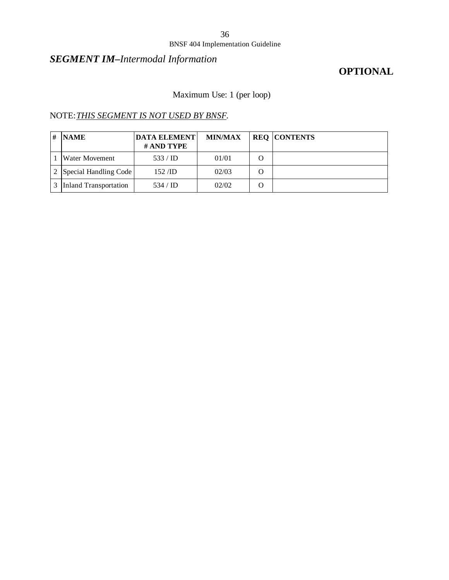#### BNSF 404 Implementation Guideline

## *SEGMENT IM–Intermodal Information*

### **OPTIONAL**

### Maximum Use: 1 (per loop)

### NOTE:*THIS SEGMENT IS NOT USED BY BNSF.*

| # | <b>NAME</b>                  | <b>DATA ELEMENT</b><br># AND TYPE | <b>MIN/MAX</b> | <b>REQ CONTENTS</b> |
|---|------------------------------|-----------------------------------|----------------|---------------------|
|   | Water Movement               | 533 / ID                          | 01/01          |                     |
|   | 2 Special Handling Code      | $152$ /ID                         | 02/03          |                     |
|   | <b>Inland Transportation</b> | 534 / ID                          | 02/02          |                     |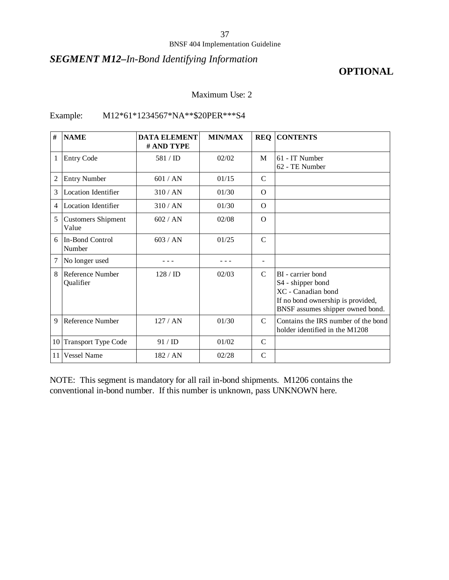## *SEGMENT M12–In-Bond Identifying Information*

# **OPTIONAL**

#### Maximum Use: 2

#### Example: M12\*61\*1234567\*NA\*\*\$20PER\*\*\*S4

| #  | <b>NAME</b>                        | <b>DATA ELEMENT</b><br># AND TYPE | <b>MIN/MAX</b> | <b>REQ</b>    | <b>CONTENTS</b>                                                                                                                       |
|----|------------------------------------|-----------------------------------|----------------|---------------|---------------------------------------------------------------------------------------------------------------------------------------|
| 1  | <b>Entry Code</b>                  | 581 / ID                          | 02/02          | M             | 61 - IT Number<br>62 - TE Number                                                                                                      |
| 2  | <b>Entry Number</b>                | 601 / AN                          | 01/15          | $\mathcal{C}$ |                                                                                                                                       |
| 3  | Location Identifier                | 310/AN                            | 01/30          | $\Omega$      |                                                                                                                                       |
| 4  | <b>Location Identifier</b>         | 310/AN                            | 01/30          | $\Omega$      |                                                                                                                                       |
| 5  | <b>Customers Shipment</b><br>Value | 602 / AN                          | 02/08          | $\Omega$      |                                                                                                                                       |
| 6  | In-Bond Control<br>Number          | 603/AN                            | 01/25          | $\mathcal{C}$ |                                                                                                                                       |
| 7  | No longer used                     |                                   |                |               |                                                                                                                                       |
| 8  | Reference Number<br>Qualifier      | 128/ID                            | 02/03          | $\mathcal{C}$ | BI - carrier bond<br>S4 - shipper bond<br>XC - Canadian bond<br>If no bond ownership is provided,<br>BNSF assumes shipper owned bond. |
| 9  | Reference Number                   | 127/AN                            | 01/30          | $\mathcal{C}$ | Contains the IRS number of the bond<br>holder identified in the M1208                                                                 |
| 10 | <b>Transport Type Code</b>         | 91 / ID                           | 01/02          | $\mathcal{C}$ |                                                                                                                                       |
| 11 | <b>Vessel Name</b>                 | 182/AN                            | 02/28          | $\mathsf{C}$  |                                                                                                                                       |

NOTE: This segment is mandatory for all rail in-bond shipments. M1206 contains the conventional in-bond number. If this number is unknown, pass UNKNOWN here.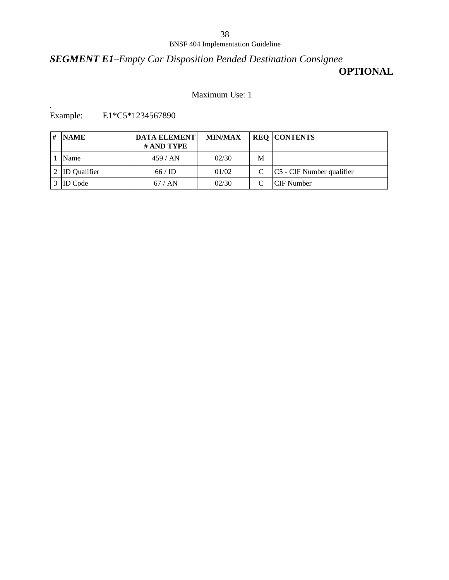# *SEGMENT E1–Empty Car Disposition Pended Destination Consignee* **OPTIONAL**

#### Maximum Use: 1

*.* E1\*C5\*1234567890

| <b>NAME</b>         | <b>DATA ELEMENT</b><br># AND TYPE | <b>MIN/MAX</b> |   | <b>REQ CONTENTS</b>          |
|---------------------|-----------------------------------|----------------|---|------------------------------|
| Name                | 459/AN                            | 02/30          | M |                              |
| <b>ID</b> Qualifier | 66/ID                             | 01/02          |   | $ C5 - CIF$ Number qualifier |
| <b>ID</b> Code      | 67/AN                             | 02/30          |   | ICIF Number                  |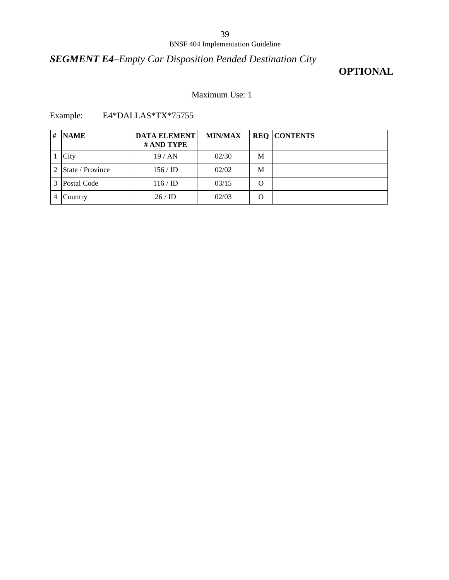# *SEGMENT E4–Empty Car Disposition Pended Destination City*

# **OPTIONAL**

## Maximum Use: 1

Example: E4\*DALLAS\*TX\*75755

| # | <b>NAME</b>      | <b>DATA ELEMENT</b><br># AND TYPE | <b>MIN/MAX</b> |   | <b>REQ CONTENTS</b> |
|---|------------------|-----------------------------------|----------------|---|---------------------|
|   | City             | 19/AN                             | 02/30          | M |                     |
|   | State / Province | $156 /$ ID                        | 02/02          | M |                     |
| 3 | Postal Code      | 116/ID                            | 03/15          | O |                     |
|   | Country          | 26/ID                             | 02/03          | O |                     |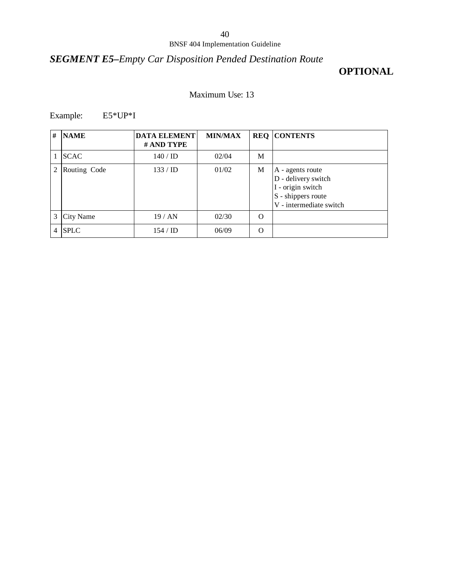# *SEGMENT E5–Empty Car Disposition Pended Destination Route*

# **OPTIONAL**

### Maximum Use: 13

Example: E5\*UP\*I

| # | <b>NAME</b>      | <b>DATA ELEMENT</b><br># AND TYPE | <b>MIN/MAX</b> |          | <b>REQ CONTENTS</b>                                                                                           |
|---|------------------|-----------------------------------|----------------|----------|---------------------------------------------------------------------------------------------------------------|
|   | <b>SCAC</b>      | $140 /$ ID                        | 02/04          | M        |                                                                                                               |
| 2 | Routing Code     | 133 / ID                          | 01/02          | M        | A - agents route<br>D - delivery switch<br>I - origin switch<br>S - shippers route<br>V - intermediate switch |
| 3 | <b>City Name</b> | 19/AN                             | 02/30          | $\Omega$ |                                                                                                               |
|   | <b>SPLC</b>      | $154 / \mathrm{ID}$               | 06/09          | $\Omega$ |                                                                                                               |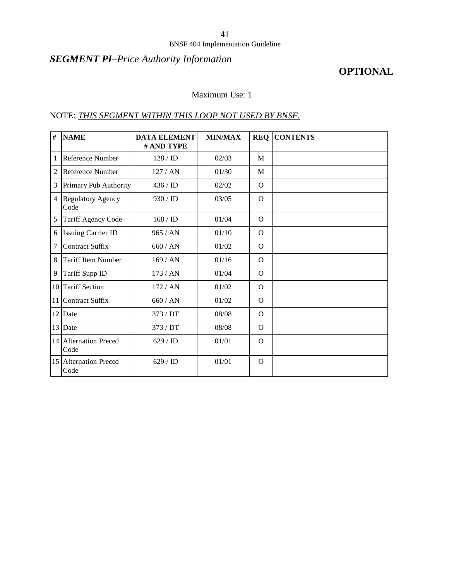## *SEGMENT PI–Price Authority Information*

## **OPTIONAL**

## Maximum Use: 1

### NOTE: *THIS SEGMENT WITHIN THIS LOOP NOT USED BY BNSF.*

| $\#$           | <b>NAME</b>                      | <b>DATA ELEMENT</b><br># AND TYPE | <b>MIN/MAX</b> | <b>REQ</b> | <b>CONTENTS</b> |
|----------------|----------------------------------|-----------------------------------|----------------|------------|-----------------|
| 1              | Reference Number                 | 128 / ID                          | 02/03          | M          |                 |
| $\overline{2}$ | Reference Number                 | 127/AN                            | 01/30          | M          |                 |
| 3              | Primary Pub Authority            | $436 / \mathrm{ID}$               | 02/02          | $\Omega$   |                 |
| $\overline{4}$ | <b>Regulatory Agency</b><br>Code | 930 / ID                          | 03/05          | $\Omega$   |                 |
| 5              | Tariff Agency Code               | 168 / ID                          | 01/04          | $\Omega$   |                 |
| 6              | <b>Issuing Carrier ID</b>        | 965 / AN                          | 01/10          | $\Omega$   |                 |
| 7              | <b>Contract Suffix</b>           | 660/AN                            | 01/02          | $\Omega$   |                 |
| 8              | <b>Tariff Item Number</b>        | 169/AN                            | 01/16          | $\Omega$   |                 |
| 9              | Tariff Supp ID                   | 173/AN                            | 01/04          | $\Omega$   |                 |
| 10             | <b>Tariff Section</b>            | 172/AN                            | 01/02          | $\Omega$   |                 |
| 11             | <b>Contract Suffix</b>           | 660/AN                            | 01/02          | $\Omega$   |                 |
| 12             | Date                             | 373 / DT                          | 08/08          | $\Omega$   |                 |
| 13             | Date                             | 373 / DT                          | 08/08          | $\Omega$   |                 |
|                | 14 Alternation Preced<br>Code    | 629 / ID                          | 01/01          | $\Omega$   |                 |
|                | 15 Alternation Preced<br>Code    | 629 / ID                          | 01/01          | $\Omega$   |                 |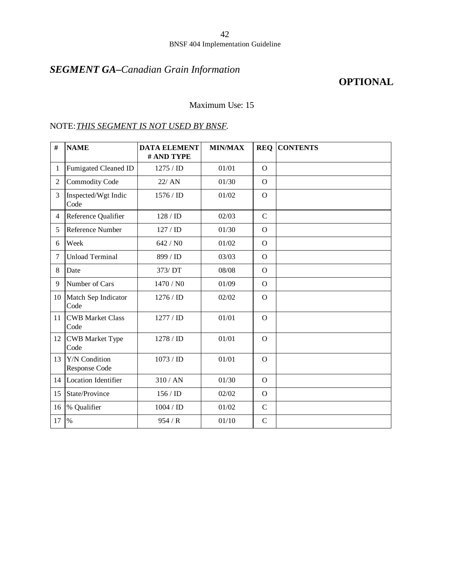# *SEGMENT GA–Canadian Grain Information*

## **OPTIONAL**

Maximum Use: 15

### NOTE:*THIS SEGMENT IS NOT USED BY BNSF.*

| #              | <b>NAME</b>                     | <b>DATA ELEMENT</b><br># AND TYPE | <b>MIN/MAX</b> | <b>REQ</b>     | <b>CONTENTS</b> |
|----------------|---------------------------------|-----------------------------------|----------------|----------------|-----------------|
| 1              | Fumigated Cleaned ID            | 1275 / <b>ID</b>                  | 01/01          | $\mathbf{O}$   |                 |
| $\overline{2}$ | <b>Commodity Code</b>           | 22/ AN                            | 01/30          | $\Omega$       |                 |
| 3              | Inspected/Wgt Indic<br>Code     | 1576 / ID                         | 01/02          | $\overline{O}$ |                 |
| $\overline{4}$ | Reference Qualifier             | 128 / ID                          | 02/03          | $\mathbf C$    |                 |
| 5              | Reference Number                | 127/ID                            | 01/30          | $\Omega$       |                 |
| 6              | Week                            | 642 / N0                          | 01/02          | $\Omega$       |                 |
| 7              | <b>Unload Terminal</b>          | 899 / ID                          | 03/03          | $\mathbf{O}$   |                 |
| 8              | Date                            | 373/DT                            | 08/08          | $\Omega$       |                 |
| 9              | Number of Cars                  | 1470 / NO                         | 01/09          | $\Omega$       |                 |
|                | 10 Match Sep Indicator<br>Code  | 1276 / ID                         | 02/02          | $\Omega$       |                 |
| 11             | <b>CWB Market Class</b><br>Code | 1277 / ID                         | 01/01          | $\overline{O}$ |                 |
| 12             | <b>CWB</b> Market Type<br>Code  | 1278 / ID                         | 01/01          | $\mathbf{O}$   |                 |
| 13             | Y/N Condition<br>Response Code  | 1073 / ID                         | 01/01          | $\Omega$       |                 |
| 14             | Location Identifier             | 310 / AN                          | 01/30          | $\Omega$       |                 |
| 15             | State/Province                  | 156/ID                            | 02/02          | $\mathbf{O}$   |                 |
| 16             | % Qualifier                     | 1004 / ID                         | 01/02          | $\mathbf C$    |                 |
| 17             | $\%$                            | 954/R                             | 01/10          | $\mathbf C$    |                 |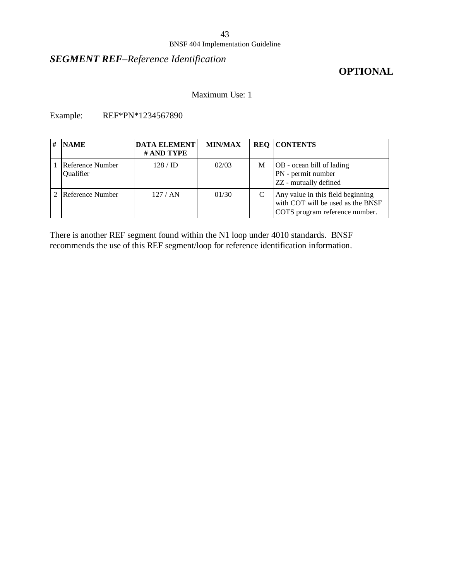#### BNSF 404 Implementation Guideline

## *SEGMENT REF–Reference Identification*

# **OPTIONAL**

Maximum Use: 1

Example: REF\*PN\*1234567890

| # | <b>NAME</b>                   | <b>DATA ELEMENT</b><br># AND TYPE | <b>MIN/MAX</b> |   | <b>REQ CONTENTS</b>                                                                                      |
|---|-------------------------------|-----------------------------------|----------------|---|----------------------------------------------------------------------------------------------------------|
|   | Reference Number<br>Qualifier | $128 / \mathrm{ID}$               | 02/03          | M | <b>OB</b> - ocean bill of lading<br>PN - permit number<br>ZZ - mutually defined                          |
|   | Reference Number              | 127/AN                            | 01/30          |   | Any value in this field beginning<br>with COT will be used as the BNSF<br>COTS program reference number. |

There is another REF segment found within the N1 loop under 4010 standards. BNSF recommends the use of this REF segment/loop for reference identification information.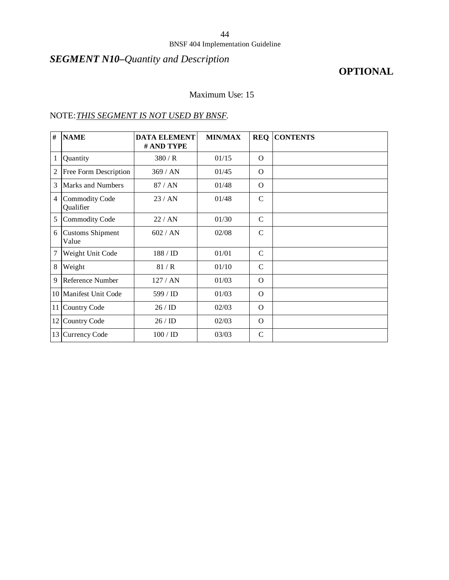#### BNSF 404 Implementation Guideline

# *SEGMENT N10–Quantity and Description*

# **OPTIONAL**

#### Maximum Use: 15

### NOTE:*THIS SEGMENT IS NOT USED BY BNSF.*

| #              | <b>NAME</b>                        | <b>DATA ELEMENT</b><br># AND TYPE | <b>MIN/MAX</b> | <b>REQ</b>    | <b>CONTENTS</b> |
|----------------|------------------------------------|-----------------------------------|----------------|---------------|-----------------|
| $\mathbf{1}$   | Quantity                           | 380/R                             | 01/15          | $\Omega$      |                 |
| $\overline{2}$ | Free Form Description              | 369/AN                            | 01/45          | $\Omega$      |                 |
| 3              | Marks and Numbers                  | 87/AN                             | 01/48          | $\Omega$      |                 |
| $\overline{4}$ | <b>Commodity Code</b><br>Qualifier | 23/AN                             | 01/48          | $\mathsf{C}$  |                 |
| 5              | <b>Commodity Code</b>              | 22 / AN                           | 01/30          | $\mathsf{C}$  |                 |
| 6              | <b>Customs Shipment</b><br>Value   | 602 / AN                          | 02/08          | $\mathsf{C}$  |                 |
| 7              | Weight Unit Code                   | 188 / ID                          | 01/01          | $\mathcal{C}$ |                 |
| 8              | Weight                             | 81/R                              | 01/10          | $\mathcal{C}$ |                 |
| 9              | Reference Number                   | 127/AN                            | 01/03          | $\Omega$      |                 |
|                | 10 Manifest Unit Code              | 599 / ID                          | 01/03          | $\Omega$      |                 |
|                | 11 Country Code                    | 26/ID                             | 02/03          | $\Omega$      |                 |
| 12             | <b>Country Code</b>                | 26/ID                             | 02/03          | $\Omega$      |                 |
| 13             | Currency Code                      | 100 / ID                          | 03/03          | $\mathsf{C}$  |                 |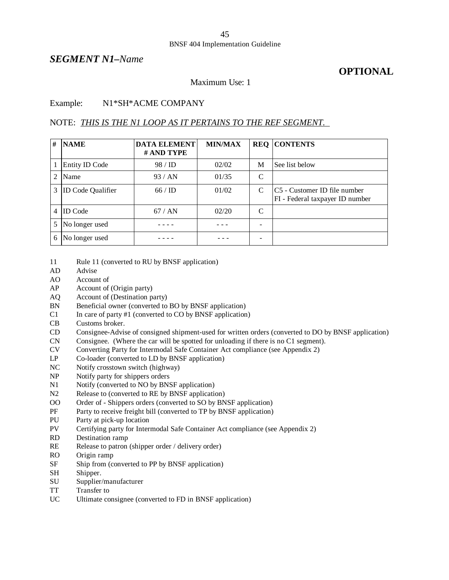#### *SEGMENT N1–Name*

## **OPTIONAL**

#### Maximum Use: 1

#### Example: N1\*SH\*ACME COMPANY

#### NOTE: *THIS IS THE N1 LOOP AS IT PERTAINS TO THE REF SEGMENT.*

| # | <b>NAME</b>              | <b>DATA ELEMENT</b><br># AND TYPE | <b>MIN/MAX</b> |   | <b>REQ CONTENTS</b>                                             |
|---|--------------------------|-----------------------------------|----------------|---|-----------------------------------------------------------------|
|   | Entity ID Code           | 98 / ID                           | 02/02          | M | See list below                                                  |
| 2 | Name                     | 93/AN                             | 01/35          | C |                                                                 |
| 3 | <b>ID</b> Code Qualifier | 66/ID                             | 01/02          | C | C5 - Customer ID file number<br>FI - Federal taxpayer ID number |
| 4 | <b>ID</b> Code           | 67/AN                             | 02/20          | C |                                                                 |
| 5 | No longer used           |                                   |                |   |                                                                 |
| 6 | No longer used           |                                   |                |   |                                                                 |

- 11 Rule 11 (converted to RU by BNSF application)
- AD Advise
- AO Account of
- AP Account of (Origin party)
- AQ Account of (Destination party)
- BN Beneficial owner (converted to BO by BNSF application)
- C1 In care of party #1 (converted to CO by BNSF application)
- CB Customs broker.
- CD Consignee-Advise of consigned shipment-used for written orders (converted to DO by BNSF application)
- CN Consignee. (Where the car will be spotted for unloading if there is no C1 segment).
- CV Converting Party for Intermodal Safe Container Act compliance (see Appendix 2)
- LP Co-loader (converted to LD by BNSF application)
- NC Notify crosstown switch (highway)
- NP Notify party for shippers orders
- N1 Notify (converted to NO by BNSF application)
- N2 Release to (converted to RE by BNSF application)
- OO Order of Shippers orders (converted to SO by BNSF application)
- PF Party to receive freight bill (converted to TP by BNSF application)
- PU Party at pick-up location
- PV Certifying party for Intermodal Safe Container Act compliance (see Appendix 2)
- RD Destination ramp
- RE Release to patron (shipper order / delivery order)
- RO Origin ramp
- SF Ship from (converted to PP by BNSF application)
- SH Shipper.
- SU Supplier/manufacturer
- TT Transfer to
- UC Ultimate consignee (converted to FD in BNSF application)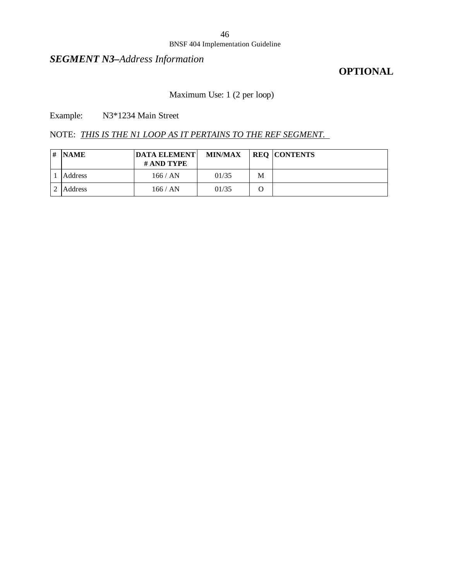#### BNSF 404 Implementation Guideline

## *SEGMENT N3–Address Information*

## **OPTIONAL**

### Maximum Use: 1 (2 per loop)

Example: N3\*1234 Main Street

NOTE: *THIS IS THE N1 LOOP AS IT PERTAINS TO THE REF SEGMENT.* 

| # | <b>NAME</b> | <b>DATA ELEMENT</b><br># AND TYPE | <b>MIN/MAX</b> |   | <b>REQ CONTENTS</b> |
|---|-------------|-----------------------------------|----------------|---|---------------------|
|   | Address     | 166 / AN                          | 01/35          | M |                     |
|   | Address     | 166 / AN                          | 01/35          |   |                     |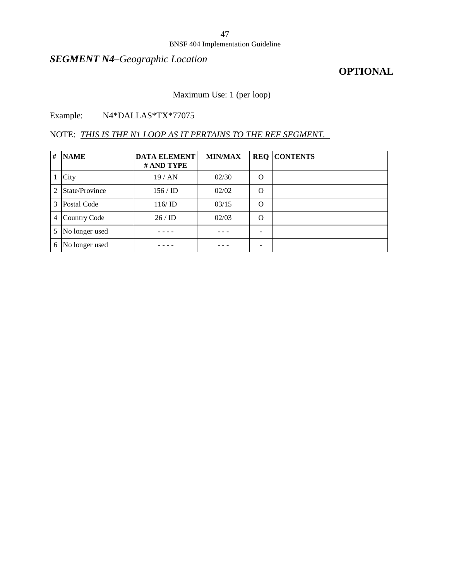#### BNSF 404 Implementation Guideline

# *SEGMENT N4–Geographic Location*

## **OPTIONAL**

## Maximum Use: 1 (per loop)

### Example: N4\*DALLAS\*TX\*77075

### NOTE: *THIS IS THE N1 LOOP AS IT PERTAINS TO THE REF SEGMENT.*

| # | <b>NAME</b>    | <b>DATA ELEMENT</b><br># AND TYPE | <b>MIN/MAX</b> |          | <b>REQ CONTENTS</b> |
|---|----------------|-----------------------------------|----------------|----------|---------------------|
|   | City           | 19/AN                             | 02/30          | O        |                     |
| 2 | State/Province | $156 / \mathrm{ID}$               | 02/02          | $\Omega$ |                     |
| 3 | Postal Code    | 116/ID                            | 03/15          | $\Omega$ |                     |
| 4 | Country Code   | 26/ID                             | 02/03          | $\Omega$ |                     |
| 5 | No longer used |                                   |                |          |                     |
| 6 | No longer used |                                   |                |          |                     |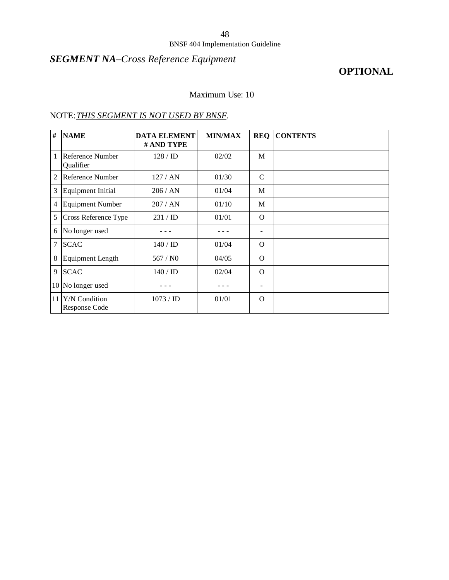# *SEGMENT NA–Cross Reference Equipment*

# **OPTIONAL**

#### Maximum Use: 10

### NOTE:*THIS SEGMENT IS NOT USED BY BNSF.*

| #              | <b>NAME</b>                           | <b>DATA ELEMENT</b><br># AND TYPE | <b>MIN/MAX</b> | <b>REQ</b>        | <b>CONTENTS</b> |
|----------------|---------------------------------------|-----------------------------------|----------------|-------------------|-----------------|
| 1              | Reference Number<br>Qualifier         | $128 /$ ID                        | 02/02          | M                 |                 |
| $\overline{2}$ | Reference Number                      | 127/AN                            | 01/30          | $\mathcal{C}$     |                 |
| 3              | <b>Equipment Initial</b>              | 206 / AN                          | 01/04          | M                 |                 |
| $\overline{4}$ | <b>Equipment Number</b>               | 207/AN                            | 01/10          | M                 |                 |
| 5              | Cross Reference Type                  | 231 / ID                          | 01/01          | $\Omega$          |                 |
| 6              | No longer used                        |                                   |                | $\qquad \qquad -$ |                 |
| $\tau$         | <b>SCAC</b>                           | $140 /$ ID                        | 01/04          | $\Omega$          |                 |
| 8              | <b>Equipment Length</b>               | 567/N0                            | 04/05          | $\Omega$          |                 |
| 9              | <b>SCAC</b>                           | $140 /$ ID                        | 02/04          | $\Omega$          |                 |
| 10             | No longer used                        |                                   |                | $\qquad \qquad$   |                 |
| 11             | Y/N Condition<br><b>Response Code</b> | 1073 / ID                         | 01/01          | $\Omega$          |                 |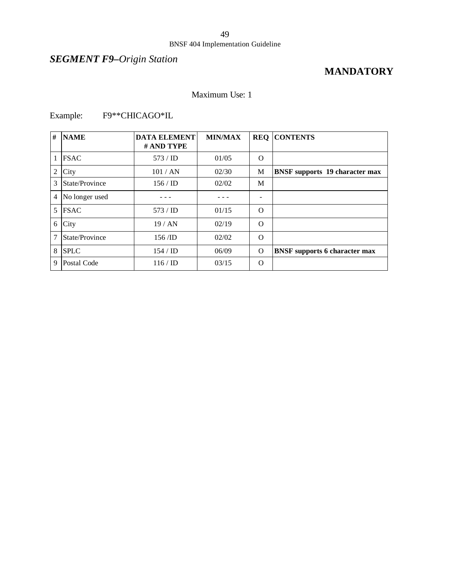# *SEGMENT F9–Origin Station*

# **MANDATORY**

#### Maximum Use: 1

## Example: F9\*\*CHICAGO\*IL

| #              | <b>NAME</b>    | <b>DATA ELEMENT</b><br># AND TYPE | <b>MIN/MAX</b> | <b>REQ</b>      | <b>CONTENTS</b>                       |
|----------------|----------------|-----------------------------------|----------------|-----------------|---------------------------------------|
|                | <b>FSAC</b>    | 573 / <b>ID</b>                   | 01/05          | $\Omega$        |                                       |
| 2              | City           | 101 / AN                          | 02/30          | M               | <b>BNSF</b> supports 19 character max |
| 3              | State/Province | $156 / \mathrm{ID}$               | 02/02          | M               |                                       |
| $\overline{4}$ | No longer used |                                   |                | $\qquad \qquad$ |                                       |
| 5              | <b>FSAC</b>    | 573 / <b>ID</b>                   | 01/15          | $\Omega$        |                                       |
| 6              | City           | 19/AN                             | 02/19          | $\Omega$        |                                       |
| 7              | State/Province | 156/ID                            | 02/02          | $\Omega$        |                                       |
| 8              | <b>SPLC</b>    | $154 / \mathrm{ID}$               | 06/09          | $\Omega$        | <b>BNSF</b> supports 6 character max  |
| 9              | Postal Code    | $116 / \text{ID}$                 | 03/15          | $\Omega$        |                                       |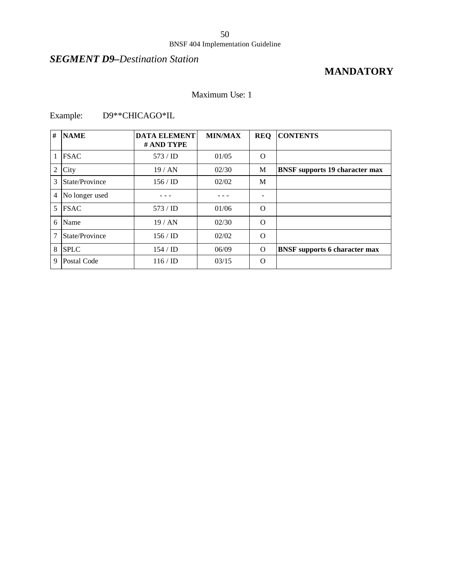# *SEGMENT D9–Destination Station*

# **MANDATORY**

#### Maximum Use: 1

## Example: D9\*\*CHICAGO\*IL

| # | <b>NAME</b>    | <b>DATA ELEMENT</b><br># AND TYPE | <b>MIN/MAX</b> | <b>REQ</b> | <b>CONTENTS</b>                       |
|---|----------------|-----------------------------------|----------------|------------|---------------------------------------|
| 1 | <b>FSAC</b>    | $573 /$ ID                        | 01/05          | $\Omega$   |                                       |
| 2 | City           | 19/AN                             | 02/30          | М          | <b>BNSF</b> supports 19 character max |
| 3 | State/Province | 156/ID                            | 02/02          | M          |                                       |
| 4 | No longer used |                                   |                |            |                                       |
| 5 | <b>FSAC</b>    | 573 / <b>ID</b>                   | 01/06          | $\Omega$   |                                       |
| 6 | Name           | 19/AN                             | 02/30          | $\Omega$   |                                       |
| 7 | State/Province | $156 /$ ID                        | 02/02          | $\Omega$   |                                       |
| 8 | <b>SPLC</b>    | $154 / \mathrm{ID}$               | 06/09          | $\Omega$   | <b>BNSF</b> supports 6 character max  |
| 9 | Postal Code    | $116 / \text{ID}$                 | 03/15          | $\Omega$   |                                       |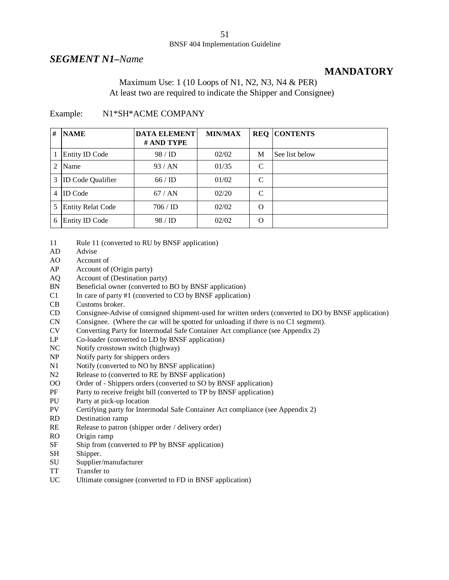#### *SEGMENT N1–Name*

## **MANDATORY**

#### Maximum Use: 1 (10 Loops of N1, N2, N3, N4 & PER) At least two are required to indicate the Shipper and Consignee)

#### Example: N1\*SH\*ACME COMPANY

| #              | <b>NAME</b>              | <b>DATA ELEMENT</b><br># AND TYPE | <b>MIN/MAX</b> |          | <b>REQ CONTENTS</b> |
|----------------|--------------------------|-----------------------------------|----------------|----------|---------------------|
|                | <b>Entity ID Code</b>    | 98 / ID                           | 02/02          | M        | See list below      |
| $\mathfrak{D}$ | Name                     | 93/AN                             | 01/35          | C        |                     |
| 3              | <b>ID Code Qualifier</b> | 66/ID                             | 01/02          | C        |                     |
| 4              | <b>ID</b> Code           | 67/AN                             | 02/20          | C        |                     |
| 5              | <b>Entity Relat Code</b> | 706 / ID                          | 02/02          | $\Omega$ |                     |
| 6              | <b>Entity ID Code</b>    | 98 / ID                           | 02/02          | $\Omega$ |                     |

<sup>11</sup> Rule 11 (converted to RU by BNSF application)

- AD Advise
- AO Account of
- AP Account of (Origin party)
- AQ Account of (Destination party)
- BN Beneficial owner (converted to BO by BNSF application)
- $C1$  In care of party #1 (converted to  $C0$  by BNSF application)
- CB Customs broker.
- CD Consignee-Advise of consigned shipment-used for written orders (converted to DO by BNSF application)
- CN Consignee. (Where the car will be spotted for unloading if there is no C1 segment).
- CV Converting Party for Intermodal Safe Container Act compliance (see Appendix 2)
- LP Co-loader (converted to LD by BNSF application)
- NC Notify crosstown switch (highway)
- NP Notify party for shippers orders
- N1 Notify (converted to NO by BNSF application)
- N2 Release to (converted to RE by BNSF application)
- OO Order of Shippers orders (converted to SO by BNSF application)
- PF Party to receive freight bill (converted to TP by BNSF application)
- PU Party at pick-up location
- PV Certifying party for Intermodal Safe Container Act compliance (see Appendix 2)
- RD Destination ramp
- RE Release to patron (shipper order / delivery order)
- RO Origin ramp
- SF Ship from (converted to PP by BNSF application)
- SH Shipper.
- SU Supplier/manufacturer
- TT Transfer to
- UC Ultimate consignee (converted to FD in BNSF application)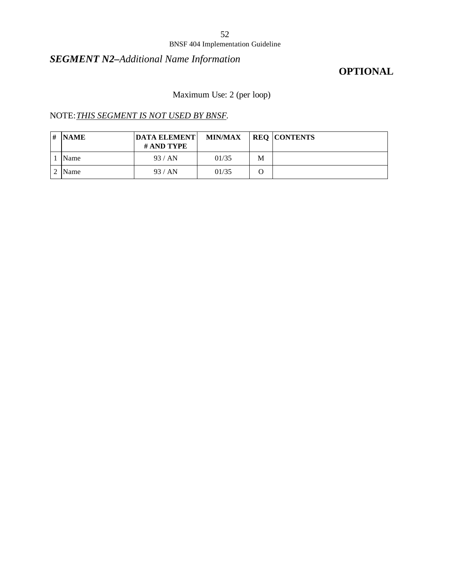#### BNSF 404 Implementation Guideline

# *SEGMENT N2–Additional Name Information*

## **OPTIONAL**

Maximum Use: 2 (per loop)

### NOTE:*THIS SEGMENT IS NOT USED BY BNSF.*

| # | <b>NAME</b> | <b>DATA ELEMENT</b><br># AND TYPE | <b>MIN/MAX</b> |   | <b>REQ CONTENTS</b> |
|---|-------------|-----------------------------------|----------------|---|---------------------|
|   | Name        | 93/AN                             | 01/35          | M |                     |
|   | Name        | 93/AN                             | 01/35          |   |                     |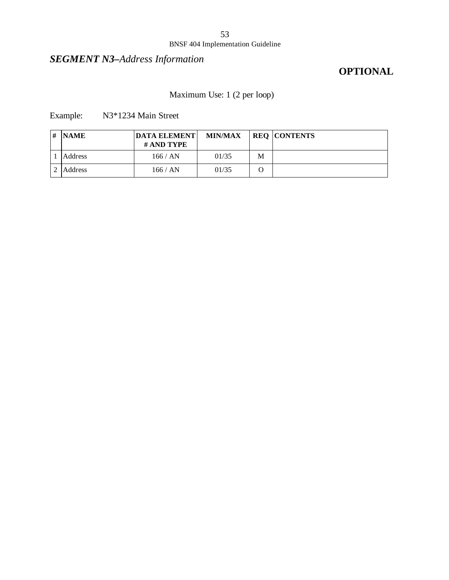#### BNSF 404 Implementation Guideline

# *SEGMENT N3–Address Information*

# **OPTIONAL**

# Maximum Use: 1 (2 per loop)

Example: N3\*1234 Main Street

| # | <b>NAME</b> | <b>DATA ELEMENT</b><br># AND TYPE | <b>MIN/MAX</b> |   | <b>REQ CONTENTS</b> |
|---|-------------|-----------------------------------|----------------|---|---------------------|
|   | Address     | 166 / AN                          | 01/35          | M |                     |
|   | Address     | 166 / AN                          | 01/35          |   |                     |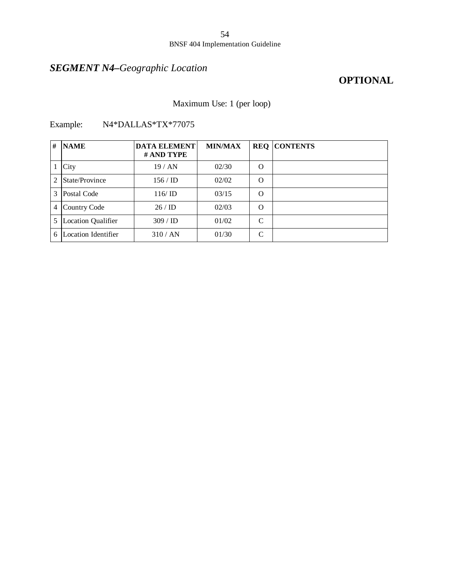# *SEGMENT N4–Geographic Location*

# **OPTIONAL**

### Maximum Use: 1 (per loop)

| # | <b>NAME</b>               | <b>DATA ELEMENT</b><br># AND TYPE | <b>MIN/MAX</b> |          | <b>REQ CONTENTS</b> |
|---|---------------------------|-----------------------------------|----------------|----------|---------------------|
|   | City                      | 19/AN                             | 02/30          | $\Omega$ |                     |
| 2 | State/Province            | $156 /$ ID                        | 02/02          | $\Omega$ |                     |
| 3 | Postal Code               | 116/ID                            | 03/15          | $\Omega$ |                     |
|   | 4 Country Code            | 26/ID                             | 02/03          | $\Omega$ |                     |
| 5 | <b>Location Qualifier</b> | 309 / ID                          | 01/02          | C        |                     |
| 6 | Location Identifier       | 310 / AN                          | 01/30          | C        |                     |

Example: N4\*DALLAS\*TX\*77075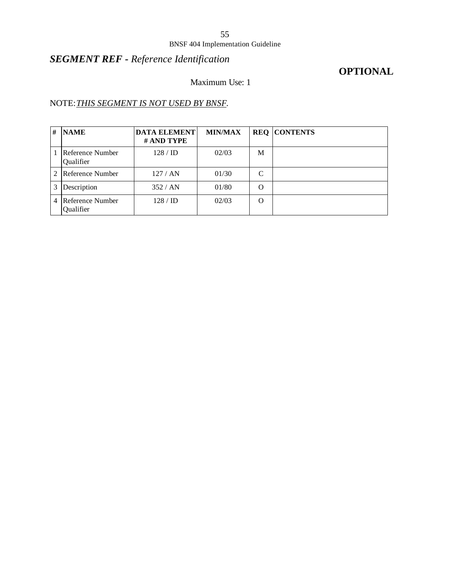#### BNSF 404 Implementation Guideline

# *SEGMENT REF - Reference Identification*

## **OPTIONAL**

## Maximum Use: 1

# NOTE:*THIS SEGMENT IS NOT USED BY BNSF.*

| # | <b>NAME</b>                    | <b>DATA ELEMENT</b><br># AND TYPE | <b>MIN/MAX</b> |   | <b>REO CONTENTS</b> |
|---|--------------------------------|-----------------------------------|----------------|---|---------------------|
|   | Reference Number<br>Qualifier  | $128 /$ ID                        | 02/03          | M |                     |
| 2 | Reference Number               | 127/AN                            | 01/30          | C |                     |
| 3 | Description                    | 352/AN                            | 01/80          | O |                     |
| 4 | Reference Number <br>Qualifier | $128 /$ ID                        | 02/03          | O |                     |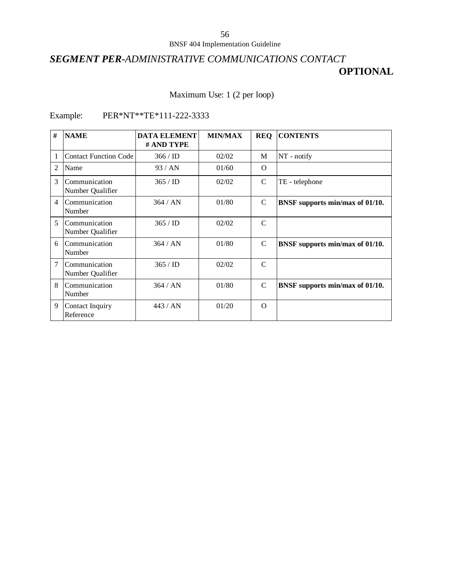# *SEGMENT PER-ADMINISTRATIVE COMMUNICATIONS CONTACT* **OPTIONAL**

### Maximum Use: 1 (2 per loop)

## Example: PER\*NT\*\*TE\*111-222-3333

| #              | <b>NAME</b>                       | <b>DATA ELEMENT</b><br># AND TYPE | <b>MIN/MAX</b> | <b>REQ</b>    | <b>CONTENTS</b>                 |
|----------------|-----------------------------------|-----------------------------------|----------------|---------------|---------------------------------|
|                | <b>Contact Function Code</b>      | $366 /$ ID                        | 02/02          | M             | NT - notify                     |
| $\mathfrak{D}$ | Name                              | 93/AN                             | 01/60          | $\Omega$      |                                 |
| 3              | Communication<br>Number Qualifier | 365 / ID                          | 02/02          | $\mathcal{C}$ | TE - telephone                  |
| $\overline{4}$ | Communication<br>Number           | 364 / AN                          | 01/80          | C             | BNSF supports min/max of 01/10. |
| 5              | Communication<br>Number Qualifier | 365 / ID                          | 02/02          | $\mathcal{C}$ |                                 |
| 6              | Communication<br>Number           | 364 / AN                          | 01/80          | $\mathcal{C}$ | BNSF supports min/max of 01/10. |
| 7              | Communication<br>Number Qualifier | 365 / ID                          | 02/02          | $\mathcal{C}$ |                                 |
| 8              | Communication<br>Number           | 364 / AN                          | 01/80          | $\mathcal{C}$ | BNSF supports min/max of 01/10. |
| 9              | Contact Inquiry<br>Reference      | 443/AN                            | 01/20          | $\Omega$      |                                 |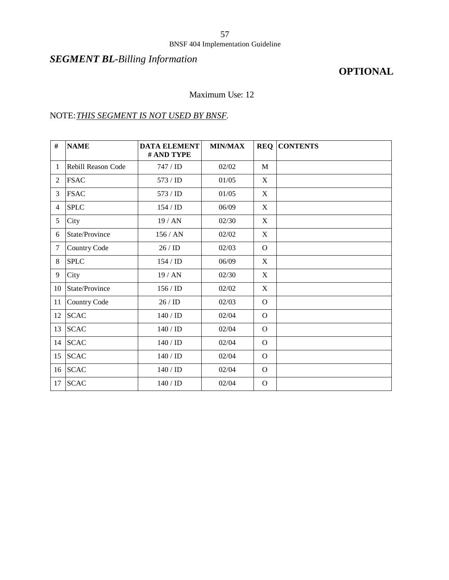#### BNSF 404 Implementation Guideline

# *SEGMENT BL-Billing Information*

# **OPTIONAL**

#### Maximum Use: 12

### NOTE:*THIS SEGMENT IS NOT USED BY BNSF.*

| #              | <b>NAME</b>         | <b>DATA ELEMENT</b><br># AND TYPE | <b>MIN/MAX</b> |          | <b>REQ CONTENTS</b> |
|----------------|---------------------|-----------------------------------|----------------|----------|---------------------|
| 1              | Rebill Reason Code  | 747 / ID                          | 02/02          | M        |                     |
| 2              | <b>FSAC</b>         | 573/ID                            | 01/05          | X        |                     |
| 3              | <b>FSAC</b>         | 573/ID                            | 01/05          | X        |                     |
| $\overline{4}$ | <b>SPLC</b>         | 154/ID                            | 06/09          | X        |                     |
| 5              | City                | 19 / AN                           | 02/30          | X        |                     |
| 6              | State/Province      | 156/AN                            | 02/02          | X        |                     |
| 7              | Country Code        | 26/ID                             | 02/03          | $\Omega$ |                     |
| 8              | <b>SPLC</b>         | 154/ID                            | 06/09          | X        |                     |
| 9              | City                | 19/AN                             | 02/30          | X        |                     |
| 10             | State/Province      | 156/ID                            | 02/02          | X        |                     |
| 11             | <b>Country Code</b> | 26/ID                             | 02/03          | $\Omega$ |                     |
| 12             | <b>SCAC</b>         | 140 / ID                          | 02/04          | $\Omega$ |                     |
| 13             | <b>SCAC</b>         | 140 / ID                          | 02/04          | $\Omega$ |                     |
| 14             | <b>SCAC</b>         | 140 / ID                          | 02/04          | $\Omega$ |                     |
| 15             | <b>SCAC</b>         | 140 / ID                          | 02/04          | $\Omega$ |                     |
| 16             | <b>SCAC</b>         | 140 / ID                          | 02/04          | $\Omega$ |                     |
| 17             | <b>SCAC</b>         | 140/ID                            | 02/04          | $\Omega$ |                     |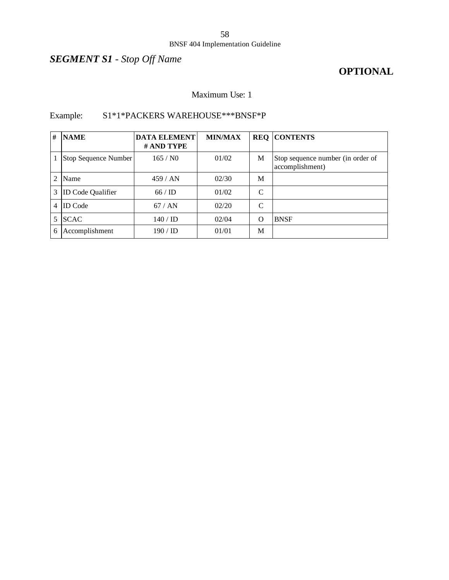#### BNSF 404 Implementation Guideline

# *SEGMENT S1 - Stop Off Name*

## **OPTIONAL**

### Maximum Use: 1

# Example: S1\*1\*PACKERS WAREHOUSE\*\*\*BNSF\*P

| #              | <b>NAME</b>              | <b>DATA ELEMENT</b><br># AND TYPE | <b>MIN/MAX</b> |   | <b>REQ CONTENTS</b>                                  |
|----------------|--------------------------|-----------------------------------|----------------|---|------------------------------------------------------|
|                | Stop Sequence Number     | 165/N0                            | 01/02          | M | Stop sequence number (in order of<br>accomplishment) |
| $\mathfrak{D}$ | Name                     | 459/AN                            | 02/30          | M |                                                      |
| 3              | <b>ID Code Qualifier</b> | 66/ID                             | 01/02          | C |                                                      |
| 4              | <b>ID</b> Code           | 67/AN                             | 02/20          | C |                                                      |
| 5.             | <b>SCAC</b>              | $140 / \text{ID}$                 | 02/04          | O | <b>BNSF</b>                                          |
| 6              | Accomplishment           | $190 /$ ID                        | 01/01          | M |                                                      |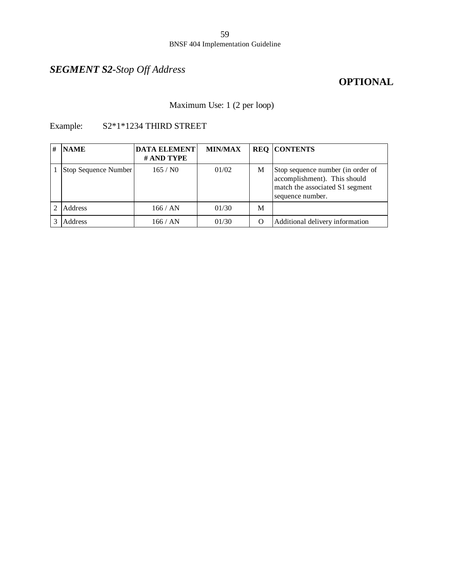# *SEGMENT S2-Stop Off Address*

## **OPTIONAL**

Maximum Use: 1 (2 per loop)

### Example: S2\*1\*1234 THIRD STREET

| # | <b>NAME</b>          | <b>DATA ELEMENT</b><br># AND TYPE | <b>MIN/MAX</b> |          | <b>REQ CONTENTS</b>                                                                                                      |
|---|----------------------|-----------------------------------|----------------|----------|--------------------------------------------------------------------------------------------------------------------------|
|   | Stop Sequence Number | 165/N0                            | 01/02          | M        | Stop sequence number (in order of<br>accomplishment). This should<br>match the associated S1 segment<br>sequence number. |
|   | Address              | 166 / AN                          | 01/30          | M        |                                                                                                                          |
|   | Address              | 166 / AN                          | 01/30          | $\Omega$ | Additional delivery information                                                                                          |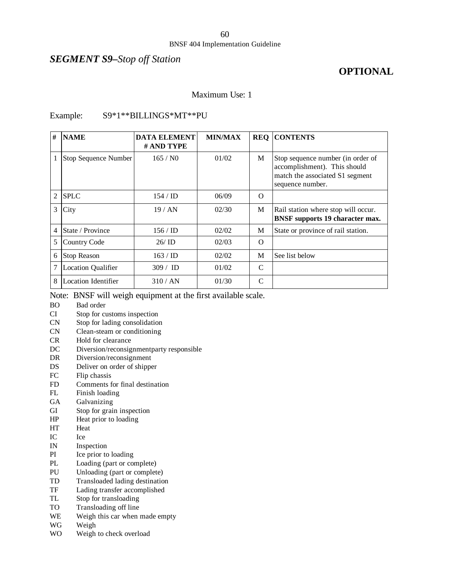#### *SEGMENT S9–Stop off Station*

# **OPTIONAL**

#### Maximum Use: 1

#### Example: S9\*1\*\*BILLINGS\*MT\*\*PU

| #              | <b>NAME</b>                 | <b>DATA ELEMENT</b><br># AND TYPE | <b>MIN/MAX</b> | <b>REQ</b> | <b>CONTENTS</b>                                                                                                          |
|----------------|-----------------------------|-----------------------------------|----------------|------------|--------------------------------------------------------------------------------------------------------------------------|
|                | <b>Stop Sequence Number</b> | 165/N0                            | 01/02          | M          | Stop sequence number (in order of<br>accomplishment). This should<br>match the associated S1 segment<br>sequence number. |
| $\overline{2}$ | <b>SPLC</b>                 | $154 / \mathrm{ID}$               | 06/09          | $\Omega$   |                                                                                                                          |
| 3              | City                        | 19/AN                             | 02/30          | M          | Rail station where stop will occur.<br><b>BNSF</b> supports 19 character max.                                            |
| 4              | State / Province            | $156 / \mathrm{ID}$               | 02/02          | M          | State or province of rail station.                                                                                       |
| 5              | Country Code                | 26/ID                             | 02/03          | $\Omega$   |                                                                                                                          |
| 6              | <b>Stop Reason</b>          | $163 / \text{ID}$                 | 02/02          | M          | See list below                                                                                                           |
| 7              | <b>Location Qualifier</b>   | 309 / ID                          | 01/02          | C          |                                                                                                                          |
| 8              | <b>Location Identifier</b>  | 310 / AN                          | 01/30          | C          |                                                                                                                          |

Note: BNSF will weigh equipment at the first available scale.

- BO Bad order
- CI Stop for customs inspection
- CN Stop for lading consolidation
- CN Clean-steam or conditioning
- CR Hold for clearance
- DC Diversion/reconsignmentparty responsible
- DR Diversion/reconsignment
- DS Deliver on order of shipper
- FC Flip chassis
- FD Comments for final destination
- FL Finish loading
- GA Galvanizing
- GI Stop for grain inspection
- HP Heat prior to loading
- HT Heat
- IC Ice
- IN Inspection
- PI Ice prior to loading
- PL Loading (part or complete)
- PU Unloading (part or complete)
- TD Transloaded lading destination
- TF Lading transfer accomplished
- TL Stop for transloading
- TO Transloading off line
- WE Weigh this car when made empty
- WG Weigh
- WO Weigh to check overload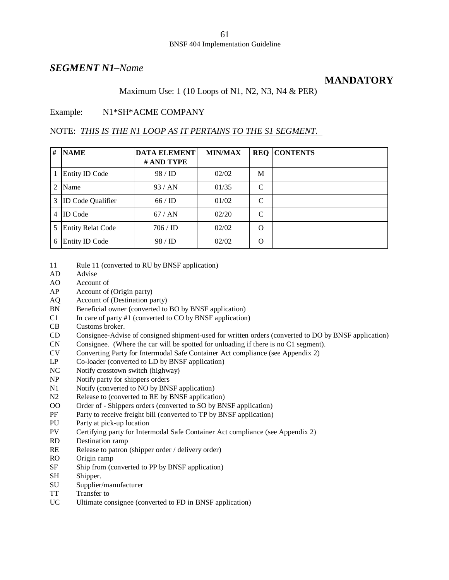#### *SEGMENT N1–Name*

#### **MANDATORY**

Maximum Use: 1 (10 Loops of N1, N2, N3, N4 & PER)

#### Example: N1\*SH\*ACME COMPANY

#### NOTE: *THIS IS THE N1 LOOP AS IT PERTAINS TO THE S1 SEGMENT.*

| # | <b>NAME</b>              | <b>DATA ELEMENT</b><br># AND TYPE | <b>MIN/MAX</b> |               | <b>REQ CONTENTS</b> |
|---|--------------------------|-----------------------------------|----------------|---------------|---------------------|
|   | <b>Entity ID Code</b>    | 98 / ID                           | 02/02          | M             |                     |
| 2 | Name                     | 93/AN                             | 01/35          | C             |                     |
| 3 | <b>ID Code Qualifier</b> | 66/ID                             | 01/02          | $\mathcal{C}$ |                     |
| 4 | <b>ID</b> Code           | 67/AN                             | 02/20          | C             |                     |
| 5 | <b>Entity Relat Code</b> | 706 / ID                          | 02/02          | $\Omega$      |                     |
| 6 | <b>Entity ID Code</b>    | 98 / ID                           | 02/02          | O             |                     |

- 11 Rule 11 (converted to RU by BNSF application)
- AD Advise
- AO Account of
- AP Account of (Origin party)
- AQ Account of (Destination party)
- BN Beneficial owner (converted to BO by BNSF application)
- C1 In care of party #1 (converted to CO by BNSF application)
- CB Customs broker.
- CD Consignee-Advise of consigned shipment-used for written orders (converted to DO by BNSF application)
- CN Consignee. (Where the car will be spotted for unloading if there is no C1 segment).
- CV Converting Party for Intermodal Safe Container Act compliance (see Appendix 2)
- LP Co-loader (converted to LD by BNSF application)
- NC Notify crosstown switch (highway)
- NP Notify party for shippers orders
- N1 Notify (converted to NO by BNSF application)
- N2 Release to (converted to RE by BNSF application)
- OO Order of Shippers orders (converted to SO by BNSF application)
- PF Party to receive freight bill (converted to TP by BNSF application)
- PU Party at pick-up location
- PV Certifying party for Intermodal Safe Container Act compliance (see Appendix 2)
- RD Destination ramp
- RE Release to patron (shipper order / delivery order)
- RO Origin ramp
- SF Ship from (converted to PP by BNSF application)
- SH Shipper.
- SU Supplier/manufacturer
- TT Transfer to
- UC Ultimate consignee (converted to FD in BNSF application)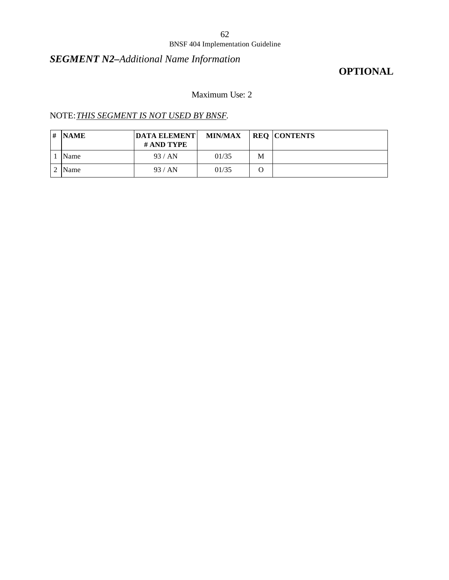#### BNSF 404 Implementation Guideline

## *SEGMENT N2–Additional Name Information*

# **OPTIONAL**

## Maximum Use: 2

### NOTE:*THIS SEGMENT IS NOT USED BY BNSF.*

| # | <b>NAME</b> | <b>DATA ELEMENTI</b><br># AND TYPE | <b>MIN/MAX</b> |   | <b>REQ CONTENTS</b> |
|---|-------------|------------------------------------|----------------|---|---------------------|
|   | Name        | 93/AN                              | 01/35          | M |                     |
|   | Name        | 93/AN                              | 01/35          |   |                     |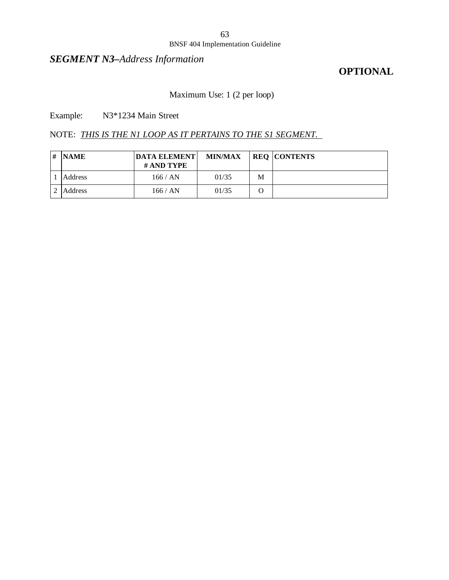#### BNSF 404 Implementation Guideline

## *SEGMENT N3–Address Information*

## **OPTIONAL**

# Maximum Use: 1 (2 per loop)

Example: N3\*1234 Main Street

### NOTE: *THIS IS THE N1 LOOP AS IT PERTAINS TO THE S1 SEGMENT.*

| # NAME  | <b>DATA ELEMENT</b><br># AND TYPE | <b>MIN/MAX</b> |   | <b>REQ CONTENTS</b> |
|---------|-----------------------------------|----------------|---|---------------------|
| Address | 166 / AN                          | 01/35          | M |                     |
| Address | 166 / AN                          | 01/35          |   |                     |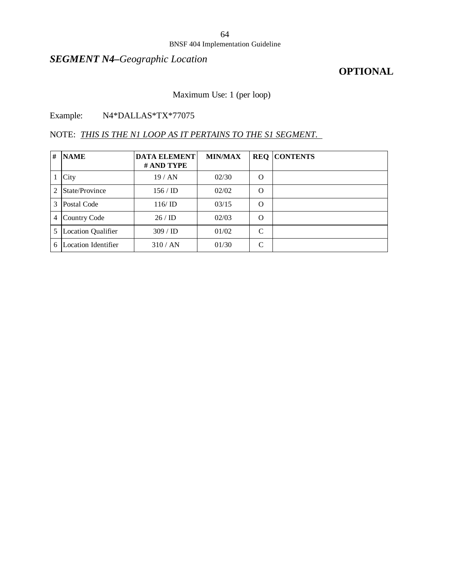#### BNSF 404 Implementation Guideline

# *SEGMENT N4–Geographic Location*

## **OPTIONAL**

## Maximum Use: 1 (per loop)

### Example: N4\*DALLAS\*TX\*77075

### NOTE: *THIS IS THE N1 LOOP AS IT PERTAINS TO THE S1 SEGMENT.*

| # | <b>NAME</b>               | <b>DATA ELEMENT</b><br># AND TYPE | <b>MIN/MAX</b> |          | <b>REQ CONTENTS</b> |
|---|---------------------------|-----------------------------------|----------------|----------|---------------------|
|   | City                      | 19/AN                             | 02/30          | O        |                     |
| 2 | State/Province            | $156 / \mathrm{ID}$               | 02/02          | O        |                     |
| 3 | Postal Code               | 116/ID                            | 03/15          | O        |                     |
| 4 | Country Code              | 26/ID                             | 02/03          | $\Omega$ |                     |
| 5 | <b>Location Qualifier</b> | 309 / ID                          | 01/02          | C        |                     |
| 6 | Location Identifier       | 310 / AN                          | 01/30          | C        |                     |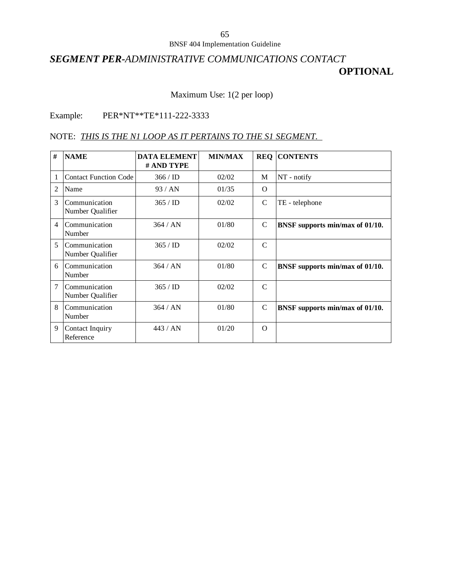## *SEGMENT PER-ADMINISTRATIVE COMMUNICATIONS CONTACT* **OPTIONAL**

### Maximum Use: 1(2 per loop)

### Example: PER\*NT\*\*TE\*111-222-3333

#### NOTE: *THIS IS THE N1 LOOP AS IT PERTAINS TO THE S1 SEGMENT.*

| # | <b>NAME</b>                       | <b>DATA ELEMENT</b><br># AND TYPE | <b>MIN/MAX</b> |               | <b>REQ CONTENTS</b>             |
|---|-----------------------------------|-----------------------------------|----------------|---------------|---------------------------------|
| 1 | <b>Contact Function Code</b>      | $366 /$ ID                        | 02/02          | M             | NT - notify                     |
| 2 | Name                              | 93/AN                             | 01/35          | $\Omega$      |                                 |
| 3 | Communication<br>Number Qualifier | $365 /$ ID                        | 02/02          | C             | TE - telephone                  |
| 4 | Communication<br>Number           | 364 / AN                          | 01/80          | C             | BNSF supports min/max of 01/10. |
| 5 | Communication<br>Number Qualifier | 365 / ID                          | 02/02          | $\mathcal{C}$ |                                 |
| 6 | Communication<br>Number           | 364 / AN                          | 01/80          | C             | BNSF supports min/max of 01/10. |
| 7 | Communication<br>Number Qualifier | 365 / ID                          | 02/02          | $\mathcal{C}$ |                                 |
| 8 | Communication<br>Number           | 364 / AN                          | 01/80          | $\mathcal{C}$ | BNSF supports min/max of 01/10. |
| 9 | Contact Inquiry<br>Reference      | 443/AN                            | 01/20          | $\Omega$      |                                 |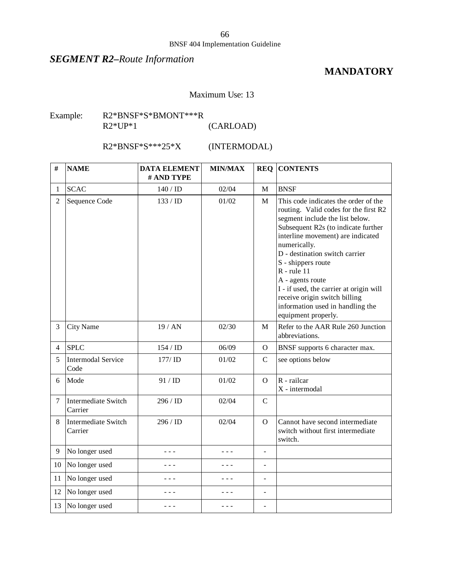#### BNSF 404 Implementation Guideline

## *SEGMENT R2–Route Information*

## **MANDATORY**

#### Maximum Use: 13

#### Example: R2\*BNSF\*S\*BMONT\*\*\*R R2\*UP\*1 (CARLOAD)

R2\*BNSF\*S\*\*\*25\*X (INTERMODAL)

| #              | <b>NAME</b>                       | <b>DATA ELEMENT</b><br># AND TYPE | <b>MIN/MAX</b> |                | <b>REQ CONTENTS</b>                                                                                                                                                                                                                                                                                                                                                                                                                              |
|----------------|-----------------------------------|-----------------------------------|----------------|----------------|--------------------------------------------------------------------------------------------------------------------------------------------------------------------------------------------------------------------------------------------------------------------------------------------------------------------------------------------------------------------------------------------------------------------------------------------------|
| 1              | <b>SCAC</b>                       | 140/ID                            | 02/04          | $\mathbf{M}$   | <b>BNSF</b>                                                                                                                                                                                                                                                                                                                                                                                                                                      |
| $\overline{2}$ | Sequence Code                     | 133 / ID                          | 01/02          | M              | This code indicates the order of the<br>routing. Valid codes for the first R2<br>segment include the list below.<br>Subsequent R2s (to indicate further<br>interline movement) are indicated<br>numerically.<br>D - destination switch carrier<br>S - shippers route<br>$R$ - rule 11<br>A - agents route<br>I - if used, the carrier at origin will<br>receive origin switch billing<br>information used in handling the<br>equipment properly. |
| 3              | <b>City Name</b>                  | 19/AN                             | 02/30          | M              | Refer to the AAR Rule 260 Junction<br>abbreviations.                                                                                                                                                                                                                                                                                                                                                                                             |
| 4              | <b>SPLC</b>                       | 154 / ID                          | 06/09          | $\Omega$       | BNSF supports 6 character max.                                                                                                                                                                                                                                                                                                                                                                                                                   |
| 5              | <b>Intermodal Service</b><br>Code | 177/ID                            | 01/02          | $\mathcal{C}$  | see options below                                                                                                                                                                                                                                                                                                                                                                                                                                |
| 6              | Mode                              | 91 / ID                           | 01/02          | $\Omega$       | R - railcar<br>X - intermodal                                                                                                                                                                                                                                                                                                                                                                                                                    |
| $\tau$         | Intermediate Switch<br>Carrier    | 296 / ID                          | 02/04          | $\mathcal{C}$  |                                                                                                                                                                                                                                                                                                                                                                                                                                                  |
| 8              | Intermediate Switch<br>Carrier    | 296 / ID                          | 02/04          | $\Omega$       | Cannot have second intermediate<br>switch without first intermediate<br>switch.                                                                                                                                                                                                                                                                                                                                                                  |
| 9              | No longer used                    | - - -                             | - - -          | ÷,             |                                                                                                                                                                                                                                                                                                                                                                                                                                                  |
| 10             | No longer used                    | - - -                             | - - -          | ÷,             |                                                                                                                                                                                                                                                                                                                                                                                                                                                  |
| 11             | No longer used                    | - - -                             | - - -          | $\overline{a}$ |                                                                                                                                                                                                                                                                                                                                                                                                                                                  |
| 12             | No longer used                    |                                   | - - -          | $\overline{a}$ |                                                                                                                                                                                                                                                                                                                                                                                                                                                  |
| 13             | No longer used                    | - - -                             | - - -          |                |                                                                                                                                                                                                                                                                                                                                                                                                                                                  |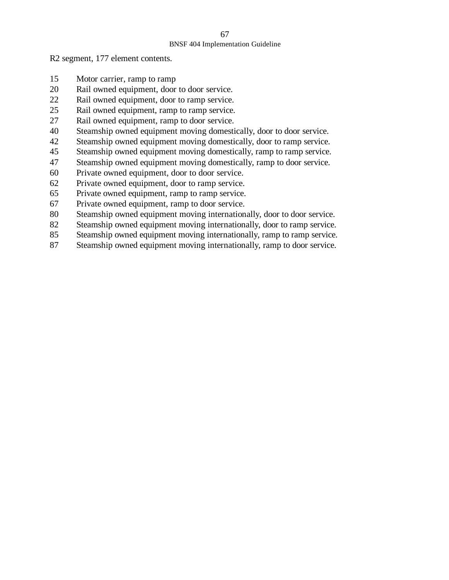#### BNSF 404 Implementation Guideline

R2 segment, 177 element contents.

- Motor carrier, ramp to ramp
- Rail owned equipment, door to door service.
- Rail owned equipment, door to ramp service.
- Rail owned equipment, ramp to ramp service.
- Rail owned equipment, ramp to door service.
- Steamship owned equipment moving domestically, door to door service.
- Steamship owned equipment moving domestically, door to ramp service.
- Steamship owned equipment moving domestically, ramp to ramp service.
- Steamship owned equipment moving domestically, ramp to door service.
- Private owned equipment, door to door service.
- Private owned equipment, door to ramp service.
- Private owned equipment, ramp to ramp service.
- Private owned equipment, ramp to door service.
- Steamship owned equipment moving internationally, door to door service.
- 82 Steamship owned equipment moving internationally, door to ramp service.
- 85 Steamship owned equipment moving internationally, ramp to ramp service.
- 87 Steamship owned equipment moving internationally, ramp to door service.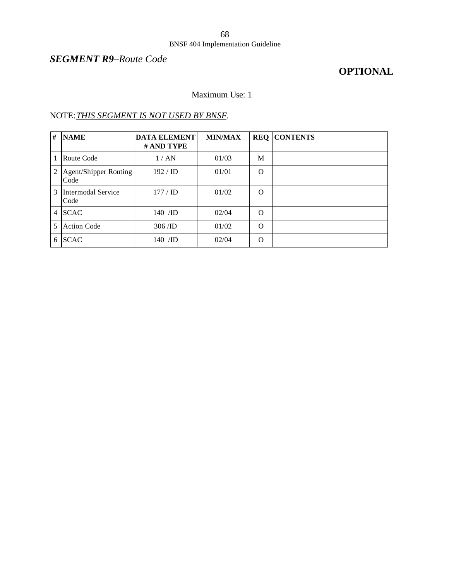# *SEGMENT R9–Route Code*

# **OPTIONAL**

#### Maximum Use: 1

### NOTE:*THIS SEGMENT IS NOT USED BY BNSF.*

| #   | <b>NAME</b>                   | <b>DATA ELEMENT</b><br># AND TYPE | <b>MIN/MAX</b> | <b>REQ</b> | <b>CONTENTS</b> |
|-----|-------------------------------|-----------------------------------|----------------|------------|-----------------|
|     | Route Code                    | 1/AN                              | 01/03          | M          |                 |
| 2   | Agent/Shipper Routing<br>Code | $192 / \mathrm{ID}$               | 01/01          | $\Omega$   |                 |
| 3   | Intermodal Service<br>Code    | $177 /$ ID                        | 01/02          | $\Omega$   |                 |
|     | 4 SCAC                        | $140$ /ID                         | 02/04          | $\Omega$   |                 |
| 5   | <b>Action Code</b>            | 306/ID                            | 01/02          | $\Omega$   |                 |
| 6 I | <b>SCAC</b>                   | $140$ /ID                         | 02/04          | $\Omega$   |                 |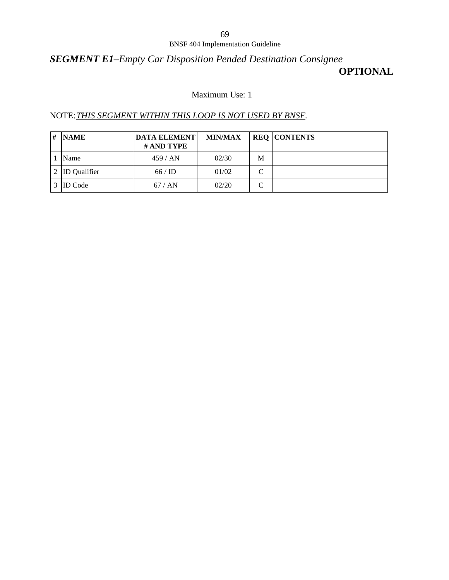## *SEGMENT E1–Empty Car Disposition Pended Destination Consignee* **OPTIONAL**

## Maximum Use: 1

#### NOTE:*THIS SEGMENT WITHIN THIS LOOP IS NOT USED BY BNSF.*

| # | <b>NAME</b>         | <b>DATA ELEMENT</b><br># AND TYPE | <b>MIN/MAX</b> |   | <b>REQ CONTENTS</b> |
|---|---------------------|-----------------------------------|----------------|---|---------------------|
|   | Name                | 459/AN                            | 02/30          | M |                     |
|   | <b>ID</b> Qualifier | 66/ID                             | 01/02          |   |                     |
|   | <b>ID</b> Code      | 67/AN                             | 02/20          |   |                     |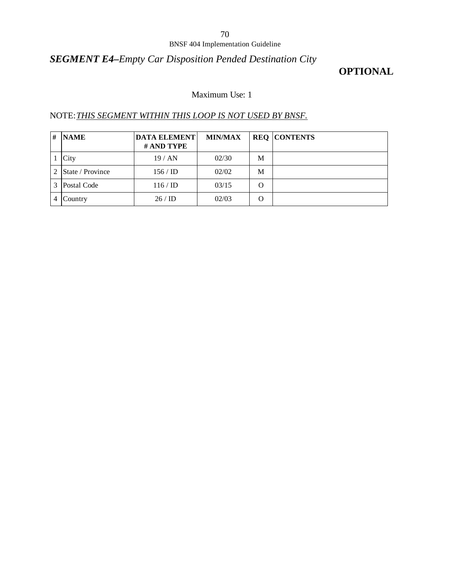#### BNSF 404 Implementation Guideline

## *SEGMENT E4–Empty Car Disposition Pended Destination City*

## **OPTIONAL**

### Maximum Use: 1

### NOTE:*THIS SEGMENT WITHIN THIS LOOP IS NOT USED BY BNSF.*

| # | <b>NAME</b>             | <b>DATA ELEMENT</b><br><b># AND TYPE</b> | <b>MIN/MAX</b> |   | <b>REQ CONTENTS</b> |
|---|-------------------------|------------------------------------------|----------------|---|---------------------|
|   | City                    | 19/AN                                    | 02/30          | M |                     |
|   | <b>State / Province</b> | $156 /$ ID                               | 02/02          | М |                     |
|   | Postal Code             | $116 /$ ID                               | 03/15          | O |                     |
|   | Country                 | 26/ID                                    | 02/03          | O |                     |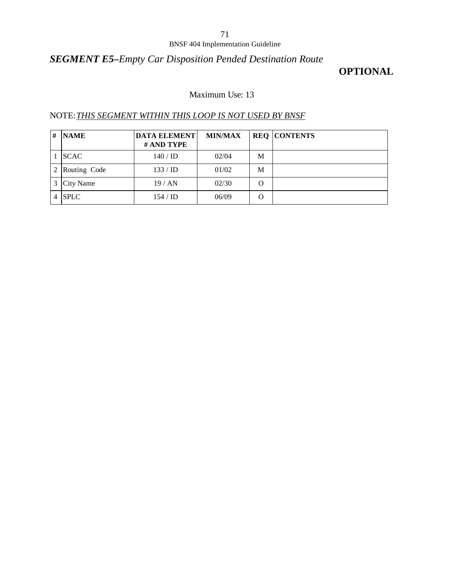#### BNSF 404 Implementation Guideline

## *SEGMENT E5–Empty Car Disposition Pended Destination Route*

## **OPTIONAL**

#### Maximum Use: 13

### NOTE:*THIS SEGMENT WITHIN THIS LOOP IS NOT USED BY BNSF*

| # | <b>NAME</b>  | <b>DATA ELEMENT</b><br># AND TYPE | <b>MIN/MAX</b> |   | <b>REQ CONTENTS</b> |
|---|--------------|-----------------------------------|----------------|---|---------------------|
|   | <b>SCAC</b>  | $140 /$ ID                        | 02/04          | М |                     |
|   | Routing Code | 133 / ID                          | 01/02          | M |                     |
|   | City Name    | 19/AN                             | 02/30          | O |                     |
| 4 | <b>SPLC</b>  | $154 / \mathrm{ID}$               | 06/09          | O |                     |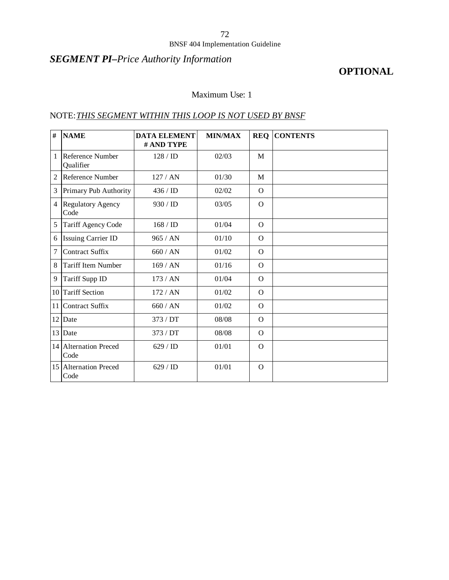## *SEGMENT PI–Price Authority Information*

## **OPTIONAL**

## Maximum Use: 1

### NOTE:*THIS SEGMENT WITHIN THIS LOOP IS NOT USED BY BNSF*

| $\#$           | <b>NAME</b>                      | <b>DATA ELEMENT</b><br># AND TYPE | <b>MIN/MAX</b> | <b>REQ</b> | <b>CONTENTS</b> |
|----------------|----------------------------------|-----------------------------------|----------------|------------|-----------------|
| 1              | Reference Number<br>Qualifier    | 128 / ID                          | 02/03          | M          |                 |
| $\overline{2}$ | Reference Number                 | 127/AN                            | 01/30          | M          |                 |
| 3              | Primary Pub Authority            | $436 /$ ID                        | 02/02          | $\Omega$   |                 |
| $\overline{4}$ | <b>Regulatory Agency</b><br>Code | 930 / ID                          | 03/05          | $\Omega$   |                 |
| 5              | Tariff Agency Code               | 168 / ID                          | 01/04          | $\Omega$   |                 |
| 6              | <b>Issuing Carrier ID</b>        | 965 / AN                          | 01/10          | $\Omega$   |                 |
| 7              | <b>Contract Suffix</b>           | 660/AN                            | 01/02          | $\Omega$   |                 |
| 8              | <b>Tariff Item Number</b>        | 169/AN                            | 01/16          | $\Omega$   |                 |
| 9              | Tariff Supp ID                   | 173/AN                            | 01/04          | $\Omega$   |                 |
| 10             | <b>Tariff Section</b>            | 172 / AN                          | 01/02          | $\Omega$   |                 |
| 11             | <b>Contract Suffix</b>           | 660/AN                            | 01/02          | $\Omega$   |                 |
| 12             | Date                             | 373 / DT                          | 08/08          | $\Omega$   |                 |
| 13             | Date                             | 373 / DT                          | 08/08          | $\Omega$   |                 |
|                | 14 Alternation Preced<br>Code    | 629 / ID                          | 01/01          | $\Omega$   |                 |
|                | 15 Alternation Preced<br>Code    | 629 / ID                          | 01/01          | $\Omega$   |                 |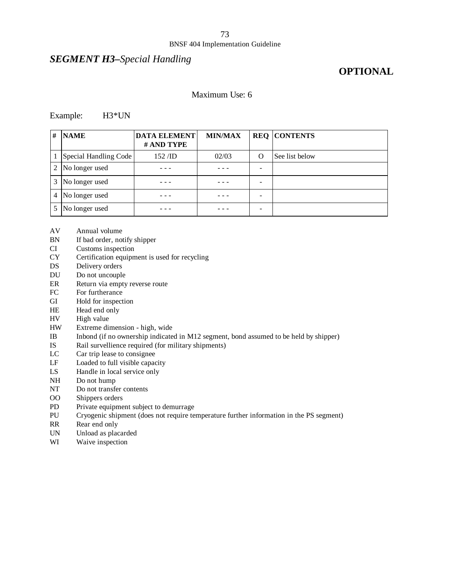## *SEGMENT H3–Special Handling*

## **OPTIONAL**

#### Maximum Use: 6

#### Example: H3\*UN

| #              | <b>NAME</b>           | <b>DATA ELEMENT</b><br># AND TYPE | <b>MIN/MAX</b> |   | <b>REQ CONTENTS</b> |
|----------------|-----------------------|-----------------------------------|----------------|---|---------------------|
|                | Special Handling Code | $152$ /ID                         | 02/03          | O | See list below      |
| 2              | No longer used        |                                   |                |   |                     |
| 3              | No longer used        |                                   |                |   |                     |
| $\overline{4}$ | No longer used        |                                   |                |   |                     |
| 5              | No longer used        |                                   |                |   |                     |

- AV Annual volume
- BN If bad order, notify shipper
- CI Customs inspection
- CY Certification equipment is used for recycling
- DS Delivery orders
- DU Do not uncouple
- ER Return via empty reverse route
- FC For furtherance
- GI Hold for inspection
- HE Head end only
- HV High value
- HW Extreme dimension high, wide
- IB Inbond (if no ownership indicated in M12 segment, bond assumed to be held by shipper)
- IS Rail survellience required (for military shipments)
- LC Car trip lease to consignee
- LF Loaded to full visible capacity
- LS Handle in local service only
- NH Do not hump
- NT Do not transfer contents
- OO Shippers orders
- PD Private equipment subject to demurrage
- PU Cryogenic shipment (does not require temperature further information in the PS segment)
- RR Rear end only
- UN Unload as placarded
- WI Waive inspection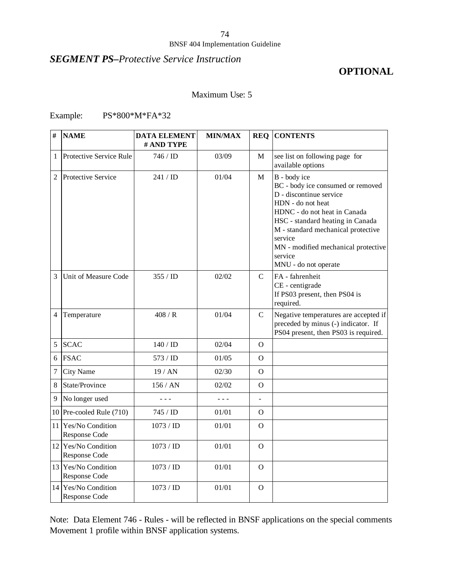### *SEGMENT PS–Protective Service Instruction*

### **OPTIONAL**

### Maximum Use: 5

### Example: PS\*800\*M\*FA\*32

| #              | <b>NAME</b>                              | <b>DATA ELEMENT</b><br># AND TYPE | <b>MIN/MAX</b> |                | <b>REQ CONTENTS</b>                                                                                                                                                                                                                                                                              |
|----------------|------------------------------------------|-----------------------------------|----------------|----------------|--------------------------------------------------------------------------------------------------------------------------------------------------------------------------------------------------------------------------------------------------------------------------------------------------|
| 1              | <b>Protective Service Rule</b>           | 746 / <b>ID</b>                   | 03/09          | М              | see list on following page for<br>available options                                                                                                                                                                                                                                              |
| 2              | Protective Service                       | 241 / ID                          | 01/04          | М              | B - body ice<br>BC - body ice consumed or removed<br>D - discontinue service<br>HDN - do not heat<br>HDNC - do not heat in Canada<br>HSC - standard heating in Canada<br>M - standard mechanical protective<br>service<br>MN - modified mechanical protective<br>service<br>MNU - do not operate |
| 3              | Unit of Measure Code                     | 355 / ID                          | 02/02          | $\mathsf{C}$   | FA - fahrenheit<br>CE - centigrade<br>If PS03 present, then PS04 is<br>required.                                                                                                                                                                                                                 |
| 4              | Temperature                              | 408/R                             | 01/04          | $\mathcal{C}$  | Negative temperatures are accepted if<br>preceded by minus (-) indicator. If<br>PS04 present, then PS03 is required.                                                                                                                                                                             |
| 5              | <b>SCAC</b>                              | 140 / ID                          | 02/04          | $\Omega$       |                                                                                                                                                                                                                                                                                                  |
| 6              | <b>FSAC</b>                              | 573 / <b>ID</b>                   | 01/05          | O              |                                                                                                                                                                                                                                                                                                  |
| $\overline{7}$ | City Name                                | 19 / AN                           | 02/30          | 0              |                                                                                                                                                                                                                                                                                                  |
| 8              | State/Province                           | 156 / AN                          | 02/02          | $\Omega$       |                                                                                                                                                                                                                                                                                                  |
| 9              | No longer used                           | $  -$                             | $- - -$        |                |                                                                                                                                                                                                                                                                                                  |
|                | 10 Pre-cooled Rule $(710)$               | 745 / <b>ID</b>                   | 01/01          | $\Omega$       |                                                                                                                                                                                                                                                                                                  |
| 11             | <b>Yes/No Condition</b><br>Response Code | $1073 /$ ID                       | 01/01          | $\overline{O}$ |                                                                                                                                                                                                                                                                                                  |
| 12             | Yes/No Condition<br>Response Code        | 1073 / ID                         | 01/01          | $\Omega$       |                                                                                                                                                                                                                                                                                                  |
|                | 13 Yes/No Condition<br>Response Code     | $1073 /$ ID                       | 01/01          | $\overline{O}$ |                                                                                                                                                                                                                                                                                                  |
|                | 14 Yes/No Condition<br>Response Code     | 1073 / ID                         | 01/01          | $\mathbf O$    |                                                                                                                                                                                                                                                                                                  |

Note: Data Element 746 - Rules - will be reflected in BNSF applications on the special comments Movement 1 profile within BNSF application systems.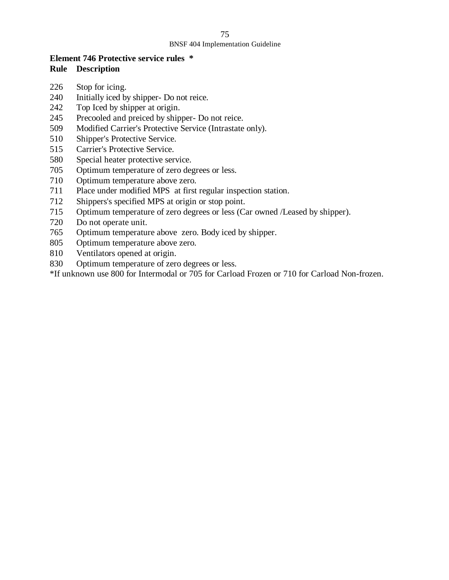### **Element 746 Protective service rules \* Rule Description**

- Stop for icing.
- Initially iced by shipper- Do not reice.
- Top Iced by shipper at origin.
- Precooled and preiced by shipper- Do not reice.
- Modified Carrier's Protective Service (Intrastate only).
- Shipper's Protective Service.
- Carrier's Protective Service.
- Special heater protective service.
- Optimum temperature of zero degrees or less.
- Optimum temperature above zero.
- Place under modified MPS at first regular inspection station.
- Shippers's specified MPS at origin or stop point.
- Optimum temperature of zero degrees or less (Car owned /Leased by shipper).
- Do not operate unit.
- Optimum temperature above zero. Body iced by shipper.
- Optimum temperature above zero.
- Ventilators opened at origin.
- Optimum temperature of zero degrees or less.

\*If unknown use 800 for Intermodal or 705 for Carload Frozen or 710 for Carload Non-frozen.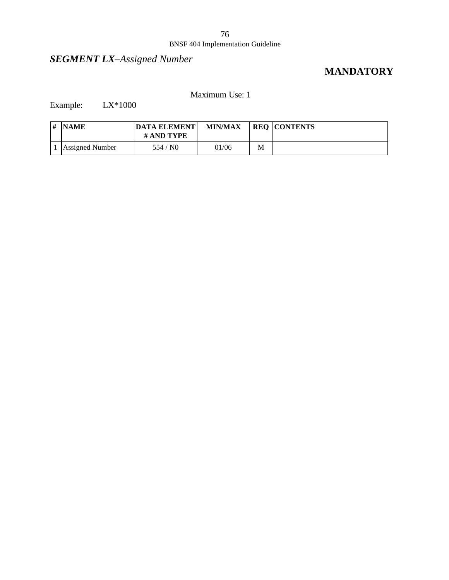## *SEGMENT LX–Assigned Number*

## **MANDATORY**

### Maximum Use: 1

Example: LX\*1000

| <b>NAME</b>     | <b>DATA ELEMENT</b><br># AND TYPE | <b>MIN/MAX</b> |   | <b>REQ CONTENTS</b> |
|-----------------|-----------------------------------|----------------|---|---------------------|
| Assigned Number | 554/N0                            | 01/06          | M |                     |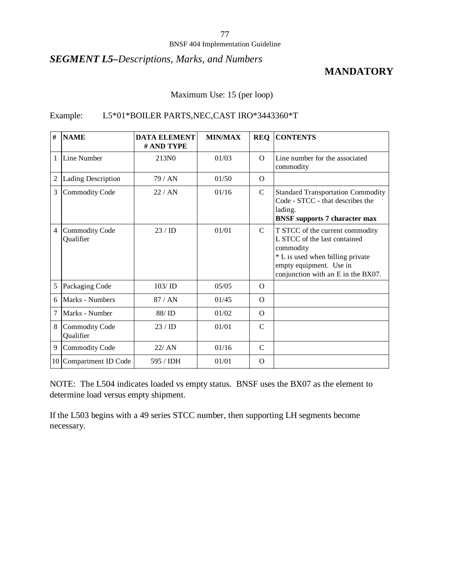#### BNSF 404 Implementation Guideline

### *SEGMENT L5–Descriptions, Marks, and Numbers*

### **MANDATORY**

### Maximum Use: 15 (per loop)

### Example: L5\*01\*BOILER PARTS,NEC,CAST IRO\*3443360\*T

| #              | <b>NAME</b>                        | <b>DATA ELEMENT</b><br># AND TYPE | <b>MIN/MAX</b> | <b>REQ</b>    | <b>CONTENTS</b>                                                                                                                                                                   |
|----------------|------------------------------------|-----------------------------------|----------------|---------------|-----------------------------------------------------------------------------------------------------------------------------------------------------------------------------------|
| $\mathbf{1}$   | Line Number                        | 213N <sub>0</sub>                 | 01/03          | $\Omega$      | Line number for the associated<br>commodity                                                                                                                                       |
| $\overline{2}$ | Lading Description                 | 79 / AN                           | 01/50          | $\Omega$      |                                                                                                                                                                                   |
| 3              | <b>Commodity Code</b>              | 22/AN                             | 01/16          | $\mathcal{C}$ | <b>Standard Transportation Commodity</b><br>Code - STCC - that describes the<br>lading.<br><b>BNSF</b> supports 7 character max                                                   |
| $\overline{4}$ | <b>Commodity Code</b><br>Qualifier | 23/ID                             | 01/01          | $\mathcal{C}$ | T STCC of the current commodity<br>L STCC of the last contained<br>commodity<br>* L is used when billing private<br>empty equipment. Use in<br>conjunction with an E in the BX07. |
| 5              | Packaging Code                     | $103/$ ID                         | 0.5/0.5        | $\Omega$      |                                                                                                                                                                                   |
| 6              | Marks - Numbers                    | 87/AN                             | 01/45          | $\Omega$      |                                                                                                                                                                                   |
| 7              | Marks - Number                     | 88/ID                             | 01/02          | $\Omega$      |                                                                                                                                                                                   |
| 8              | <b>Commodity Code</b><br>Qualifier | 23/ID                             | 01/01          | $\mathcal{C}$ |                                                                                                                                                                                   |
| 9              | <b>Commodity Code</b>              | 22/AN                             | 01/16          | $\mathcal{C}$ |                                                                                                                                                                                   |
|                | 10 Compartment ID Code             | 595 / IDH                         | 01/01          | $\Omega$      |                                                                                                                                                                                   |

NOTE: The L504 indicates loaded vs empty status. BNSF uses the BX07 as the element to determine load versus empty shipment.

If the L503 begins with a 49 series STCC number, then supporting LH segments become necessary.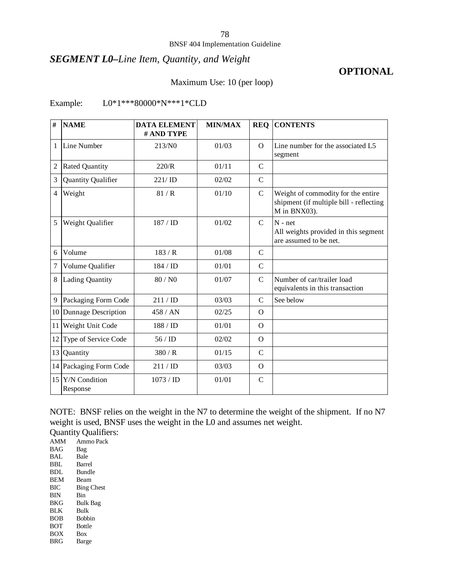#### BNSF 404 Implementation Guideline

### *SEGMENT L0–Line Item, Quantity, and Weight*

### **OPTIONAL**

### Maximum Use: 10 (per loop)

### Example: L0\*1\*\*\*80000\*N\*\*\*1\*CLD

| #              | <b>NAME</b>                  | <b>DATA ELEMENT</b><br># AND TYPE | <b>MIN/MAX</b> | <b>REQ</b>    | <b>CONTENTS</b>                                                                               |
|----------------|------------------------------|-----------------------------------|----------------|---------------|-----------------------------------------------------------------------------------------------|
| 1              | Line Number                  | 213/N0                            | 01/03          | $\Omega$      | Line number for the associated L5<br>segment                                                  |
| $\overline{2}$ | <b>Rated Quantity</b>        | 220/R                             | 01/11          | $\mathsf{C}$  |                                                                                               |
| 3              | Quantity Qualifier           | 221/ID                            | 02/02          | $\mathsf{C}$  |                                                                                               |
| 4              | Weight                       | 81/R                              | 01/10          | $\mathbf C$   | Weight of commodity for the entire<br>shipment (if multiple bill - reflecting<br>M in BNX03). |
| 5              | Weight Qualifier             | 187/ID                            | 01/02          | $\mathcal{C}$ | $N - net$<br>All weights provided in this segment<br>are assumed to be net.                   |
| 6              | Volume                       | 183/R                             | 01/08          | $\mathcal{C}$ |                                                                                               |
| 7              | Volume Qualifier             | 184 / ID                          | 01/01          | $\mathcal{C}$ |                                                                                               |
| 8              | <b>Lading Quantity</b>       | 80 / N0                           | 01/07          | $\mathcal{C}$ | Number of car/trailer load<br>equivalents in this transaction                                 |
| 9              | Packaging Form Code          | 211 / ID                          | 03/03          | $\mathcal{C}$ | See below                                                                                     |
|                | 10 Dunnage Description       | 458 / AN                          | 02/25          | $\Omega$      |                                                                                               |
|                | 11 Weight Unit Code          | 188 / ID                          | 01/01          | $\Omega$      |                                                                                               |
| 12             | Type of Service Code         | 56/ID                             | 02/02          | $\Omega$      |                                                                                               |
| 13             | Quantity                     | 380/R                             | 01/15          | $\mathcal{C}$ |                                                                                               |
|                | 14 Packaging Form Code       | 211/D                             | 03/03          | $\Omega$      |                                                                                               |
|                | 15 Y/N Condition<br>Response | 1073 / <b>ID</b>                  | 01/01          | $\mathbf C$   |                                                                                               |

NOTE: BNSF relies on the weight in the N7 to determine the weight of the shipment. If no N7 weight is used, BNSF uses the weight in the L0 and assumes net weight.

Quantity Qualifiers: AMM Ammo Pack BAG Bag BAL Bale BBL Barrel BDL Bundle<br>BEM Beam BEM<br>BIC **Bing Chest** BIN Bin<br>BKG Bulk Bulk Bag BLK Bulk BOB Bobbin BOT Bottle BOX Box BRG Barge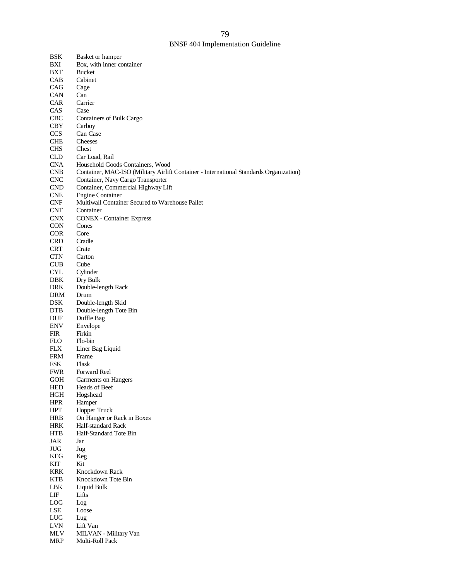| <b>BSK</b>        | Basket or hamper                                                                       |
|-------------------|----------------------------------------------------------------------------------------|
| BXI               | Box, with inner container                                                              |
| <b>BXT</b>        | <b>Bucket</b>                                                                          |
| CAB               | Cabinet                                                                                |
| CAG               | Cage                                                                                   |
| <b>CAN</b>        | Can                                                                                    |
| <b>CAR</b>        | Carrier                                                                                |
| CAS               | Case                                                                                   |
| <b>CBC</b>        | Containers of Bulk Cargo                                                               |
| <b>CBY</b>        | Carboy                                                                                 |
| <b>CCS</b>        | Can Case                                                                               |
| <b>CHE</b>        | Cheeses                                                                                |
| <b>CHS</b>        | Chest                                                                                  |
| <b>CLD</b>        | Car Load, Rail                                                                         |
| <b>CNA</b>        | Household Goods Containers, Wood                                                       |
| <b>CNB</b>        | Container, MAC-ISO (Military Airlift Container - International Standards Organization) |
| <b>CNC</b>        | Container, Navy Cargo Transporter                                                      |
| <b>CND</b>        | Container, Commercial Highway Lift                                                     |
| <b>CNE</b>        | <b>Engine Container</b>                                                                |
| <b>CNF</b>        | Multiwall Container Secured to Warehouse Pallet                                        |
| <b>CNT</b>        | Container                                                                              |
| <b>CNX</b>        | <b>CONEX</b> - Container Express                                                       |
| <b>CON</b>        | Cones                                                                                  |
| <b>COR</b>        | Core                                                                                   |
| <b>CRD</b>        | Cradle                                                                                 |
| <b>CRT</b>        | Crate                                                                                  |
| <b>CTN</b>        | Carton                                                                                 |
| <b>CUB</b>        | Cube                                                                                   |
| <b>CYL</b>        | Cylinder                                                                               |
| <b>DBK</b>        | Dry Bulk                                                                               |
| <b>DRK</b>        | Double-length Rack                                                                     |
| DRM               | Drum                                                                                   |
| <b>DSK</b>        | Double-length Skid                                                                     |
| <b>DTB</b>        | Double-length Tote Bin                                                                 |
| <b>DUF</b>        | Duffle Bag                                                                             |
| <b>ENV</b>        | Envelope                                                                               |
| <b>FIR</b>        | Firkin                                                                                 |
| <b>FLO</b>        | Flo-bin                                                                                |
| <b>FLX</b>        | Liner Bag Liquid                                                                       |
| <b>FRM</b>        | Frame                                                                                  |
| <b>FSK</b>        | Flask                                                                                  |
| <b>FWR</b>        | Forward Reel                                                                           |
| <b>GOH</b>        | Garments on Hangers                                                                    |
| <b>HED</b>        | Heads of Beef                                                                          |
| HGH               | Hogshead                                                                               |
| <b>HPR</b>        | Hamper                                                                                 |
| <b>HPT</b>        | Hopper Truck                                                                           |
| <b>HRB</b>        | On Hanger or Rack in Boxes                                                             |
| <b>HRK</b>        | Half-standard Rack                                                                     |
| <b>HTB</b>        | Half-Standard Tote Bin                                                                 |
| JAR               | Jar                                                                                    |
| JUG               | Jug                                                                                    |
| <b>KEG</b>        | Keg                                                                                    |
| KIT               | Kit                                                                                    |
| <b>KRK</b>        | Knockdown Rack                                                                         |
| KTB               | Knockdown Tote Bin                                                                     |
| LBK               | Liquid Bulk                                                                            |
| LIF               | Lifts                                                                                  |
| $_{\mathrm{LOG}}$ | Log                                                                                    |
| LSE               | $\operatorname{Loose}$                                                                 |
| ${\rm LUG}$       | Lug                                                                                    |
| <b>LVN</b>        | Lift Van                                                                               |
| <b>MLV</b>        | MILVAN - Military Van                                                                  |
| <b>MRP</b>        | Multi-Roll Pack                                                                        |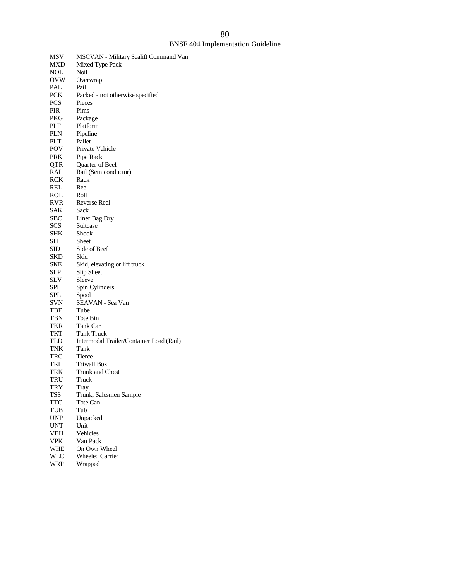### BNSF 404 Implementation Guideline

| MSV               | MSCVAN - Military Sealift Command Van    |
|-------------------|------------------------------------------|
| MXD               | Mixed Type Pack                          |
| NOL               | Noil                                     |
| <b>OVW</b>        | Overwrap                                 |
| PAL               | Pail                                     |
| <b>PCK</b>        | Packed - not otherwise specified         |
| <b>PCS</b>        | Pieces                                   |
| PIR               | Pims                                     |
| PKG               | Package                                  |
| PLF               | Platform                                 |
| PLN               | Pipeline                                 |
| PLT               | Pallet                                   |
| POV               | Private Vehicle                          |
| PRK               | Pipe Rack                                |
| QTR               | Quarter of Beef                          |
| RAL               | Rail (Semiconductor)                     |
| RCK               | Rack                                     |
| REL               | Reel                                     |
|                   | Roll                                     |
| ROL<br><b>RVR</b> | Reverse Reel                             |
|                   |                                          |
| SAK               | Sack                                     |
| SBC               | Liner Bag Dry                            |
| SCS               | Suitcase                                 |
| SHK               | Shook                                    |
| SHT               | Sheet                                    |
| SID               | Side of Beef                             |
| SKD               | Skid                                     |
| SKE               | Skid, elevating or lift truck            |
| SLP               | Slip Sheet                               |
| SLV               | Sleeve                                   |
| SPI               | Spin Cylinders                           |
| SPL               | Spool                                    |
| SVN               | SEAVAN - Sea Van                         |
| TBE               | Tube                                     |
| TBN               | Tote Bin                                 |
| TKR               | Tank Car                                 |
| TKT               | <b>Tank Truck</b>                        |
| TLD               | Intermodal Trailer/Container Load (Rail) |
| TNK               | Tank                                     |
| TRC               | Tierce                                   |
| TRI               | <b>Triwall Box</b>                       |
| TRK               | Trunk and Chest                          |
| TRU               | Truck                                    |
| TRY               | Tray                                     |
| TSS               | Trunk, Salesmen Sample                   |
| <b>TTC</b>        | Tote Can                                 |
| TUB               | Tub                                      |
| UNP               | Unpacked                                 |
| UNT               | Unit                                     |
| VEH               | Vehicles                                 |
| VPK               | Van Pack                                 |
| WHE               | On Own Wheel                             |
| WLC               | <b>Wheeled Carrier</b>                   |
| WRP               | Wrapped                                  |
|                   |                                          |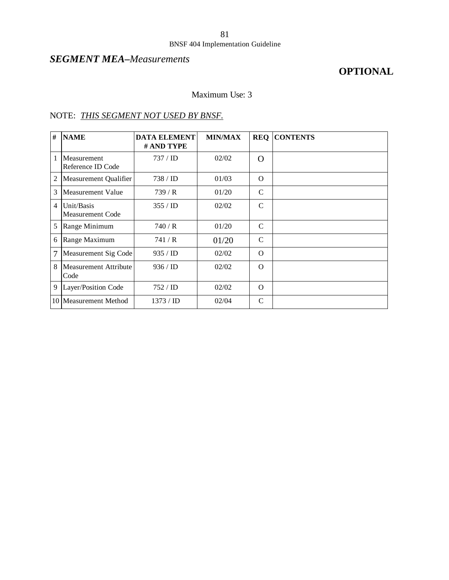### BNSF 404 Implementation Guideline

## *SEGMENT MEA–Measurements*

## **OPTIONAL**

### Maximum Use: 3

| #              | <b>NAME</b>                      | <b>DATA ELEMENT</b><br># AND TYPE | <b>MIN/MAX</b> | <b>REQ</b>    | <b>CONTENTS</b> |
|----------------|----------------------------------|-----------------------------------|----------------|---------------|-----------------|
| 1              | Measurement<br>Reference ID Code | 737 / ID                          | 02/02          | $\Omega$      |                 |
| 2              | Measurement Qualifier            | 738 / <b>ID</b>                   | 01/03          | $\Omega$      |                 |
| 3              | Measurement Value                | 739/R                             | 01/20          | C             |                 |
| $\overline{4}$ | Unit/Basis<br>Measurement Code   | 355 / ID                          | 02/02          | $\mathcal{C}$ |                 |
| 5              | Range Minimum                    | 740 / R                           | 01/20          | $\mathcal{C}$ |                 |
| 6              | Range Maximum                    | 741 / R                           | 01/20          | $\mathcal{C}$ |                 |
| 7              | Measurement Sig Code             | 935 / ID                          | 02/02          | $\Omega$      |                 |
| 8              | Measurement Attribute<br>Code    | 936 / ID                          | 02/02          | $\Omega$      |                 |
| 9              | Layer/Position Code              | 752 / <b>ID</b>                   | 02/02          | $\Omega$      |                 |
| 10             | Measurement Method               | $1373 /$ ID                       | 02/04          | $\mathsf{C}$  |                 |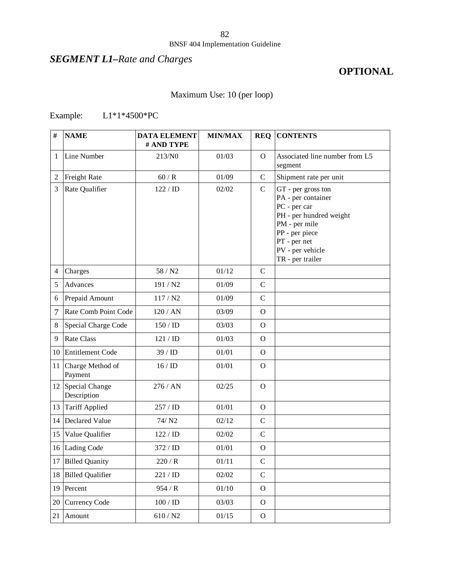## *SEGMENT L1–Rate and Charges*

## **OPTIONAL**

## Maximum Use: 10 (per loop)

## Example: L1\*1\*4500\*PC

| #               | <b>NAME</b>                   | <b>DATA ELEMENT</b><br># AND TYPE | <b>MIN/MAX</b> |               | <b>REQ CONTENTS</b>                                                                                                                                                            |
|-----------------|-------------------------------|-----------------------------------|----------------|---------------|--------------------------------------------------------------------------------------------------------------------------------------------------------------------------------|
| 1               | Line Number                   | 213/N0                            | 01/03          | $\Omega$      | Associated line number from L5<br>segment                                                                                                                                      |
| 2               | Freight Rate                  | 60/R                              | 01/09          | $\mathcal{C}$ | Shipment rate per unit                                                                                                                                                         |
| 3               | Rate Qualifier                | 122 / ID                          | 02/02          | $\mathcal{C}$ | GT - per gross ton<br>PA - per container<br>PC - per car<br>PH - per hundred weight<br>PM - per mile<br>PP - per piece<br>PT - per net<br>PV - per vehicle<br>TR - per trailer |
| 4               | Charges                       | 58 / N2                           | 01/12          | $\mathbf C$   |                                                                                                                                                                                |
| 5               | Advances                      | 191 / N2                          | 01/09          | $\mathbf C$   |                                                                                                                                                                                |
| 6               | Prepaid Amount                | 117 / N2                          | 01/09          | $\mathsf{C}$  |                                                                                                                                                                                |
| 7               | Rate Comb Point Code          | 120 / AN                          | 03/09          | $\Omega$      |                                                                                                                                                                                |
| 8               | Special Charge Code           | 150/ID                            | 03/03          | $\Omega$      |                                                                                                                                                                                |
| 9               | <b>Rate Class</b>             | 121 / ID                          | 01/03          | $\Omega$      |                                                                                                                                                                                |
| 10 <sup>1</sup> | <b>Entitlement Code</b>       | 39 / ID                           | 01/01          | $\Omega$      |                                                                                                                                                                                |
| 11              | Charge Method of<br>Payment   | 16/ID                             | 01/01          | $\Omega$      |                                                                                                                                                                                |
| 12              | Special Change<br>Description | 276 / AN                          | 02/25          | $\Omega$      |                                                                                                                                                                                |
| 13              | <b>Tariff Applied</b>         | 257 / ID                          | 01/01          | $\Omega$      |                                                                                                                                                                                |
| 14              | Declared Value                | 74/ N <sub>2</sub>                | 02/12          | $\mathcal{C}$ |                                                                                                                                                                                |
| 15              | Value Qualifier               | 122 / ID                          | 02/02          | $\mathbf C$   |                                                                                                                                                                                |
| 16              | Lading Code                   | 372 / ID                          | 01/01          | $\mathbf{O}$  |                                                                                                                                                                                |
|                 | 17 Billed Quanity             | 220/R                             | 01/11          | $\mathsf{C}$  |                                                                                                                                                                                |
| 18              | <b>Billed Qualifier</b>       | $221 / \mathrm{ID}$               | 02/02          | $\mathbf C$   |                                                                                                                                                                                |
| 19              | Percent                       | 954/R                             | $01/10\,$      | $\mathbf{O}$  |                                                                                                                                                                                |
| 20              | <b>Currency Code</b>          | $100$ / ${\rm ID}$                | 03/03          | $\mathbf{O}$  |                                                                                                                                                                                |
| 21              | Amount                        | $610/$ N2                         | 01/15          | ${\cal O}$    |                                                                                                                                                                                |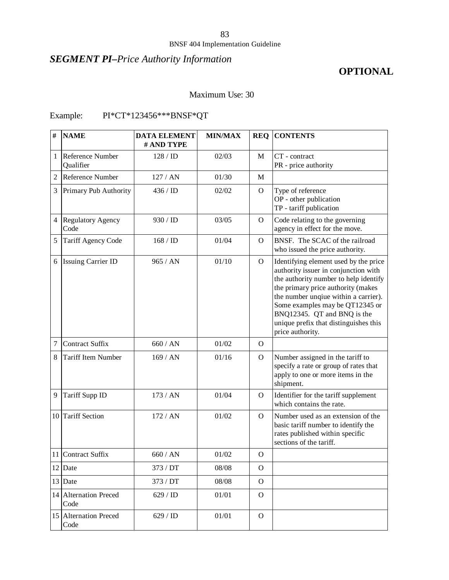### BNSF 404 Implementation Guideline

## *SEGMENT PI–Price Authority Information*

## **OPTIONAL**

### Maximum Use: 30

## Example: PI\*CT\*123456\*\*\*BNSF\*QT

| #              | <b>NAME</b>                      | <b>DATA ELEMENT</b><br># AND TYPE | <b>MIN/MAX</b> |              | <b>REQ CONTENTS</b>                                                                                                                                                                                                                                                                                                                 |
|----------------|----------------------------------|-----------------------------------|----------------|--------------|-------------------------------------------------------------------------------------------------------------------------------------------------------------------------------------------------------------------------------------------------------------------------------------------------------------------------------------|
| 1              | Reference Number<br>Qualifier    | 128 / ID                          | 02/03          | M            | CT - contract<br>PR - price authority                                                                                                                                                                                                                                                                                               |
| $\overline{2}$ | Reference Number                 | 127 / AN                          | 01/30          | $\mathbf{M}$ |                                                                                                                                                                                                                                                                                                                                     |
| 3              | Primary Pub Authority            | 436 / ID                          | 02/02          | $\mathbf{O}$ | Type of reference<br>OP - other publication<br>TP - tariff publication                                                                                                                                                                                                                                                              |
| 4              | <b>Regulatory Agency</b><br>Code | 930 / ID                          | 03/05          | $\mathbf O$  | Code relating to the governing<br>agency in effect for the move.                                                                                                                                                                                                                                                                    |
| 5              | Tariff Agency Code               | 168 / ID                          | 01/04          | $\Omega$     | BNSF. The SCAC of the railroad<br>who issued the price authority.                                                                                                                                                                                                                                                                   |
| 6              | <b>Issuing Carrier ID</b>        | 965 / AN                          | 01/10          | $\mathbf{O}$ | Identifying element used by the price<br>authority issuer in conjunction with<br>the authority number to help identify<br>the primary price authority (makes<br>the number unqiue within a carrier).<br>Some examples may be QT12345 or<br>BNQ12345. QT and BNQ is the<br>unique prefix that distinguishes this<br>price authority. |
| 7              | <b>Contract Suffix</b>           | 660/AN                            | 01/02          | $\Omega$     |                                                                                                                                                                                                                                                                                                                                     |
| 8              | <b>Tariff Item Number</b>        | 169 / AN                          | 01/16          | $\mathbf O$  | Number assigned in the tariff to<br>specify a rate or group of rates that<br>apply to one or more items in the<br>shipment.                                                                                                                                                                                                         |
| 9              | Tariff Supp ID                   | 173 / AN                          | 01/04          | O            | Identifier for the tariff supplement<br>which contains the rate.                                                                                                                                                                                                                                                                    |
|                | 10 Tariff Section                | 172/AN                            | 01/02          | $\Omega$     | Number used as an extension of the<br>basic tariff number to identify the<br>rates published within specific<br>sections of the tariff.                                                                                                                                                                                             |
|                | 11 Contract Suffix               | 660/AN                            | 01/02          | $\mathbf{O}$ |                                                                                                                                                                                                                                                                                                                                     |
|                | 12 Date                          | 373 / DT                          | 08/08          | $\Omega$     |                                                                                                                                                                                                                                                                                                                                     |
|                | 13 Date                          | 373 / DT                          | 08/08          | $\Omega$     |                                                                                                                                                                                                                                                                                                                                     |
|                | 14 Alternation Preced<br>Code    | 629 / ID                          | 01/01          | $\Omega$     |                                                                                                                                                                                                                                                                                                                                     |
|                | 15 Alternation Preced<br>Code    | 629 / ID                          | 01/01          | $\mathbf{O}$ |                                                                                                                                                                                                                                                                                                                                     |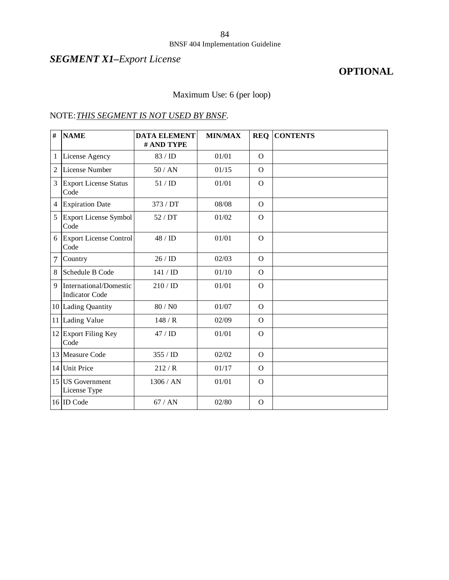## *SEGMENT X1–Export License*

## **OPTIONAL**

## Maximum Use: 6 (per loop)

| $\#$           | <b>NAME</b>                                     | <b>DATA ELEMENT</b><br># AND TYPE | <b>MIN/MAX</b> | <b>REQ</b>   | <b>CONTENTS</b> |
|----------------|-------------------------------------------------|-----------------------------------|----------------|--------------|-----------------|
| 1              | License Agency                                  | 83 / ID                           | 01/01          | $\Omega$     |                 |
| $\overline{2}$ | License Number                                  | 50/AN                             | 01/15          | $\Omega$     |                 |
| 3              | <b>Export License Status</b><br>Code            | 51/ID                             | 01/01          | $\Omega$     |                 |
| $\overline{4}$ | <b>Expiration Date</b>                          | 373 / DT                          | 08/08          | $\Omega$     |                 |
| 5              | Export License Symbol<br>Code                   | 52/DT                             | 01/02          | $\Omega$     |                 |
| 6              | <b>Export License Control</b><br>Code           | 48 / ID                           | 01/01          | $\mathbf{O}$ |                 |
| 7              | Country                                         | 26/ID                             | 02/03          | $\Omega$     |                 |
| 8              | Schedule B Code                                 | 141 / ID                          | 01/10          | $\mathbf{O}$ |                 |
| $\mathbf{Q}$   | International/Domestic<br><b>Indicator Code</b> | 210 / ID                          | 01/01          | $\mathbf{O}$ |                 |
|                | 10 Lading Quantity                              | 80 / N0                           | 01/07          | $\Omega$     |                 |
|                | 11 Lading Value                                 | 148/R                             | 02/09          | $\Omega$     |                 |
|                | 12 Export Filing Key<br>Code                    | 47/ID                             | 01/01          | $\Omega$     |                 |
|                | 13 Measure Code                                 | 355 / ID                          | 02/02          | $\mathbf{O}$ |                 |
| 14             | <b>Unit Price</b>                               | 212/R                             | 01/17          | $\Omega$     |                 |
| 15             | <b>US</b> Government<br>License Type            | 1306 / AN                         | 01/01          | $\Omega$     |                 |
|                | 16 ID Code                                      | 67/AN                             | 02/80          | $\Omega$     |                 |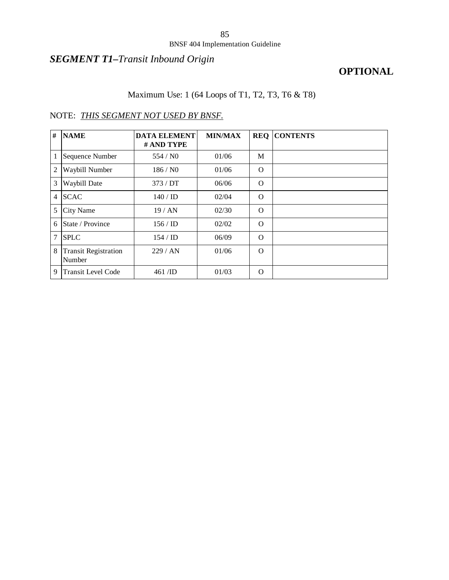### BNSF 404 Implementation Guideline

## *SEGMENT T1–Transit Inbound Origin*

## **OPTIONAL**

## Maximum Use: 1 (64 Loops of T1, T2, T3, T6 & T8)

| #              | <b>NAME</b>                           | <b>DATA ELEMENT</b><br># AND TYPE | <b>MIN/MAX</b> | <b>REQ</b> | <b>CONTENTS</b> |
|----------------|---------------------------------------|-----------------------------------|----------------|------------|-----------------|
| 1              | Sequence Number                       | 554/N0                            | 01/06          | M          |                 |
| $\overline{2}$ | Waybill Number                        | 186/N0                            | 01/06          | $\Omega$   |                 |
| 3              | Waybill Date                          | 373/DT                            | 06/06          | $\Omega$   |                 |
| 4              | <b>SCAC</b>                           | $140 /$ ID                        | 02/04          | $\Omega$   |                 |
| 5              | <b>City Name</b>                      | 19/AN                             | 02/30          | $\Omega$   |                 |
| 6              | State / Province                      | $156 /$ ID                        | 02/02          | $\Omega$   |                 |
| 7              | <b>SPLC</b>                           | $154 /$ ID                        | 06/09          | $\Omega$   |                 |
| 8              | <b>Transit Registration</b><br>Number | 229/AN                            | 01/06          | $\Omega$   |                 |
| 9              | <b>Transit Level Code</b>             | $461$ /ID                         | 01/03          | $\Omega$   |                 |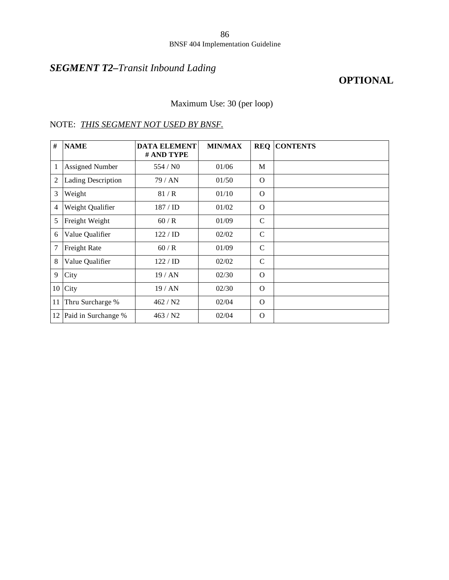## *SEGMENT T2–Transit Inbound Lading*

### **OPTIONAL**

Maximum Use: 30 (per loop)

### NOTE: *THIS SEGMENT NOT USED BY BNSF.*

| #            | <b>NAME</b>               | <b>DATA ELEMENT</b><br># AND TYPE | <b>MIN/MAX</b> | <b>REQ</b>    | <b>CONTENTS</b> |
|--------------|---------------------------|-----------------------------------|----------------|---------------|-----------------|
| $\mathbf{1}$ | <b>Assigned Number</b>    | 554/N0                            | 01/06          | M             |                 |
| 2            | <b>Lading Description</b> | 79/AN                             | 01/50          | $\Omega$      |                 |
| 3            | Weight                    | 81/R                              | 01/10          | $\Omega$      |                 |
| 4            | Weight Qualifier          | $187 /$ ID                        | 01/02          | $\Omega$      |                 |
| 5            | Freight Weight            | 60/R                              | 01/09          | $\mathsf{C}$  |                 |
| 6            | Value Qualifier           | 122 / ID                          | 02/02          | $\mathcal{C}$ |                 |
| 7            | Freight Rate              | 60/R                              | 01/09          | $\mathsf{C}$  |                 |
| 8            | Value Qualifier           | $122 /$ ID                        | 02/02          | $\mathsf{C}$  |                 |
| 9            | City                      | 19/AN                             | 02/30          | $\Omega$      |                 |
| 10           | City                      | 19/AN                             | 02/30          | $\Omega$      |                 |
| 11           | Thru Surcharge %          | 462 / N2                          | 02/04          | $\Omega$      |                 |
| 12           | Paid in Surchange %       | 463 / N2                          | 02/04          | $\Omega$      |                 |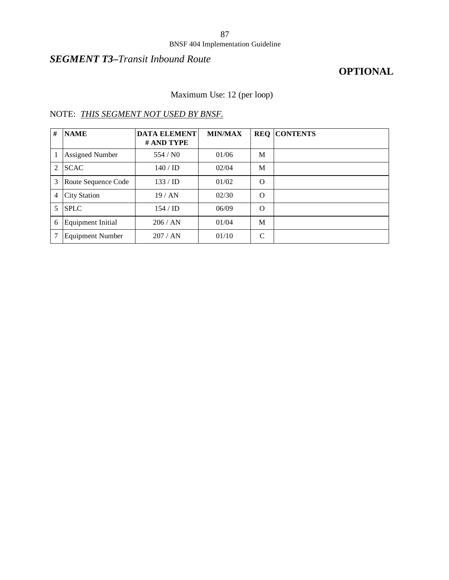### BNSF 404 Implementation Guideline

## *SEGMENT T3–Transit Inbound Route*

## **OPTIONAL**

## Maximum Use: 12 (per loop)

| # | <b>NAME</b>              | <b>DATA ELEMENT</b><br># AND TYPE | <b>MIN/MAX</b> |              | <b>REQ CONTENTS</b> |
|---|--------------------------|-----------------------------------|----------------|--------------|---------------------|
|   | Assigned Number          | 554/N0                            | 01/06          | M            |                     |
| 2 | <b>SCAC</b>              | 140/ID                            | 02/04          | M            |                     |
| 3 | Route Sequence Code      | 133 / ID                          | 01/02          | $\Omega$     |                     |
| 4 | <b>City Station</b>      | 19/AN                             | 02/30          | $\Omega$     |                     |
| 5 | <b>SPLC</b>              | 154/ID                            | 06/09          | O            |                     |
| 6 | <b>Equipment Initial</b> | 206 / AN                          | 01/04          | M            |                     |
| 7 | <b>Equipment Number</b>  | 207/AN                            | 01/10          | $\mathsf{C}$ |                     |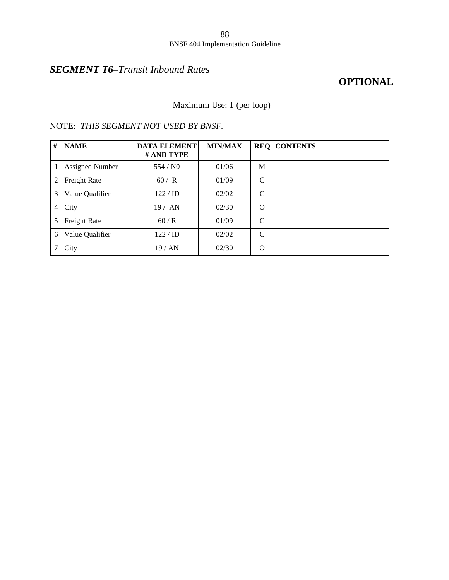## *SEGMENT T6–Transit Inbound Rates*

### **OPTIONAL**

Maximum Use: 1 (per loop)

| #              | <b>NAME</b>            | <b>DATA ELEMENT</b><br># AND TYPE | <b>MIN/MAX</b> |               | <b>REQ CONTENTS</b> |
|----------------|------------------------|-----------------------------------|----------------|---------------|---------------------|
|                | <b>Assigned Number</b> | 554/N0                            | 01/06          | M             |                     |
| $\overline{2}$ | Freight Rate           | 60 / R                            | 01/09          | $\mathcal{C}$ |                     |
| 3              | Value Qualifier        | $122 /$ ID                        | 02/02          | $\mathcal{C}$ |                     |
| 4              | City                   | 19/AN                             | 02/30          | $\Omega$      |                     |
| 5              | Freight Rate           | 60/R                              | 01/09          | C             |                     |
| 6              | Value Qualifier        | $122 /$ ID                        | 02/02          | $\mathcal{C}$ |                     |
|                | City                   | 19/AN                             | 02/30          | $\Omega$      |                     |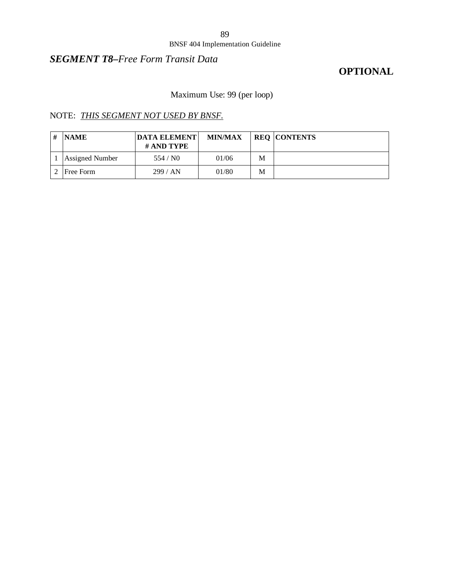### BNSF 404 Implementation Guideline

### *SEGMENT T8–Free Form Transit Data*

## **OPTIONAL**

## Maximum Use: 99 (per loop)

| <b>NAME</b>            | <b>DATA ELEMENT</b><br># AND TYPE | <b>MIN/MAX</b> |   | <b>REQ CONTENTS</b> |
|------------------------|-----------------------------------|----------------|---|---------------------|
| <b>Assigned Number</b> | 554 / $N0$                        | 01/06          | M |                     |
| Free Form              | 299/AN                            | 01/80          | M |                     |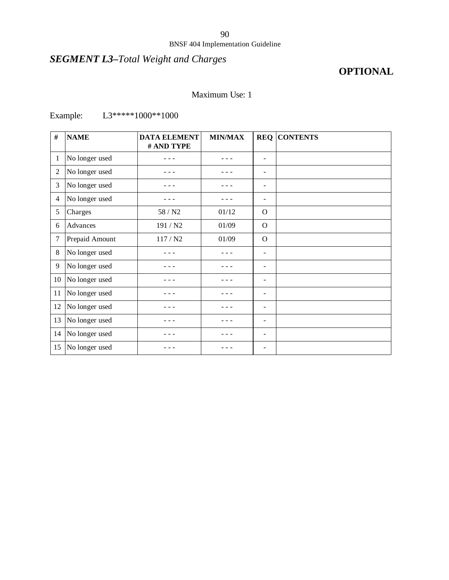## *SEGMENT L3–Total Weight and Charges*

## **OPTIONAL**

### Maximum Use: 1

## Example: L3\*\*\*\*\*1000\*\*1000

| #              | <b>NAME</b>    | <b>DATA ELEMENT</b><br># AND TYPE | <b>MIN/MAX</b> |                              | <b>REQ CONTENTS</b> |
|----------------|----------------|-----------------------------------|----------------|------------------------------|---------------------|
| 1              | No longer used |                                   |                | ۰                            |                     |
| $\mathbf{2}$   | No longer used |                                   |                | -                            |                     |
| 3              | No longer used |                                   |                | -                            |                     |
| $\overline{4}$ | No longer used |                                   |                | $\overline{\phantom{a}}$     |                     |
| 5              | Charges        | 58 / N2                           | 01/12          | $\Omega$                     |                     |
| 6              | Advances       | 191 / N2                          | 01/09          | $\Omega$                     |                     |
| 7              | Prepaid Amount | 117 / N2                          | 01/09          | $\Omega$                     |                     |
| $\,8\,$        | No longer used |                                   |                | $\qquad \qquad \blacksquare$ |                     |
| 9              | No longer used |                                   |                | $\qquad \qquad \blacksquare$ |                     |
| 10             | No longer used |                                   |                | $\blacksquare$               |                     |
| 11             | No longer used |                                   |                | -                            |                     |
| 12             | No longer used |                                   |                | -                            |                     |
| 13             | No longer used |                                   |                | $\overline{\phantom{m}}$     |                     |
| 14             | No longer used |                                   |                | -                            |                     |
| 15             | No longer used |                                   |                | -                            |                     |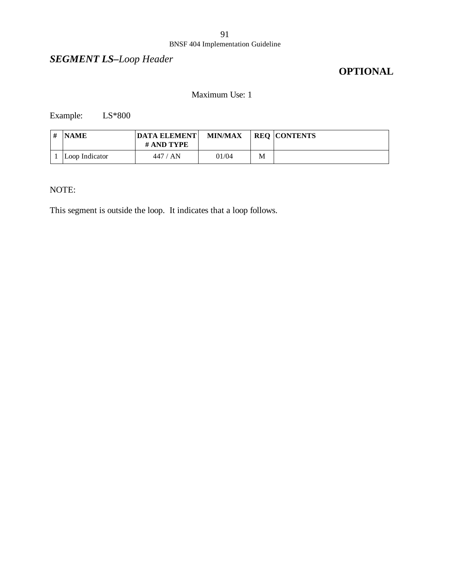## *SEGMENT LS–Loop Header*

## **OPTIONAL**

### Maximum Use: 1

Example: LS\*800

| ı # | <b>NAME</b>    | <b>DATA ELEMENT</b><br># AND TYPE | <b>MIN/MAX</b> |   | <b>REQ CONTENTS</b> |
|-----|----------------|-----------------------------------|----------------|---|---------------------|
|     | Loop Indicator | 447 / AN                          | 01/04          | M |                     |

### NOTE:

This segment is outside the loop. It indicates that a loop follows.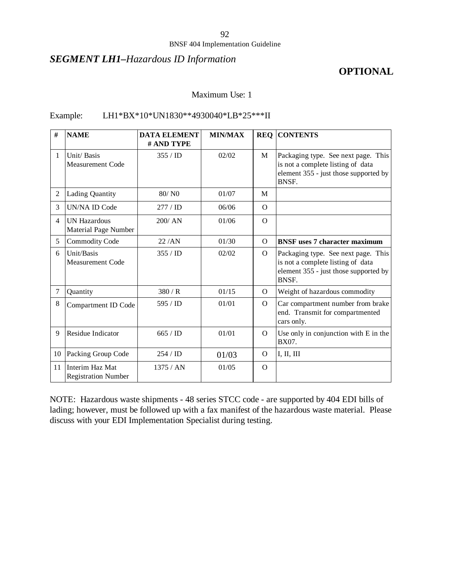### *SEGMENT LH1–Hazardous ID Information*

### **OPTIONAL**

#### Maximum Use: 1

### Example: LH1\*BX\*10\*UN1830\*\*4930040\*LB\*25\*\*\*II

| #              | <b>NAME</b>                                   | <b>DATA ELEMENT</b><br># AND TYPE | <b>MIN/MAX</b> | <b>REQ</b> | <b>CONTENTS</b>                                                                                                                   |
|----------------|-----------------------------------------------|-----------------------------------|----------------|------------|-----------------------------------------------------------------------------------------------------------------------------------|
| 1              | Unit/Basis<br>Measurement Code                | 355/ID                            | 02/02          | M          | Packaging type. See next page. This<br>is not a complete listing of data<br>element 355 - just those supported by<br>BNSF.        |
| $\overline{2}$ | <b>Lading Quantity</b>                        | 80/N0                             | 01/07          | M          |                                                                                                                                   |
| 3              | <b>UN/NA ID Code</b>                          | 277 / <b>ID</b>                   | 06/06          | $\Omega$   |                                                                                                                                   |
| $\overline{4}$ | <b>UN Hazardous</b><br>Material Page Number   | 200/AN                            | 01/06          | $\Omega$   |                                                                                                                                   |
| 5              | Commodity Code                                | 22/AN                             | 01/30          | $\Omega$   | <b>BNSF</b> uses 7 character maximum                                                                                              |
| 6              | Unit/Basis<br><b>Measurement Code</b>         | 355/ID                            | 02/02          | $\Omega$   | Packaging type. See next page. This<br>is not a complete listing of data<br>element 355 - just those supported by<br><b>BNSF.</b> |
| $\overline{7}$ | Quantity                                      | 380/R                             | 01/15          | $\Omega$   | Weight of hazardous commodity                                                                                                     |
| 8              | Compartment ID Code                           | 595 / ID                          | 01/01          | $\Omega$   | Car compartment number from brake<br>end. Transmit for compartmented<br>cars only.                                                |
| 9              | Residue Indicator                             | 665 / ID                          | 01/01          | $\Omega$   | Use only in conjunction with E in the<br>BX07.                                                                                    |
| 10             | Packing Group Code                            | 254/ID                            | 01/03          | $\Omega$   | I, II, III                                                                                                                        |
| 11             | Interim Haz Mat<br><b>Registration Number</b> | 1375 / AN                         | 01/05          | $\Omega$   |                                                                                                                                   |

NOTE: Hazardous waste shipments - 48 series STCC code - are supported by 404 EDI bills of lading; however, must be followed up with a fax manifest of the hazardous waste material. Please discuss with your EDI Implementation Specialist during testing.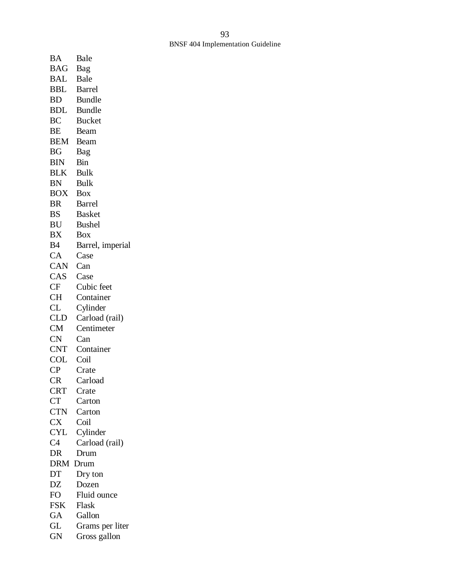| BA                  | Bale             |
|---------------------|------------------|
| BAG                 | Bag              |
| BAL                 | Bale             |
| BBL                 | <b>Barrel</b>    |
|                     |                  |
| BD                  | <b>Bundle</b>    |
| BDL                 | <b>Bundle</b>    |
| BC                  | <b>Bucket</b>    |
| ВE                  | Beam             |
| <b>BEM</b>          | Beam             |
| BG                  | Bag              |
| BIN                 | Bin              |
|                     |                  |
| <b>BLK</b>          | <b>Bulk</b>      |
| BN                  | Bulk             |
| <b>BOX</b>          | <b>Box</b>       |
| BR                  | <b>Barrel</b>    |
| BS                  | <b>Basket</b>    |
| BU                  | <b>Bushel</b>    |
| BX                  | Box              |
| B4                  |                  |
|                     | Barrel, imperial |
| CA                  | Case             |
| CAN                 | Can              |
| CAS                 | Case             |
| CF                  | Cubic feet       |
| CH                  | Container        |
| CL                  | Cylinder         |
| <b>CLD</b>          | Carload (rail)   |
|                     |                  |
| <b>CM</b>           | Centimeter       |
| <b>CN</b>           | Can              |
| <b>CNT</b>          | Container        |
| <b>COL</b>          | Coil             |
| $\mathsf{CP}$       | Crate            |
| CR                  | Carload          |
| <b>CRT</b>          | Crate            |
| <b>CT</b>           | Carton           |
| <b>CTN</b>          | Carton           |
| <b>CX</b>           |                  |
|                     | Coil             |
| <b>CYL</b>          | Cylinder         |
| C <sub>4</sub>      | Carload (rail)   |
| DR                  | Drum             |
| <b>DRM</b>          | Drum             |
| DT                  | Dry ton          |
| DZ                  | Dozen            |
| FO                  | Fluid ounce      |
| <b>FSK</b>          | Flask            |
| GA                  | Gallon           |
|                     |                  |
| $\mathrm{GL}% _{n}$ | Grams per liter  |
| GN                  | Gross gallon     |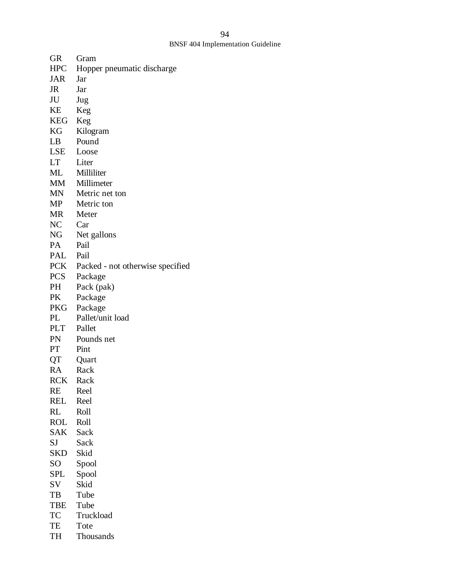| GR         | Gram                              |
|------------|-----------------------------------|
| <b>HPC</b> | Hopper pneumatic discharge        |
| JAR        | Jar                               |
| JR         | Jar                               |
| JU         | Jug                               |
| KE         | Keg                               |
| KEG        | Keg                               |
| KG         | Kilogram                          |
| LB         | Pound                             |
| LSE        | Loose                             |
| LT —       | Liter                             |
| ML         | Milliliter                        |
|            | MM Millimeter                     |
| MN         | Metric net ton                    |
| MP         | Metric ton                        |
| <b>MR</b>  | Meter                             |
| NC         | Car                               |
| NG         | Net gallons                       |
| PA         | Pail                              |
| PAL        | Pail                              |
|            | PCK Packed - not otherwise specif |
| PCS        | Package                           |
| PH         | Pack (pak)                        |
| PK         | Package                           |
| PKG        | Package                           |
| PL         | Pallet/unit load                  |
| PLT        | Pallet                            |
| PN         | Pounds net                        |
| PT         | Pint                              |
| QT         | Quart                             |
| RA         | Rack                              |
| <b>RCK</b> | Rack                              |
| <b>RE</b>  | Reel                              |
| REL        | Reel                              |
| <b>RL</b>  | Roll                              |
| <b>ROL</b> | Roll                              |
| SAK        | Sack                              |
| SJ         | Sack                              |
| <b>SKD</b> | Skid                              |
| SO         | Spool                             |
| SPL        | Spool                             |
| SV         | Skid                              |
| TB         | Tube                              |
| <b>TBE</b> | Tube                              |
| TC         | Truckload                         |
| TE         | Tote                              |

otherwise specified

TH Thousands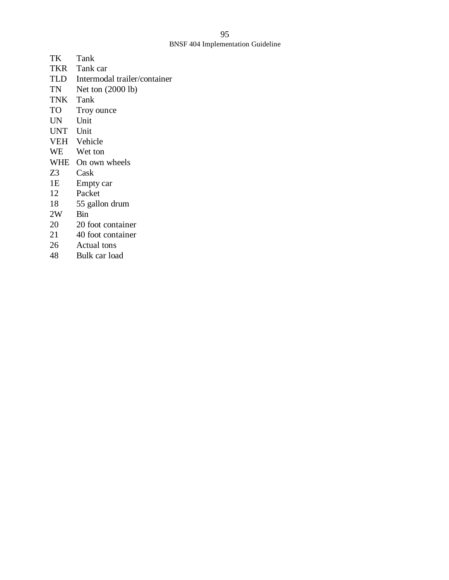| TK       | Tank                         |
|----------|------------------------------|
|          | TKR Tank car                 |
| TLD      | Intermodal trailer/container |
| TN       | Net ton $(2000 lb)$          |
| TNK Tank |                              |
| TO       | Troy ounce                   |
| UN       | Unit                         |
| UNT      | Unit                         |
|          | VEH Vehicle                  |
| WE       | Wet ton                      |
| WHE      | On own wheels                |
| Z3       | Cask                         |
| 1E       | Empty car                    |
| 12       | Packet                       |
| 18       | 55 gallon drum               |
| 2W       | <b>Bin</b>                   |
| 20       | 20 foot container            |
| 21       | 40 foot container            |
| 26       | Actual tons                  |
| 48       | Bulk car load                |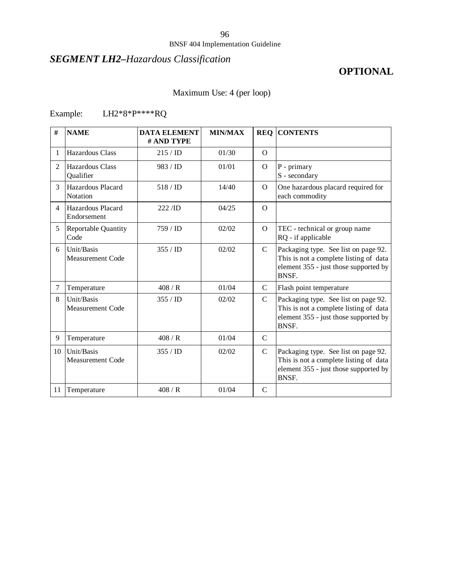### BNSF 404 Implementation Guideline

## *SEGMENT LH2–Hazardous Classification*

## **OPTIONAL**

## Maximum Use: 4 (per loop)

## Example: LH2\*8\*P\*\*\*\*RQ

| #              | <b>NAME</b>                           | <b>DATA ELEMENT</b><br># AND TYPE | <b>MIN/MAX</b> |               | <b>REQ CONTENTS</b>                                                                                                              |
|----------------|---------------------------------------|-----------------------------------|----------------|---------------|----------------------------------------------------------------------------------------------------------------------------------|
| 1              | <b>Hazardous Class</b>                | 215 / ID                          | 01/30          | $\Omega$      |                                                                                                                                  |
| $\mathfrak{D}$ | Hazardous Class<br>Qualifier          | 983 / ID                          | 01/01          | $\Omega$      | P - primary<br>S - secondary                                                                                                     |
| 3              | Hazardous Placard<br>Notation         | 518/ID                            | 14/40          | $\Omega$      | One hazardous placard required for<br>each commodity                                                                             |
| $\overline{4}$ | Hazardous Placard<br>Endorsement      | $222$ /ID                         | 04/25          | $\Omega$      |                                                                                                                                  |
| 5              | Reportable Quantity<br>Code           | 759/ID                            | 02/02          | $\Omega$      | TEC - technical or group name<br>RQ - if applicable                                                                              |
| 6              | Unit/Basis<br><b>Measurement Code</b> | 355/ID                            | 02/02          | $\mathbf C$   | Packaging type. See list on page 92.<br>This is not a complete listing of data<br>element 355 - just those supported by<br>BNSF. |
| 7              | Temperature                           | 408/R                             | 01/04          | $\mathcal{C}$ | Flash point temperature                                                                                                          |
| 8              | Unit/Basis<br>Measurement Code        | 355/ID                            | 02/02          | $\mathcal{C}$ | Packaging type. See list on page 92.<br>This is not a complete listing of data<br>element 355 - just those supported by<br>BNSF. |
| 9              | Temperature                           | 408/R                             | 01/04          | $\mathcal{C}$ |                                                                                                                                  |
| 10             | Unit/Basis<br>Measurement Code        | 355/ID                            | 02/02          | $\mathcal{C}$ | Packaging type. See list on page 92.<br>This is not a complete listing of data<br>element 355 - just those supported by<br>BNSF. |
| 11             | Temperature                           | 408/R                             | 01/04          | $\mathcal{C}$ |                                                                                                                                  |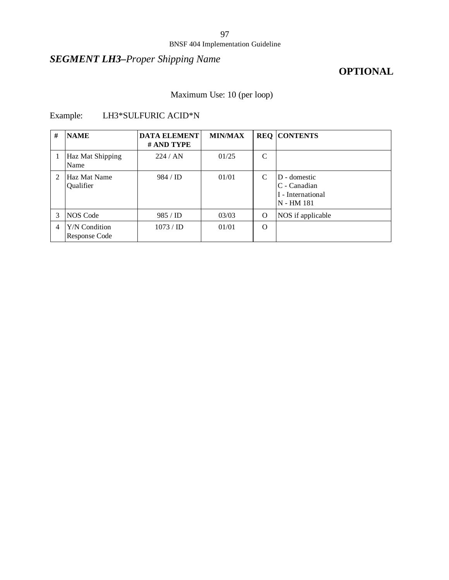## *SEGMENT LH3–Proper Shipping Name*

## **OPTIONAL**

## Maximum Use: 10 (per loop)

## Example: LH3\*SULFURIC ACID\*N

| #             | <b>NAME</b>                           | <b>DATA ELEMENT</b><br># AND TYPE | <b>MIN/MAX</b> |          | <b>REQ CONTENTS</b>                                             |
|---------------|---------------------------------------|-----------------------------------|----------------|----------|-----------------------------------------------------------------|
|               | Haz Mat Shipping<br>Name              | 224/AN                            | 01/25          | C        |                                                                 |
| $\mathcal{D}$ | Haz Mat Name<br>Qualifier             | $984 / \text{ID}$                 | 01/01          | C        | D - domestic<br>C - Canadian<br>I - International<br>N - HM 181 |
| 3             | NOS Code                              | 985 / ID                          | 03/03          | $\Omega$ | NOS if applicable                                               |
| 4             | Y/N Condition<br><b>Response Code</b> | 1073 / <b>ID</b>                  | 01/01          | $\Omega$ |                                                                 |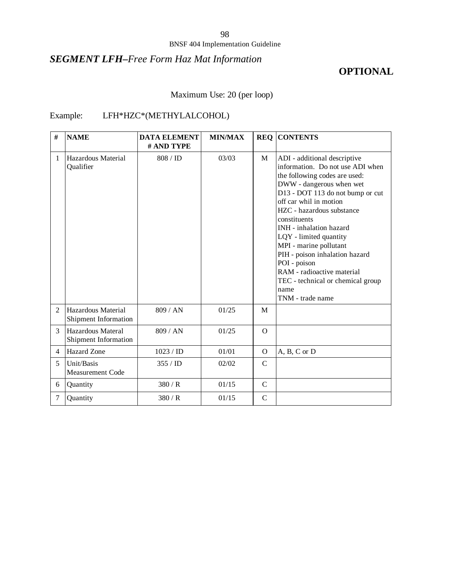## *SEGMENT LFH–Free Form Haz Mat Information*

## **OPTIONAL**

Maximum Use: 20 (per loop)

### Example: LFH\*HZC\*(METHYLALCOHOL)

| #              | <b>NAME</b>                                | <b>DATA ELEMENT</b><br># AND TYPE | <b>MIN/MAX</b> | <b>REQ</b>    | <b>CONTENTS</b>                                                                                                                                                                                                                                                                                                                                                                                                                                                          |
|----------------|--------------------------------------------|-----------------------------------|----------------|---------------|--------------------------------------------------------------------------------------------------------------------------------------------------------------------------------------------------------------------------------------------------------------------------------------------------------------------------------------------------------------------------------------------------------------------------------------------------------------------------|
| $\mathbf{1}$   | Hazardous Material<br>Qualifier            | 808 / ID                          | 03/03          | M             | ADI - additional descriptive<br>information. Do not use ADI when<br>the following codes are used:<br>DWW - dangerous when wet<br>D13 - DOT 113 do not bump or cut<br>off car whil in motion<br>HZC - hazardous substance<br>constituents<br>INH - inhalation hazard<br>LQY - limited quantity<br>MPI - marine pollutant<br>PIH - poison inhalation hazard<br>POI - poison<br>RAM - radioactive material<br>TEC - technical or chemical group<br>name<br>TNM - trade name |
| $\mathfrak{D}$ | Hazardous Material<br>Shipment Information | 809/AN                            | 01/25          | M             |                                                                                                                                                                                                                                                                                                                                                                                                                                                                          |
| 3              | Hazardous Materal<br>Shipment Information  | 809 / AN                          | 01/25          | $\Omega$      |                                                                                                                                                                                                                                                                                                                                                                                                                                                                          |
| $\overline{4}$ | <b>Hazard</b> Zone                         | 1023 / <b>ID</b>                  | 01/01          | $\Omega$      | $A, B, C$ or $D$                                                                                                                                                                                                                                                                                                                                                                                                                                                         |
| 5              | Unit/Basis<br>Measurement Code             | 355/ID                            | 02/02          | $\mathcal{C}$ |                                                                                                                                                                                                                                                                                                                                                                                                                                                                          |
| 6              | Quantity                                   | 380/R                             | 01/15          | $\mathcal{C}$ |                                                                                                                                                                                                                                                                                                                                                                                                                                                                          |
| 7              | Quantity                                   | 380/R                             | 01/15          | $\mathsf{C}$  |                                                                                                                                                                                                                                                                                                                                                                                                                                                                          |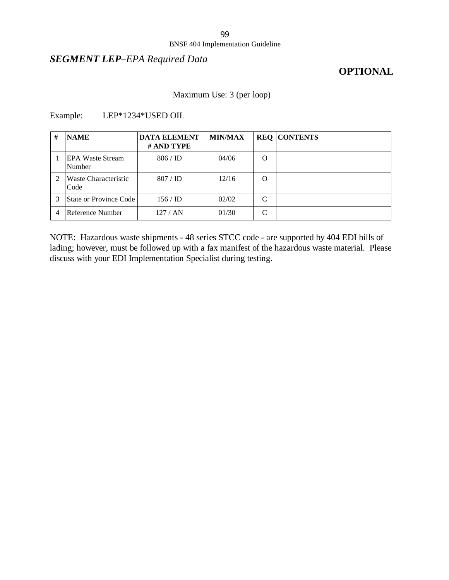### *SEGMENT LEP–EPA Required Data*

### **OPTIONAL**

### Maximum Use: 3 (per loop)

### Example: LEP\*1234\*USED OIL

| # | <b>NAME</b>                   | <b>DATA ELEMENT</b><br># AND TYPE | <b>MIN/MAX</b> |                    | <b>REQ CONTENTS</b> |
|---|-------------------------------|-----------------------------------|----------------|--------------------|---------------------|
|   | EPA Waste Stream<br>Number    | $806 /$ ID                        | 04/06          | O                  |                     |
|   | Waste Characteristic<br>Code  | 807 / ID                          | 12/16          | O                  |                     |
|   | <b>State or Province Code</b> | 156/ID                            | 02/02          | $\curvearrowright$ |                     |
|   | Reference Number              | 127/AN                            | 01/30          |                    |                     |

NOTE: Hazardous waste shipments - 48 series STCC code - are supported by 404 EDI bills of lading; however, must be followed up with a fax manifest of the hazardous waste material. Please discuss with your EDI Implementation Specialist during testing.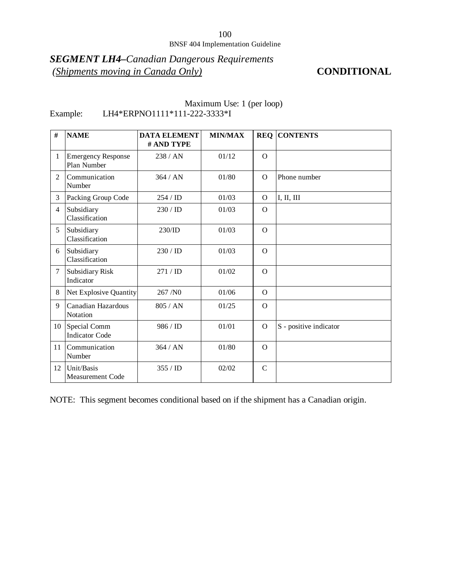## *SEGMENT LH4–Canadian Dangerous Requirements (Shipments moving in Canada Only)* **CONDITIONAL**

| #              | <b>NAME</b>                              | <b>DATA ELEMENT</b><br># AND TYPE | <b>MIN/MAX</b> | <b>REQ</b>    | <b>CONTENTS</b>        |
|----------------|------------------------------------------|-----------------------------------|----------------|---------------|------------------------|
| $\mathbf{1}$   | <b>Emergency Response</b><br>Plan Number | 238 / AN                          | 01/12          | $\Omega$      |                        |
| $\overline{2}$ | Communication<br>Number                  | 364/AN                            | 01/80          | $\Omega$      | Phone number           |
| 3              | Packing Group Code                       | 254 / ID                          | 01/03          | $\Omega$      | I, II, III             |
| $\overline{4}$ | Subsidiary<br>Classification             | $230 /$ ID                        | 01/03          | $\Omega$      |                        |
| 5              | Subsidiary<br>Classification             | 230/ID                            | 01/03          | $\Omega$      |                        |
| 6              | Subsidiary<br>Classification             | $230 /$ ID                        | 01/03          | $\Omega$      |                        |
| $\tau$         | <b>Subsidiary Risk</b><br>Indicator      | 271 / ID                          | 01/02          | $\Omega$      |                        |
| 8              | Net Explosive Quantity                   | 267/N0                            | 01/06          | $\Omega$      |                        |
| 9              | Canadian Hazardous<br>Notation           | 805 / AN                          | 01/25          | $\Omega$      |                        |
| 10             | Special Comm<br><b>Indicator Code</b>    | 986 / ID                          | 01/01          | $\Omega$      | S - positive indicator |
| 11             | Communication<br>Number                  | 364/AN                            | 01/80          | $\Omega$      |                        |
| 12             | Unit/Basis<br><b>Measurement Code</b>    | 355/ID                            | 02/02          | $\mathcal{C}$ |                        |

### Maximum Use: 1 (per loop) Example: LH4\*ERPNO1111\*111-222-3333\*I

NOTE: This segment becomes conditional based on if the shipment has a Canadian origin.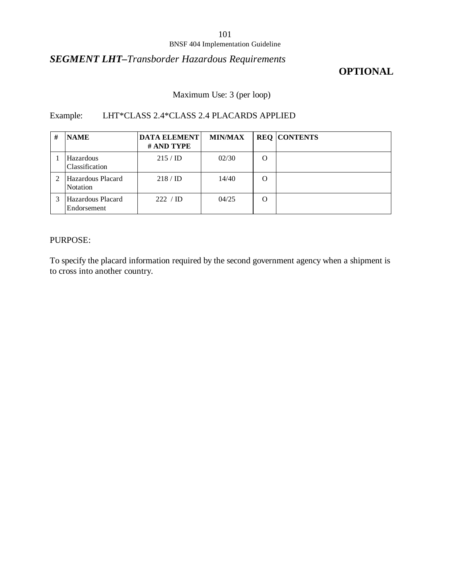### *SEGMENT LHT–Transborder Hazardous Requirements*

## **OPTIONAL**

### Maximum Use: 3 (per loop)

### Example: LHT\*CLASS 2.4\*CLASS 2.4 PLACARDS APPLIED

| # | <b>NAME</b>                          | <b>DATA ELEMENT</b><br># AND TYPE | <b>MIN/MAX</b> |          | <b>REQ CONTENTS</b> |
|---|--------------------------------------|-----------------------------------|----------------|----------|---------------------|
|   | Hazardous<br>Classification          | $215 / \mathrm{ID}$               | 02/30          | $\Omega$ |                     |
|   | Hazardous Placard<br><b>Notation</b> | $218 / \mathrm{ID}$               | 14/40          | $\Omega$ |                     |
|   | Hazardous Placard<br>Endorsement     | 222 / ID                          | 04/25          | O        |                     |

### PURPOSE:

To specify the placard information required by the second government agency when a shipment is to cross into another country.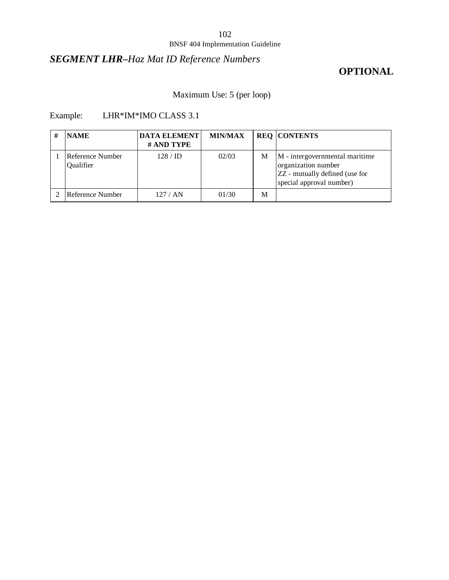## *SEGMENT LHR–Haz Mat ID Reference Numbers*

## **OPTIONAL**

Maximum Use: 5 (per loop)

### Example: LHR\*IM\*IMO CLASS 3.1

| <b>NAME</b>                   | <b>DATA ELEMENT</b><br># AND TYPE | <b>MIN/MAX</b> |   | <b>REQ CONTENTS</b>                                                                                                 |
|-------------------------------|-----------------------------------|----------------|---|---------------------------------------------------------------------------------------------------------------------|
| Reference Number<br>Qualifier | $128 / \mathrm{ID}$               | 02/03          | М | M - intergovernmental maritime<br>organization number<br>ZZ - mutually defined (use for<br>special approval number) |
| Reference Number              | 127/AN                            | 01/30          | M |                                                                                                                     |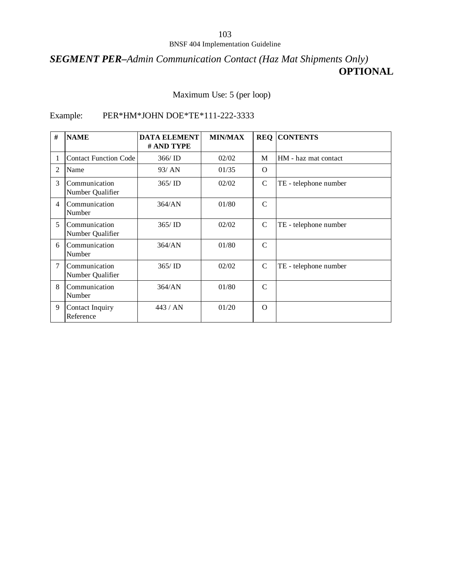## *SEGMENT PER–Admin Communication Contact (Haz Mat Shipments Only)* **OPTIONAL**

Maximum Use: 5 (per loop)

### Example: PER\*HM\*JOHN DOE\*TE\*111-222-3333

| #              | <b>NAME</b>                       | <b>DATA ELEMENT</b><br># AND TYPE | <b>MIN/MAX</b> | <b>REQ</b>    | <b>CONTENTS</b>       |
|----------------|-----------------------------------|-----------------------------------|----------------|---------------|-----------------------|
|                | <b>Contact Function Code</b>      | 366/ID                            | 02/02          | M             | HM - haz mat contact  |
| 2              | Name                              | 93/ AN                            | 01/35          | $\Omega$      |                       |
| 3              | Communication<br>Number Qualifier | 365/ID                            | 02/02          | $\mathcal{C}$ | TE - telephone number |
| $\overline{4}$ | Communication<br>Number           | 364/AN                            | 01/80          | $\mathcal{C}$ |                       |
| 5              | Communication<br>Number Qualifier | 365/ID                            | 02/02          | C             | TE - telephone number |
| 6              | Communication<br>Number           | 364/AN                            | 01/80          | $\mathcal{C}$ |                       |
| 7              | Communication<br>Number Qualifier | 365/ID                            | 02/02          | $\mathcal{C}$ | TE - telephone number |
| 8              | Communication<br>Number           | 364/AN                            | 01/80          | $\mathcal{C}$ |                       |
| 9              | Contact Inquiry<br>Reference      | 443/AN                            | 01/20          | $\Omega$      |                       |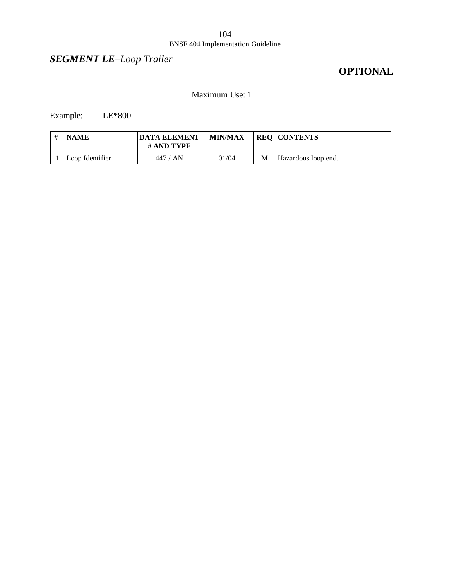## *SEGMENT LE–Loop Trailer*

## **OPTIONAL**

### Maximum Use: 1

Example: LE\*800

| <b>NAME</b>     | <b>IDATA ELEMENT</b><br># AND TYPE | <b>MIN/MAX</b> |   | <b>REQ CONTENTS</b> |
|-----------------|------------------------------------|----------------|---|---------------------|
| Loop Identifier | 447 / AN                           | 01/04          | M | Hazardous loop end. |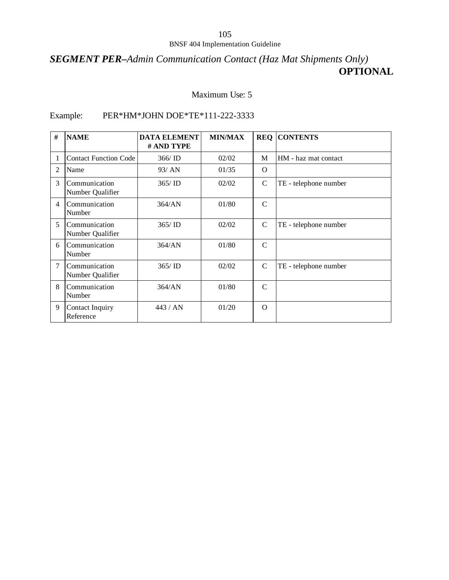## *SEGMENT PER–Admin Communication Contact (Haz Mat Shipments Only)* **OPTIONAL**

### Maximum Use: 5

### Example: PER\*HM\*JOHN DOE\*TE\*111-222-3333

| #              | <b>NAME</b>                         | <b>DATA ELEMENT</b><br># AND TYPE | <b>MIN/MAX</b> |               | <b>REQ CONTENTS</b>   |
|----------------|-------------------------------------|-----------------------------------|----------------|---------------|-----------------------|
|                | <b>Contact Function Code</b>        | 366/ID                            | 02/02          | M             | HM - haz mat contact  |
| 2              | Name                                | 93/AN                             | 01/35          | $\Omega$      |                       |
| 3              | Communication<br>Number Qualifier   | 365/ID                            | 02/02          | $\mathcal{C}$ | TE - telephone number |
| $\overline{4}$ | Communication<br>Number             | 364/AN                            | 01/80          | $\mathcal{C}$ |                       |
| 5              | Communication<br>Number Qualifier   | 365/ID                            | 02/02          | C             | TE - telephone number |
| 6              | Communication<br>Number             | 364/AN                            | 01/80          | $\mathcal{C}$ |                       |
| 7              | Communication<br>Number Qualifier   | 365/ID                            | 02/02          | C             | TE - telephone number |
| 8              | Communication<br>Number             | 364/AN                            | 01/80          | $\mathcal{C}$ |                       |
| 9              | <b>Contact Inquiry</b><br>Reference | 443/AN                            | 01/20          | $\Omega$      |                       |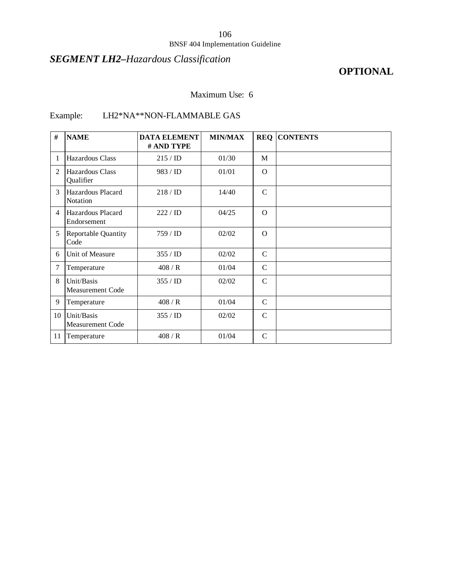## *SEGMENT LH2–Hazardous Classification*

## **OPTIONAL**

### Maximum Use: 6

## Example: LH2\*NA\*\*NON-FLAMMABLE GAS

| #              | <b>NAME</b>                           | <b>DATA ELEMENT</b><br># AND TYPE | <b>MIN/MAX</b> |               | <b>REQ CONTENTS</b> |
|----------------|---------------------------------------|-----------------------------------|----------------|---------------|---------------------|
| 1              | <b>Hazardous Class</b>                | 215 / ID                          | 01/30          | M             |                     |
| 2              | Hazardous Class<br>Qualifier          | 983 / ID                          | 01/01          | $\Omega$      |                     |
| 3              | Hazardous Placard<br>Notation         | 218/ID                            | 14/40          | $\mathcal{C}$ |                     |
| $\overline{4}$ | Hazardous Placard<br>Endorsement      | 222 / ID                          | 04/25          | $\Omega$      |                     |
| 5              | Reportable Quantity<br>Code           | 759/ID                            | 02/02          | $\Omega$      |                     |
| 6              | Unit of Measure                       | 355/ID                            | 02/02          | $\mathcal{C}$ |                     |
| 7              | Temperature                           | 408/R                             | 01/04          | $\mathcal{C}$ |                     |
| 8              | Unit/Basis<br><b>Measurement Code</b> | 355/ID                            | 02/02          | $\mathcal{C}$ |                     |
| 9              | Temperature                           | 408/R                             | 01/04          | $\mathcal{C}$ |                     |
| 10             | Unit/Basis<br><b>Measurement Code</b> | 355 / ID                          | 02/02          | $\mathcal{C}$ |                     |
| 11             | Temperature                           | 408/R                             | 01/04          | $\mathbf C$   |                     |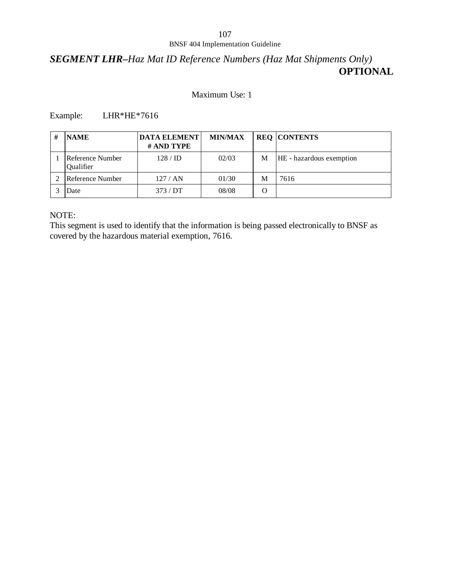### *SEGMENT LHR–Haz Mat ID Reference Numbers (Haz Mat Shipments Only)* **OPTIONAL**

### Maximum Use: 1

### Example: LHR\*HE\*7616

| <b>NAME</b>                   | <b>DATA ELEMENT</b><br># AND TYPE | <b>MIN/MAX</b> |   | <b>REQ CONTENTS</b>      |
|-------------------------------|-----------------------------------|----------------|---|--------------------------|
| Reference Number<br>Qualifier | $128 / \mathrm{ID}$               | 02/03          | M | HE - hazardous exemption |
| Reference Number              | 127/AN                            | 01/30          | M | 7616                     |
| Date                          | 373/DT                            | 08/08          |   |                          |

### NOTE:

This segment is used to identify that the information is being passed electronically to BNSF as covered by the hazardous material exemption, 7616.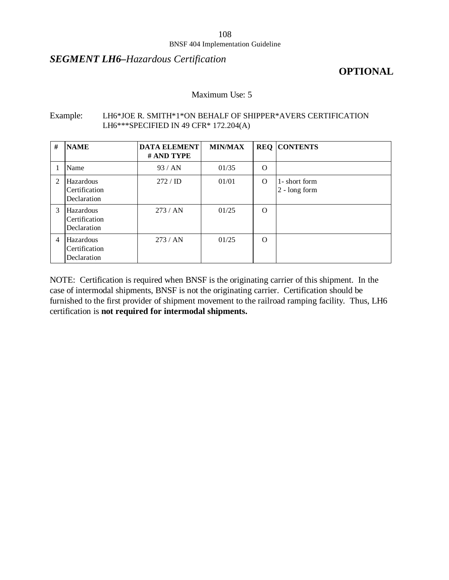### *SEGMENT LH6–Hazardous Certification*

### **OPTIONAL**

### Maximum Use: 5

#### Example: LH6\*JOE R. SMITH\*1\*ON BEHALF OF SHIPPER\*AVERS CERTIFICATION LH6\*\*\*SPECIFIED IN 49 CFR\* 172.204(A)

| #              | <b>NAME</b>                               | <b>DATA ELEMENT</b><br># AND TYPE | <b>MIN/MAX</b> |          | <b>REQ CONTENTS</b>              |
|----------------|-------------------------------------------|-----------------------------------|----------------|----------|----------------------------------|
|                | Name                                      | 93/AN                             | 01/35          | $\Omega$ |                                  |
| 2              | Hazardous<br>Certification<br>Declaration | 272 / ID                          | 01/01          | $\Omega$ | 1- short form<br>$2 - long form$ |
| $\mathcal{F}$  | Hazardous<br>Certification<br>Declaration | 273/AN                            | 01/25          | $\Omega$ |                                  |
| $\overline{4}$ | Hazardous<br>Certification<br>Declaration | 273/AN                            | 01/25          | $\Omega$ |                                  |

NOTE: Certification is required when BNSF is the originating carrier of this shipment. In the case of intermodal shipments, BNSF is not the originating carrier. Certification should be furnished to the first provider of shipment movement to the railroad ramping facility. Thus, LH6 certification is **not required for intermodal shipments.**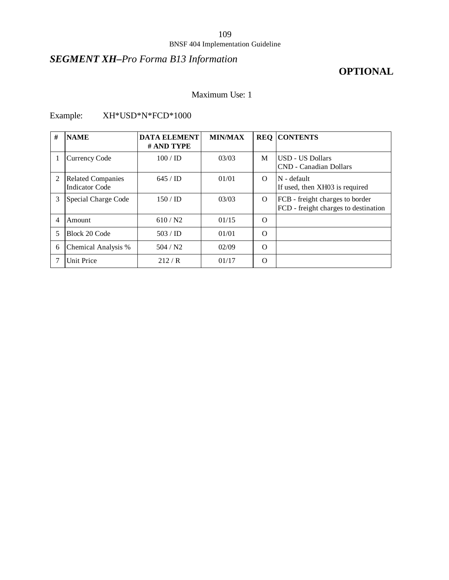# *SEGMENT XH–Pro Forma B13 Information*

# **OPTIONAL**

### Maximum Use: 1

## Example: XH\*USD\*N\*FCD\*1000

| # | <b>NAME</b>                                       | <b>DATA ELEMENT</b><br># AND TYPE | <b>MIN/MAX</b> |          | <b>REQ CONTENTS</b>                                                     |
|---|---------------------------------------------------|-----------------------------------|----------------|----------|-------------------------------------------------------------------------|
|   | <b>Currency Code</b>                              | $100 /$ ID                        | 03/03          | M        | USD - US Dollars<br>CND - Canadian Dollars                              |
| 2 | <b>Related Companies</b><br><b>Indicator Code</b> | $645 /$ ID                        | 01/01          | $\Omega$ | N - default<br>If used, then XH03 is required                           |
| 3 | Special Charge Code                               | 150/ID                            | 03/03          | $\Omega$ | FCB - freight charges to border<br>FCD - freight charges to destination |
| 4 | Amount                                            | 610/N2                            | 01/15          | $\Omega$ |                                                                         |
| 5 | Block 20 Code                                     | 503 / ID                          | 01/01          | $\Omega$ |                                                                         |
| 6 | Chemical Analysis %                               | 504 / N2                          | 02/09          | $\Omega$ |                                                                         |
|   | <b>Unit Price</b>                                 | 212/R                             | 01/17          | $\Omega$ |                                                                         |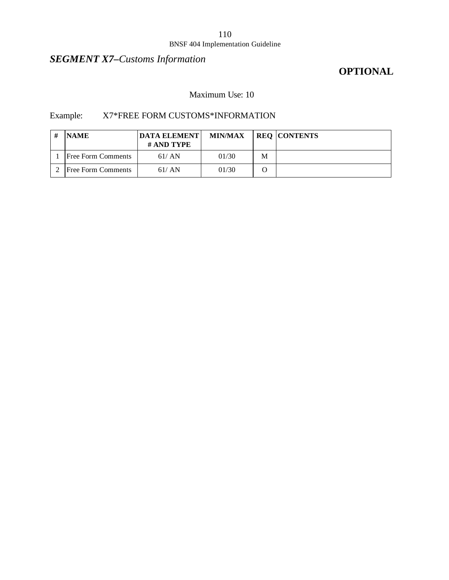# *SEGMENT X7–Customs Information*

## **OPTIONAL**

### Maximum Use: 10

### Example: X7\*FREE FORM CUSTOMS\*INFORMATION

| <b>NAME</b>               | <b>DATA ELEMENT</b><br># AND TYPE | <b>MIN/MAX</b> |   | <b>REQ CONTENTS</b> |
|---------------------------|-----------------------------------|----------------|---|---------------------|
| <b>Free Form Comments</b> | 61/AN                             | 01/30          | M |                     |
| <b>Free Form Comments</b> | 61/AN                             | 01/30          |   |                     |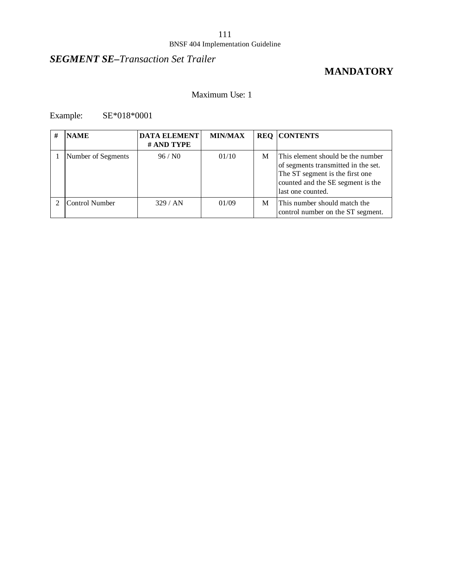# *SEGMENT SE–Transaction Set Trailer*

# **MANDATORY**

### Maximum Use: 1

Example: SE\*018\*0001

| # | <b>NAME</b>        | <b>DATA ELEMENT</b><br># AND TYPE | <b>MIN/MAX</b> |   | <b>REQ CONTENTS</b>                                                                                                                                                   |
|---|--------------------|-----------------------------------|----------------|---|-----------------------------------------------------------------------------------------------------------------------------------------------------------------------|
|   | Number of Segments | 96 / N0                           | 01/10          | M | This element should be the number<br>of segments transmitted in the set.<br>The ST segment is the first one<br>counted and the SE segment is the<br>last one counted. |
|   | Control Number     | 329/AN                            | 01/09          | М | This number should match the<br>control number on the ST segment.                                                                                                     |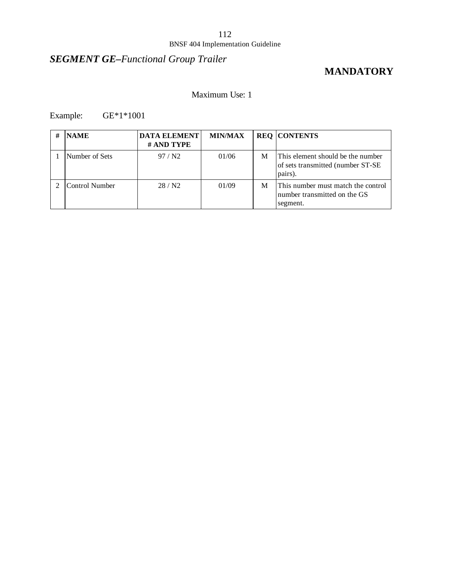# *SEGMENT GE–Functional Group Trailer*

# **MANDATORY**

### Maximum Use: 1

Example: GE\*1\*1001

| # | <b>NAME</b>    | <b>DATA ELEMENT</b><br># AND TYPE | <b>MIN/MAX</b> |   | <b>REQ CONTENTS</b>                                                                |
|---|----------------|-----------------------------------|----------------|---|------------------------------------------------------------------------------------|
|   | Number of Sets | 97/N2                             | 01/06          | M | This element should be the number<br>of sets transmitted (number ST-SE)<br>pairs). |
|   | Control Number | 28/N2                             | 01/09          | М | This number must match the control<br>number transmitted on the GS<br>segment.     |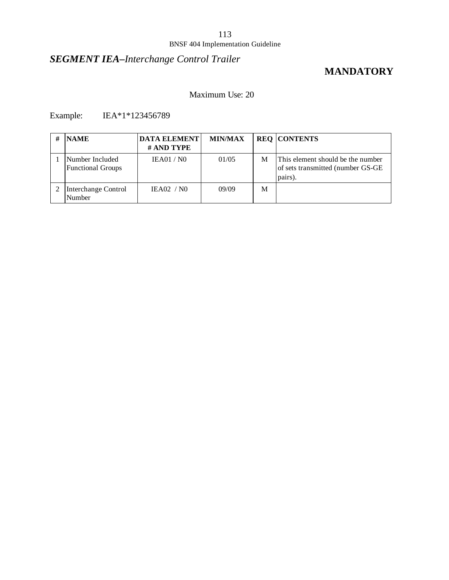# *SEGMENT IEA–Interchange Control Trailer*

## **MANDATORY**

### Maximum Use: 20

Example: IEA\*1\*123456789

| # | <b>NAME</b>                                 | <b>DATA ELEMENT</b><br># AND TYPE | <b>MIN/MAX</b> |   | <b>REQ CONTENTS</b>                                                               |
|---|---------------------------------------------|-----------------------------------|----------------|---|-----------------------------------------------------------------------------------|
|   | Number Included<br><b>Functional Groups</b> | IEA01/N0                          | 01/05          | M | This element should be the number<br>of sets transmitted (number GS-GE<br>pairs). |
|   | Interchange Control<br>Number               | IEAO2 / NO                        | 09/09          | M |                                                                                   |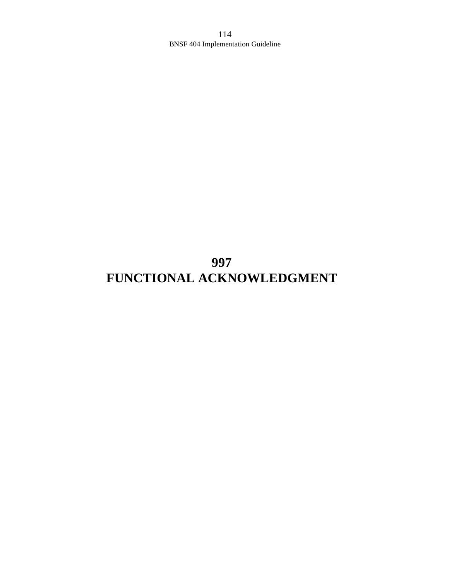**997 FUNCTIONAL ACKNOWLEDGMENT**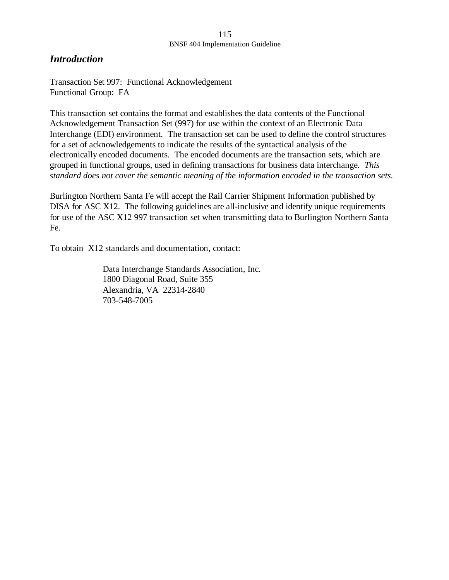### *Introduction*

Transaction Set 997: Functional Acknowledgement Functional Group: FA

This transaction set contains the format and establishes the data contents of the Functional Acknowledgement Transaction Set (997) for use within the context of an Electronic Data Interchange (EDI) environment. The transaction set can be used to define the control structures for a set of acknowledgements to indicate the results of the syntactical analysis of the electronically encoded documents. The encoded documents are the transaction sets, which are grouped in functional groups, used in defining transactions for business data interchange. *This standard does not cover the semantic meaning of the information encoded in the transaction sets.*

Burlington Northern Santa Fe will accept the Rail Carrier Shipment Information published by DISA for ASC X12. The following guidelines are all-inclusive and identify unique requirements for use of the ASC X12 997 transaction set when transmitting data to Burlington Northern Santa Fe.

To obtain X12 standards and documentation, contact:

Data Interchange Standards Association, Inc. 1800 Diagonal Road, Suite 355 Alexandria, VA 22314-2840 703-548-7005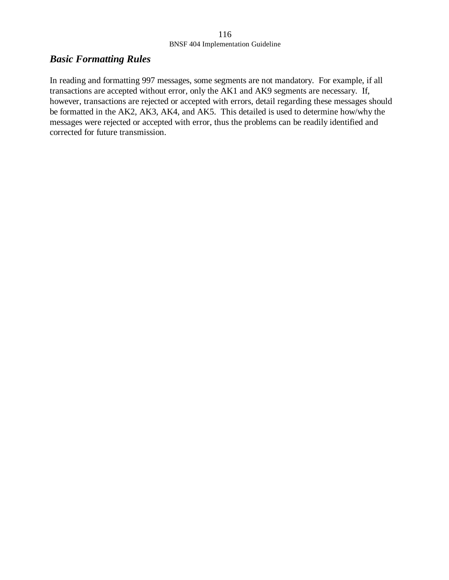### *Basic Formatting Rules*

In reading and formatting 997 messages, some segments are not mandatory. For example, if all transactions are accepted without error, only the AK1 and AK9 segments are necessary. If, however, transactions are rejected or accepted with errors, detail regarding these messages should be formatted in the AK2, AK3, AK4, and AK5. This detailed is used to determine how/why the messages were rejected or accepted with error, thus the problems can be readily identified and corrected for future transmission.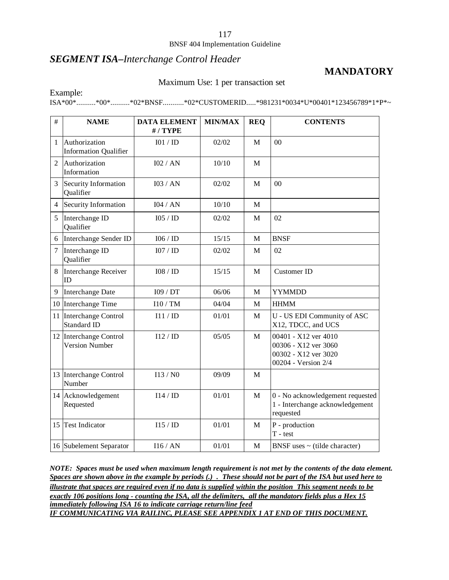### 117

#### BNSF 404 Implementation Guideline

### *SEGMENT ISA–Interchange Control Header*

## **MANDATORY**

#### Maximum Use: 1 per transaction set

Example:

ISA\*00\*..........\*00\*..........\*02\*BNSF...........\*02\*CUSTOMERID.....\*981231\*0034\*U\*00401\*123456789\*1\*P\*~

| #              | <b>NAME</b>                                     | <b>DATA ELEMENT</b><br>#/TYPE | <b>MIN/MAX</b> | <b>REQ</b> | <b>CONTENTS</b>                                                                             |
|----------------|-------------------------------------------------|-------------------------------|----------------|------------|---------------------------------------------------------------------------------------------|
| 1              | Authorization<br><b>Information Qualifier</b>   | I01 / ID                      | 02/02          | M          | 0 <sup>0</sup>                                                                              |
| $\overline{2}$ | Authorization<br>Information                    | I02 / AN                      | 10/10          | M          |                                                                                             |
| 3              | Security Information<br>Qualifier               | I03 / AN                      | 02/02          | M          | 0 <sup>0</sup>                                                                              |
| 4              | Security Information                            | I04 / AN                      | 10/10          | M          |                                                                                             |
| 5              | Interchange ID<br>Qualifier                     | 105 / ID                      | 02/02          | M          | 02                                                                                          |
| 6              | Interchange Sender ID                           | 106 / ID                      | 15/15          | M          | <b>BNSF</b>                                                                                 |
| 7              | Interchange ID<br>Qualifier                     | 107 / ID                      | 02/02          | M          | 02                                                                                          |
| 8              | Interchange Receiver<br>ID                      | 108 / ID                      | 15/15          | M          | <b>Customer ID</b>                                                                          |
| 9              | <b>Interchange Date</b>                         | I09 / DT                      | 06/06          | M          | <b>YYMMDD</b>                                                                               |
|                | 10 Interchange Time                             | 110 / TM                      | 04/04          | M          | <b>HHMM</b>                                                                                 |
|                | 11 Interchange Control<br><b>Standard ID</b>    | I11 / ID                      | 01/01          | M          | U - US EDI Community of ASC<br>X12, TDCC, and UCS                                           |
|                | 12 Interchange Control<br><b>Version Number</b> | I12/ID                        | 05/05          | M          | 00401 - X12 ver 4010<br>00306 - X12 ver 3060<br>00302 - X12 ver 3020<br>00204 - Version 2/4 |
|                | 13 Interchange Control<br>Number                | I13/N0                        | 09/09          | M          |                                                                                             |
|                | 14 Acknowledgement<br>Requested                 | I14/ID                        | 01/01          | M          | 0 - No acknowledgement requested<br>1 - Interchange acknowledgement<br>requested            |
|                | 15 Test Indicator                               | I15/ID                        | 01/01          | M          | P - production<br>$T - test$                                                                |
|                | 16 Subelement Separator                         | 116/AN                        | 01/01          | M          | BNSF uses $\sim$ (tilde character)                                                          |

*NOTE: Spaces must be used when maximum length requirement is not met by the contents of the data element. Spaces are shown above in the example by periods (.) . These should not be part of the ISA but used here to illustrate that spaces are required even if no data is supplied within the position This segment needs to be exactly 106 positions long - counting the ISA, all the delimiters, all the mandatory fields plus a Hex 15 immediately following ISA 16 to indicate carriage return/line feed IF COMMUNICATING VIA RAILINC, PLEASE SEE APPENDIX 1 AT END OF THIS DOCUMENT.*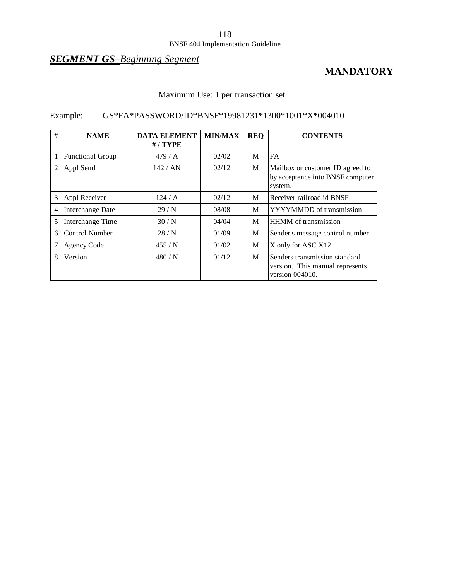## *SEGMENT GS–Beginning Segment*

## **MANDATORY**

## Maximum Use: 1 per transaction set

## Example: GS\*FA\*PASSWORD/ID\*BNSF\*19981231\*1300\*1001\*X\*004010

| # | <b>NAME</b>             | <b>DATA ELEMENT</b><br>$# /$ TYPE | <b>MIN/MAX</b> | <b>REQ</b> | <b>CONTENTS</b>                                                                     |
|---|-------------------------|-----------------------------------|----------------|------------|-------------------------------------------------------------------------------------|
|   | <b>Functional Group</b> | 479 / A                           | 02/02          | M          | FA                                                                                  |
| 2 | Appl Send               | 142 / AN                          | 02/12          | M          | Mailbox or customer ID agreed to<br>by acceptence into BNSF computer<br>system.     |
| 3 | Appl Receiver           | 124/A                             | 02/12          | M          | Receiver railroad id BNSF                                                           |
| 4 | Interchange Date        | 29/N                              | 08/08          | M          | YYYYMMDD of transmission                                                            |
| 5 | Interchange Time        | 30/N                              | 04/04          | M          | <b>HHMM</b> of transmission                                                         |
| 6 | Control Number          | 28/N                              | 01/09          | M          | Sender's message control number                                                     |
|   | Agency Code             | 455/N                             | 01/02          | M          | X only for ASC X12                                                                  |
| 8 | Version                 | 480/N                             | 01/12          | M          | Senders transmission standard<br>version. This manual represents<br>version 004010. |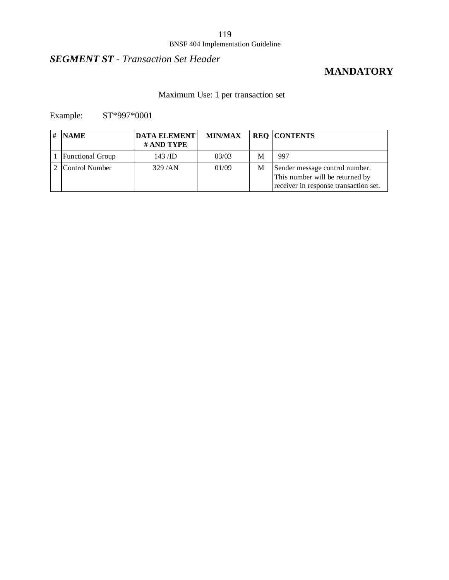### 119

### BNSF 404 Implementation Guideline

# *SEGMENT ST - Transaction Set Header*

## **MANDATORY**

## Maximum Use: 1 per transaction set

Example: ST\*997\*0001

| # | <b>NAME</b>             | <b>DATA ELEMENT</b><br># AND TYPE | <b>MIN/MAX</b> |   | <b>REQ CONTENTS</b>                                                                                        |
|---|-------------------------|-----------------------------------|----------------|---|------------------------------------------------------------------------------------------------------------|
|   | <b>Functional Group</b> | $143$ /ID                         | 03/03          | М | 997                                                                                                        |
|   | Control Number          | 329/AN                            | 01/09          | M | Sender message control number.<br>This number will be returned by<br>receiver in response transaction set. |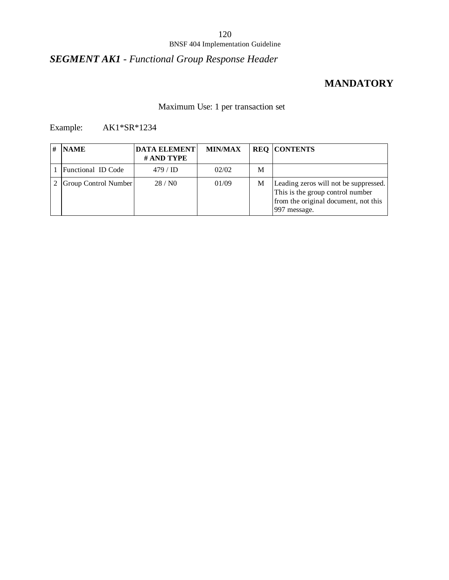# *SEGMENT AK1 - Functional Group Response Header*

## **MANDATORY**

## Maximum Use: 1 per transaction set

## Example: AK1\*SR\*1234

| <b>NAME</b>          | <b>DATA ELEMENT</b><br># AND TYPE | <b>MIN/MAX</b> |   | <b>REQ CONTENTS</b>                                                                                                               |
|----------------------|-----------------------------------|----------------|---|-----------------------------------------------------------------------------------------------------------------------------------|
| Functional ID Code   | $479 / \mathrm{ID}$               | 02/02          | M |                                                                                                                                   |
| Group Control Number | 28/N0                             | 01/09          | М | Leading zeros will not be suppressed.<br>This is the group control number<br>from the original document, not this<br>997 message. |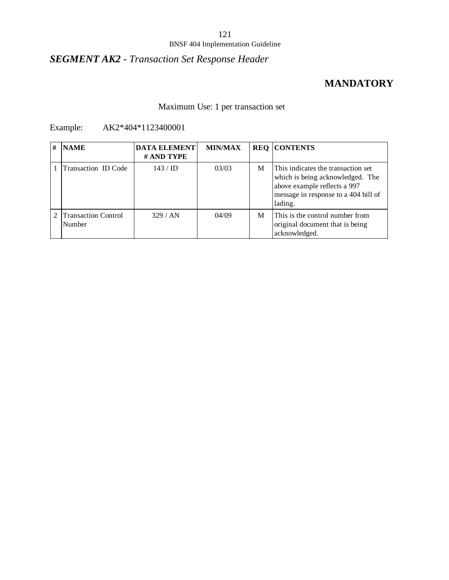# *SEGMENT AK2 - Transaction Set Response Header*

## **MANDATORY**

### Maximum Use: 1 per transaction set

### Example: AK2\*404\*1123400001

| # | <b>NAME</b>                          | <b>DATA ELEMENT</b><br># AND TYPE | <b>MIN/MAX</b> |   | <b>REQ CONTENTS</b>                                                                                                                                       |
|---|--------------------------------------|-----------------------------------|----------------|---|-----------------------------------------------------------------------------------------------------------------------------------------------------------|
|   | Transaction ID Code                  | $143 / \text{ID}$                 | 03/03          | M | This indicates the transaction set<br>which is being acknowledged. The<br>above example reflects a 997<br>message in response to a 404 bill of<br>lading. |
|   | <b>Transaction Control</b><br>Number | 329/AN                            | 04/09          | M | This is the control number from<br>original document that is being<br>acknowledged.                                                                       |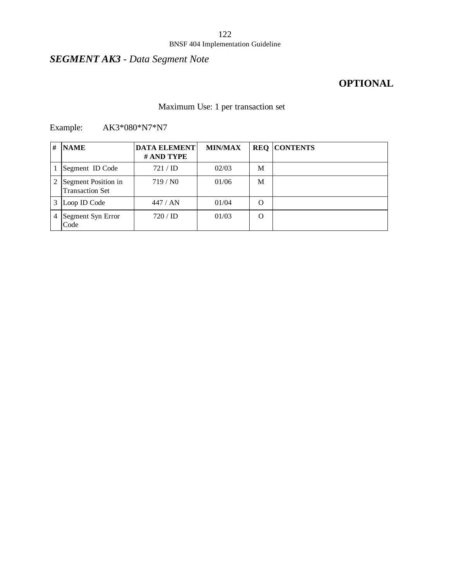# *SEGMENT AK3 - Data Segment Note*

# **OPTIONAL**

## Maximum Use: 1 per transaction set

### Example: AK3\*080\*N7\*N7

| # | <b>NAME</b>                                   | <b>DATA ELEMENT</b><br># AND TYPE | <b>MIN/MAX</b> |   | <b>REQ CONTENTS</b> |
|---|-----------------------------------------------|-----------------------------------|----------------|---|---------------------|
|   | Segment ID Code                               | 721 / ID                          | 02/03          | М |                     |
|   | Segment Position in<br><b>Transaction Set</b> | 719/N0                            | 01/06          | M |                     |
| 3 | Loop ID Code                                  | 447 / AN                          | 01/04          | O |                     |
| 4 | Segment Syn Error<br>Code                     | $720 / \mathrm{ID}$               | 01/03          | O |                     |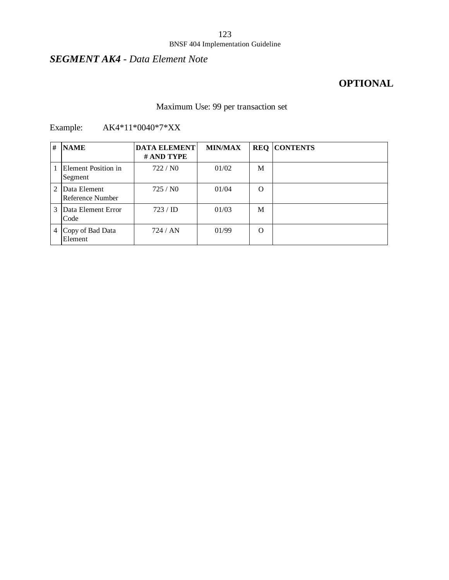# *SEGMENT AK4 - Data Element Note*

# **OPTIONAL**

# Maximum Use: 99 per transaction set

| #             | <b>NAME</b>                      | <b>DATA ELEMENT</b><br># AND TYPE | <b>MIN/MAX</b> |   | <b>REQ CONTENTS</b> |
|---------------|----------------------------------|-----------------------------------|----------------|---|---------------------|
|               | Element Position in<br>Segment   | 722/N0                            | 01/02          | M |                     |
| $\mathcal{L}$ | Data Element<br>Reference Number | 725/N0                            | 01/04          | O |                     |
| 3             | Data Element Error<br>Code       | 723 / ID                          | 01/03          | M |                     |
|               | 4 Copy of Bad Data<br>Element    | 724/AN                            | 01/99          | O |                     |

## Example: AK4\*11\*0040\*7\*XX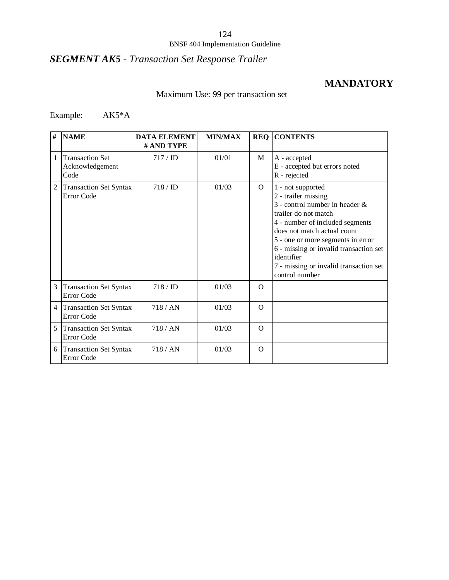# *SEGMENT AK5 - Transaction Set Response Trailer*

## **MANDATORY**

## Maximum Use: 99 per transaction set

## Example: AK5\*A

| #              | <b>NAME</b>                                       | <b>DATA ELEMENT</b><br># AND TYPE | <b>MIN/MAX</b> |          | <b>REQ CONTENTS</b>                                                                                                                                                                                                                                                                                                              |
|----------------|---------------------------------------------------|-----------------------------------|----------------|----------|----------------------------------------------------------------------------------------------------------------------------------------------------------------------------------------------------------------------------------------------------------------------------------------------------------------------------------|
| 1              | <b>Transaction Set</b><br>Acknowledgement<br>Code | 717 / ID                          | 01/01          | M        | A - accepted<br>E - accepted but errors noted<br>R - rejected                                                                                                                                                                                                                                                                    |
| $\overline{c}$ | <b>Transaction Set Syntax</b><br>Error Code       | $718 / \mathrm{ID}$               | 01/03          | $\Omega$ | 1 - not supported<br>2 - trailer missing<br>3 - control number in header $\&$<br>trailer do not match<br>4 - number of included segments<br>does not match actual count<br>5 - one or more segments in error<br>6 - missing or invalid transaction set<br>identifier<br>7 - missing or invalid transaction set<br>control number |
| 3              | <b>Transaction Set Syntax</b><br>Error Code       | $718 / \mathrm{ID}$               | 01/03          | $\Omega$ |                                                                                                                                                                                                                                                                                                                                  |
| $\overline{4}$ | <b>Transaction Set Syntax</b><br>Error Code       | 718/AN                            | 01/03          | $\Omega$ |                                                                                                                                                                                                                                                                                                                                  |
| 5              | <b>Transaction Set Syntax</b><br>Error Code       | 718/AN                            | 01/03          | $\Omega$ |                                                                                                                                                                                                                                                                                                                                  |
| 6              | <b>Transaction Set Syntax</b><br>Error Code       | 718/AN                            | 01/03          | $\Omega$ |                                                                                                                                                                                                                                                                                                                                  |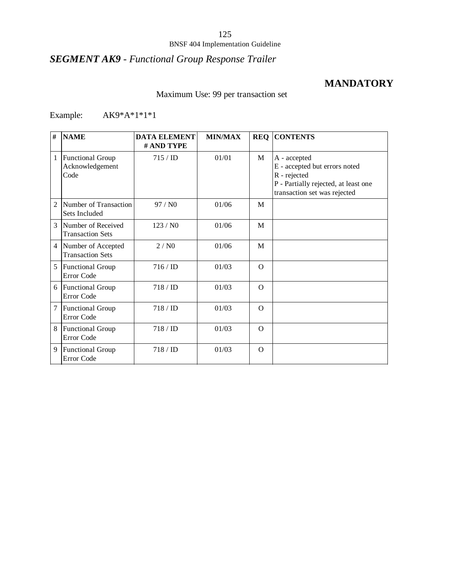# *SEGMENT AK9 - Functional Group Response Trailer*

## **MANDATORY**

## Maximum Use: 99 per transaction set

Example: AK9\*A\*1\*1\*1

| #              | <b>NAME</b>                                        | <b>DATA ELEMENT</b><br># AND TYPE | <b>MIN/MAX</b> | <b>REQ</b> | <b>CONTENTS</b>                                                                                                                       |
|----------------|----------------------------------------------------|-----------------------------------|----------------|------------|---------------------------------------------------------------------------------------------------------------------------------------|
| 1              | <b>Functional Group</b><br>Acknowledgement<br>Code | $715 / \mathrm{ID}$               | 01/01          | M          | A - accepted<br>E - accepted but errors noted<br>R - rejected<br>P - Partially rejected, at least one<br>transaction set was rejected |
| $\overline{2}$ | Number of Transaction<br>Sets Included             | 97/N0                             | 01/06          | M          |                                                                                                                                       |
| $\mathcal{R}$  | Number of Received<br><b>Transaction Sets</b>      | 123/N0                            | 01/06          | M          |                                                                                                                                       |
| $\overline{4}$ | Number of Accepted<br><b>Transaction Sets</b>      | 2/N0                              | 01/06          | M          |                                                                                                                                       |
| 5              | <b>Functional Group</b><br>Error Code              | $716 / \mathrm{ID}$               | 01/03          | $\Omega$   |                                                                                                                                       |
| 6              | Functional Group<br>Error Code                     | $718 / \mathrm{ID}$               | 01/03          | $\Omega$   |                                                                                                                                       |
| 7              | <b>Functional Group</b><br>Error Code              | 718 / ID                          | 01/03          | $\Omega$   |                                                                                                                                       |
| 8              | <b>Functional Group</b><br>Error Code              | 718 / ID                          | 01/03          | $\Omega$   |                                                                                                                                       |
| 9              | <b>Functional Group</b><br>Error Code              | 718 / ID                          | 01/03          | $\Omega$   |                                                                                                                                       |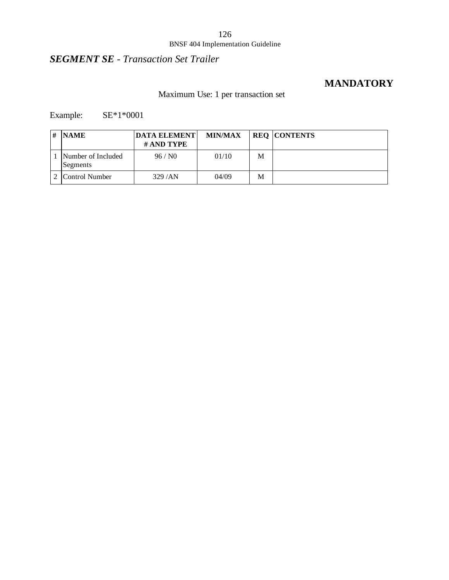# 126

### BNSF 404 Implementation Guideline

# *SEGMENT SE - Transaction Set Trailer*

## **MANDATORY**

## Maximum Use: 1 per transaction set

Example: SE\*1\*0001

| # | <b>NAME</b>                    | <b>DATA ELEMENT</b><br># AND TYPE | <b>MIN/MAX</b> |   | <b>REQ CONTENTS</b> |
|---|--------------------------------|-----------------------------------|----------------|---|---------------------|
|   | Number of Included<br>Segments | 96 / N0                           | 01/10          | M |                     |
|   | Control Number                 | 329/AN                            | 04/09          | M |                     |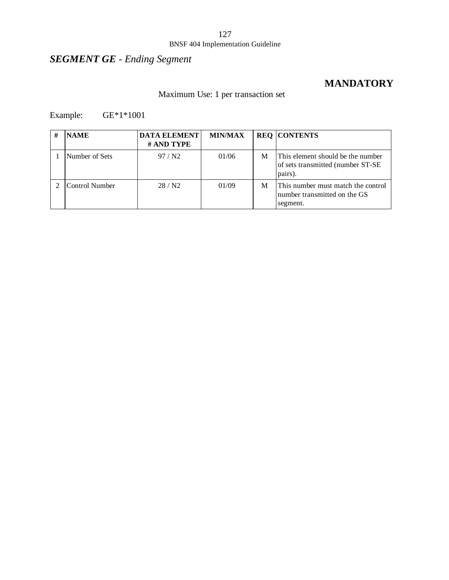### 127

#### BNSF 404 Implementation Guideline

# *SEGMENT GE - Ending Segment*

## **MANDATORY**

## Maximum Use: 1 per transaction set

## Example: GE\*1\*1001

| # | <b>NAME</b>    | <b>DATA ELEMENT</b><br># AND TYPE | <b>MIN/MAX</b> |   | <b>REQ CONTENTS</b>                                                                |
|---|----------------|-----------------------------------|----------------|---|------------------------------------------------------------------------------------|
|   | Number of Sets | 97/N2                             | 01/06          | M | This element should be the number<br>of sets transmitted (number ST-SE)<br>pairs). |
|   | Control Number | 28/N2                             | 01/09          | М | This number must match the control<br>number transmitted on the GS<br>segment.     |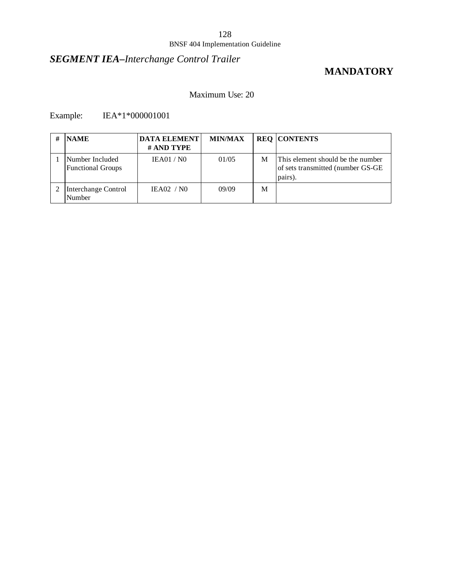# *SEGMENT IEA–Interchange Control Trailer*

## **MANDATORY**

### Maximum Use: 20

## Example: IEA\*1\*000001001

| # | <b>NAME</b>                                 | <b>DATA ELEMENT</b><br># AND TYPE | <b>MIN/MAX</b> |   | <b>REQ CONTENTS</b>                                                               |
|---|---------------------------------------------|-----------------------------------|----------------|---|-----------------------------------------------------------------------------------|
|   | Number Included<br><b>Functional Groups</b> | <b>IEA01 / N0</b>                 | 01/05          | M | This element should be the number<br>of sets transmitted (number GS-GE<br>pairs). |
|   | Interchange Control<br>Number               | IEAO2 / NO                        | 09/09          | M |                                                                                   |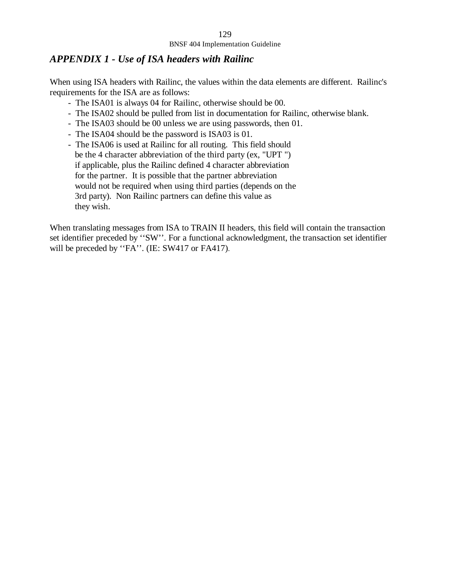### *APPENDIX 1 - Use of ISA headers with Railinc*

When using ISA headers with Railinc, the values within the data elements are different. Railinc's requirements for the ISA are as follows:

- The ISA01 is always 04 for Railinc, otherwise should be 00.
- The ISA02 should be pulled from list in documentation for Railinc, otherwise blank.
- The ISA03 should be 00 unless we are using passwords, then 01.
- The ISA04 should be the password is ISA03 is 01.
- The ISA06 is used at Railinc for all routing. This field should be the 4 character abbreviation of the third party (ex, "UPT ") if applicable, plus the Railinc defined 4 character abbreviation for the partner. It is possible that the partner abbreviation would not be required when using third parties (depends on the 3rd party). Non Railinc partners can define this value as they wish.

When translating messages from ISA to TRAIN II headers, this field will contain the transaction set identifier preceded by ''SW''. For a functional acknowledgment, the transaction set identifier will be preceded by "FA". (IE: SW417 or FA417).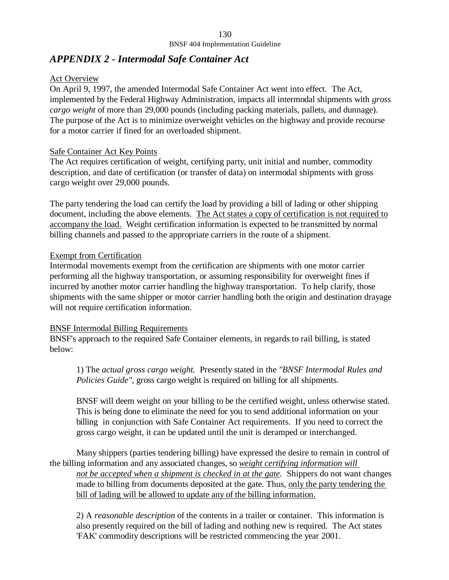### *APPENDIX 2 - Intermodal Safe Container Act*

### Act Overview

On April 9, 1997, the amended Intermodal Safe Container Act went into effect. The Act, implemented by the Federal Highway Administration, impacts all intermodal shipments with *gross cargo weight* of more than 29,000 pounds (including packing materials, pallets, and dunnage). The purpose of the Act is to minimize overweight vehicles on the highway and provide recourse for a motor carrier if fined for an overloaded shipment.

### Safe Container Act Key Points

The Act requires certification of weight, certifying party, unit initial and number, commodity description, and date of certification (or transfer of data) on intermodal shipments with gross cargo weight over 29,000 pounds.

The party tendering the load can certify the load by providing a bill of lading or other shipping document, including the above elements. The Act states a copy of certification is not required to accompany the load. Weight certification information is expected to be transmitted by normal billing channels and passed to the appropriate carriers in the route of a shipment.

### Exempt from Certification

Intermodal movements exempt from the certification are shipments with one motor carrier performing all the highway transportation, or assuming responsibility for overweight fines if incurred by another motor carrier handling the highway transportation. To help clarify, those shipments with the same shipper or motor carrier handling both the origin and destination drayage will not require certification information.

### BNSF Intermodal Billing Requirements

BNSF's approach to the required Safe Container elements, in regards to rail billing, is stated below:

1) The *actual gross cargo weight.* Presently stated in the *"BNSF Intermodal Rules and Policies Guide"*, gross cargo weight is required on billing for all shipments.

BNSF will deem weight on your billing to be the certified weight, unless otherwise stated. This is being done to eliminate the need for you to send additional information on your billing in conjunction with Safe Container Act requirements. If you need to correct the gross cargo weight, it can be updated until the unit is deramped or interchanged.

Many shippers (parties tendering billing) have expressed the desire to remain in control of the billing information and any associated changes, so *weight certifying information will not be accepted when a shipment is checked in at the gate.* Shippers do not want changes made to billing from documents deposited at the gate. Thus, only the party tendering the bill of lading will be allowed to update any of the billing information.

2) A *reasonable description* of the contents in a trailer or container. This information is also presently required on the bill of lading and nothing new is required. The Act states 'FAK' commodity descriptions will be restricted commencing the year 2001.